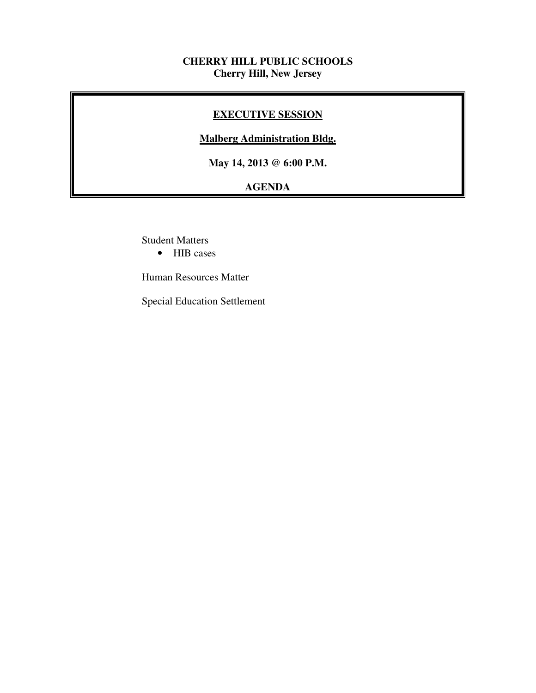#### **CHERRY HILL PUBLIC SCHOOLS Cherry Hill, New Jersey**

#### **EXECUTIVE SESSION**

#### **Malberg Administration Bldg.**

 **May 14, 2013 @ 6:00 P.M.** 

# **AGENDA**

Student Matters

• HIB cases

Human Resources Matter

Special Education Settlement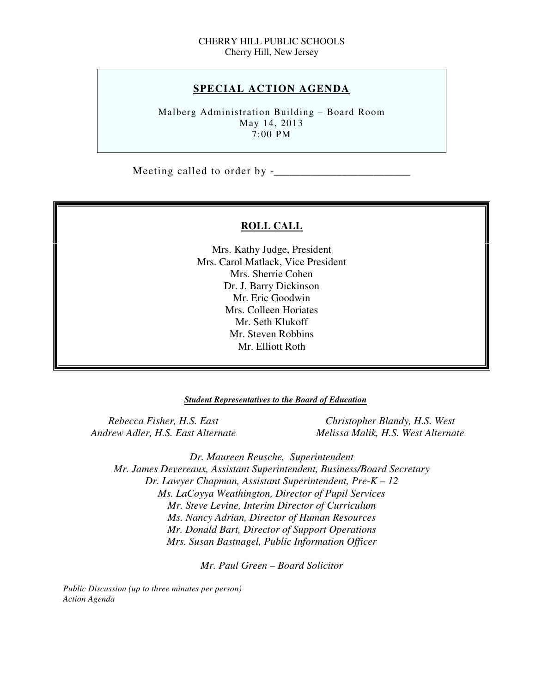#### **SPECIAL ACTION AGENDA**

 Malberg Administration Building – Board Room May 14, 2013 7:00 PM

Meeting called to order by -\_\_\_\_\_\_\_\_\_\_\_\_\_\_\_\_\_\_\_\_\_\_\_\_\_\_

#### **ROLL CALL**

 Mrs. Kathy Judge, President Mrs. Carol Matlack, Vice President Mrs. Sherrie Cohen Dr. J. Barry Dickinson Mr. Eric Goodwin Mrs. Colleen Horiates Mr. Seth Klukoff Mr. Steven Robbins Mr. Elliott Roth

#### *Student Representatives to the Board of Education*

**Rebecca Fisher, H.S. East Andrew Adler, H.S. East Alternate** 

*Christopher Blandy, H.S. West Andrew Adler, H.S. East Alternate Melissa Malik, H.S. West Alternate* 

 *Dr. Maureen Reusche, Superintendent Mr. James Devereaux, Assistant Superintendent, Business/Board Secretary Dr. Lawyer Chapman, Assistant Superintendent, Pre-K – 12 Ms. LaCoyya Weathington, Director of Pupil Services Mr. Steve Levine, Interim Director of Curriculum Mr. Donald Bart, Director of Support Operations Mrs. Susan Bastnagel, Public Information Officer Ms. Nancy Adrian, Director of Human Resources* 

 *Mr. Paul Green – Board Solicitor* 

 *Public Discussion (up to three minutes per person) Action Agenda*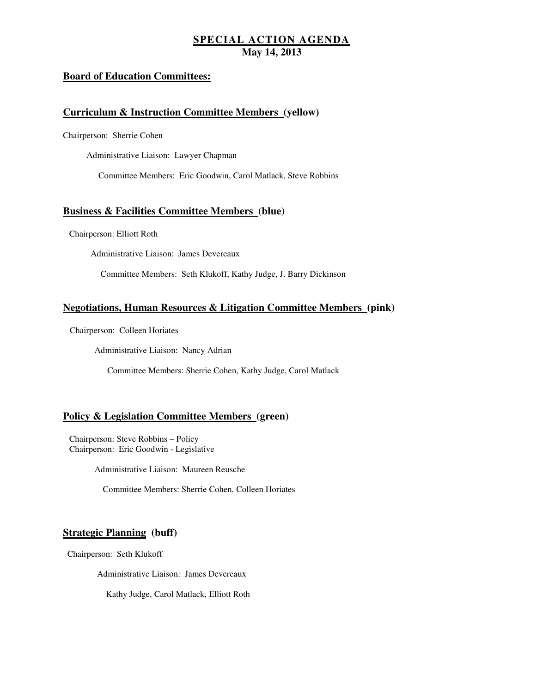#### **Board of Education Committees:**

#### **Curriculum & Instruction Committee Members (yellow)**

Chairperson: Sherrie Cohen

Administrative Liaison: Lawyer Chapman

Committee Members: Eric Goodwin, Carol Matlack, Steve Robbins

#### **Business & Facilities Committee Members (blue)**

Chairperson: Elliott Roth

Administrative Liaison: James Devereaux

Committee Members: Seth Klukoff, Kathy Judge, J. Barry Dickinson

#### **Negotiations, Human Resources & Litigation Committee Members (pink)**

Chairperson: Colleen Horiates

Administrative Liaison: Nancy Adrian

Committee Members: Sherrie Cohen, Kathy Judge, Carol Matlack

#### **Policy & Legislation Committee Members (green)**

 Chairperson: Steve Robbins – Policy Chairperson: Eric Goodwin - Legislative

Administrative Liaison: Maureen Reusche

Committee Members: Sherrie Cohen, Colleen Horiates

#### **Strategic Planning (buff)**

Chairperson: Seth Klukoff

Administrative Liaison: James Devereaux

Kathy Judge, Carol Matlack, Elliott Roth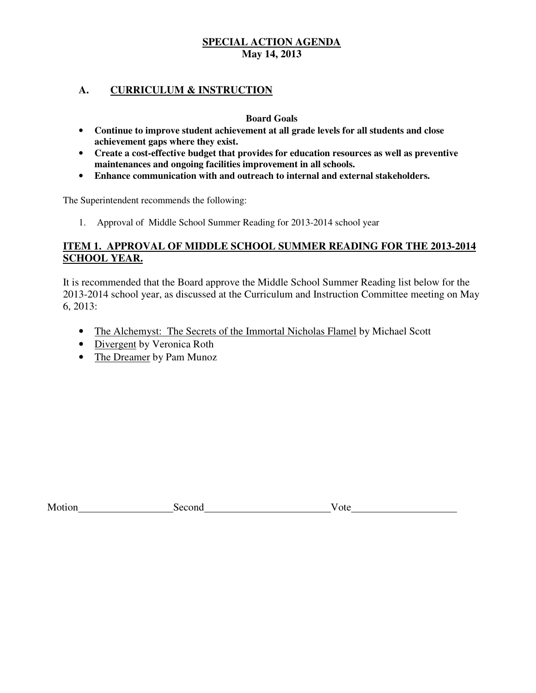#### **A. CURRICULUM & INSTRUCTION**

#### **Board Goals**

- • **Continue to improve student achievement at all grade levels for all students and close achievement gaps where they exist.**
- • **Create a cost-effective budget that provides for education resources as well as preventive maintenances and ongoing facilities improvement in all schools.**
- • **Enhance communication with and outreach to internal and external stakeholders.**

The Superintendent recommends the following:

1. Approval of Middle School Summer Reading for 2013-2014 school year

#### **ITEM 1. APPROVAL OF MIDDLE SCHOOL SUMMER READING FOR THE 2013-2014 SCHOOL YEAR.**

 It is recommended that the Board approve the Middle School Summer Reading list below for the 2013-2014 school year, as discussed at the Curriculum and Instruction Committee meeting on May 6, 2013:

- The Alchemyst: The Secrets of the Immortal Nicholas Flamel by Michael Scott
- Divergent by Veronica Roth
- The Dreamer by Pam Munoz

| M <sub>0</sub><br>OĦ | эн<br>זר | ole<br>$\mathbf{v}$ |  |
|----------------------|----------|---------------------|--|
|                      |          |                     |  |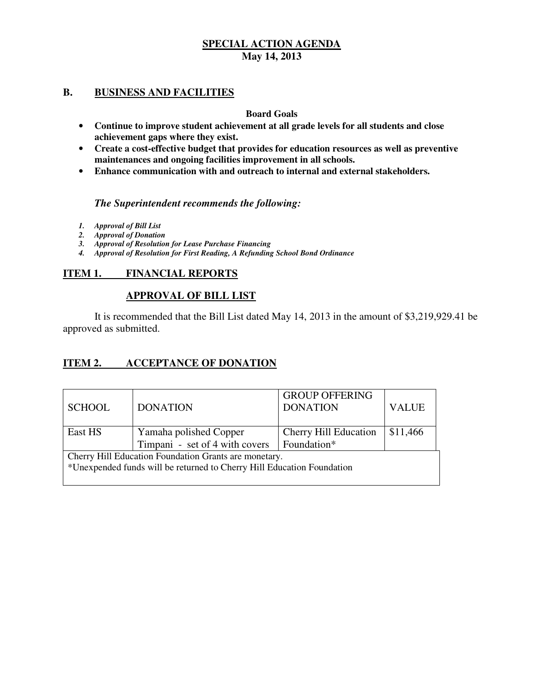#### **B.** BUSINESS AND FACILITIES

#### **Board Goals**

- • **Continue to improve student achievement at all grade levels for all students and close achievement gaps where they exist.**
- • **Create a cost-effective budget that provides for education resources as well as preventive maintenances and ongoing facilities improvement in all schools.**
- • **Enhance communication with and outreach to internal and external stakeholders.**

#### *The Superintendent recommends the following:*

- *1. Approval of Bill List*
- *2. Approval of Donation*
- *3. Approval of Resolution for Lease Purchase Financing*
- *4. Approval of Resolution for First Reading, A Refunding School Bond Ordinance*

#### **ITEM 1. FINANCIAL REPORTS**

#### **APPROVAL OF BILL LIST**

 approved as submitted. It is recommended that the Bill List dated May 14, 2013 in the amount of \$3,219,929.41 be

#### **ITEM 2. INCCEPTANCE OF DONATION**

| <b>SCHOOL</b> | <b>DONATION</b>                                                        | <b>GROUP OFFERING</b><br><b>DONATION</b> | <b>VALUE</b> |
|---------------|------------------------------------------------------------------------|------------------------------------------|--------------|
| East HS       | Yamaha polished Copper<br>Timpani - set of 4 with covers               | Cherry Hill Education                    | \$11,466     |
|               |                                                                        | Foundation*                              |              |
|               | Cherry Hill Education Foundation Grants are monetary.                  |                                          |              |
|               | *Unexpended funds will be returned to Cherry Hill Education Foundation |                                          |              |
|               |                                                                        |                                          |              |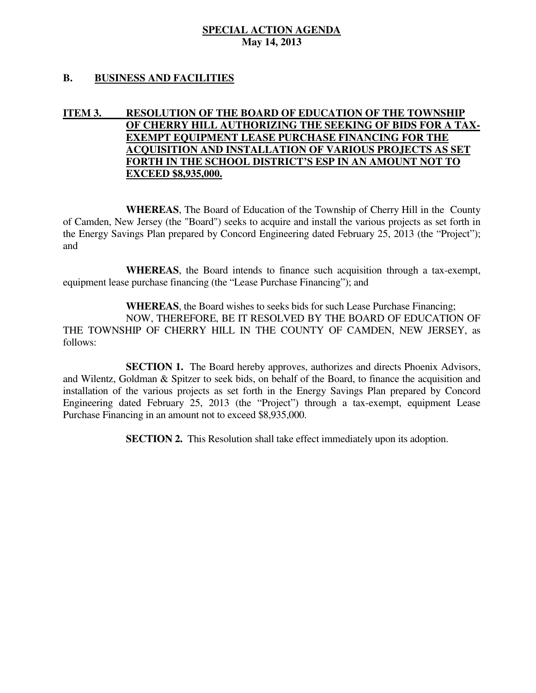#### **B. BUSINESS AND FACILITIES**

#### **ITEM 3. OF CHERRY HILL AUTHORIZING THE SEEKING OF BIDS FOR A TAX-RESOLUTION OF THE BOARD OF EDUCATION OF THE TOWNSHIP EXEMPT EQUIPMENT LEASE PURCHASE FINANCING FOR THE ACQUISITION AND INSTALLATION OF VARIOUS PROJECTS AS SET FORTH IN THE SCHOOL DISTRICT'S ESP IN AN AMOUNT NOT TO EXCEED \$8,935,000.**

 **WHEREAS**, The Board of Education of the Township of Cherry Hill in the County of Camden, New Jersey (the "Board") seeks to acquire and install the various projects as set forth in the Energy Savings Plan prepared by Concord Engineering dated February 25, 2013 (the "Project"); and

 **WHEREAS**, the Board intends to finance such acquisition through a tax-exempt, equipment lease purchase financing (the "Lease Purchase Financing"); and

 **WHEREAS**, the Board wishes to seeks bids for such Lease Purchase Financing; NOW, THEREFORE, BE IT RESOLVED BY THE BOARD OF EDUCATION OF THE TOWNSHIP OF CHERRY HILL IN THE COUNTY OF CAMDEN, NEW JERSEY, as follows:

 and Wilentz, Goldman & Spitzer to seek bids, on behalf of the Board, to finance the acquisition and installation of the various projects as set forth in the Energy Savings Plan prepared by Concord Engineering dated February 25, 2013 (the "Project") through a tax-exempt, equipment Lease Purchase Financing in an amount not to exceed \$8,935,000. **SECTION 1.** The Board hereby approves, authorizes and directs Phoenix Advisors,

**SECTION 2.** This Resolution shall take effect immediately upon its adoption.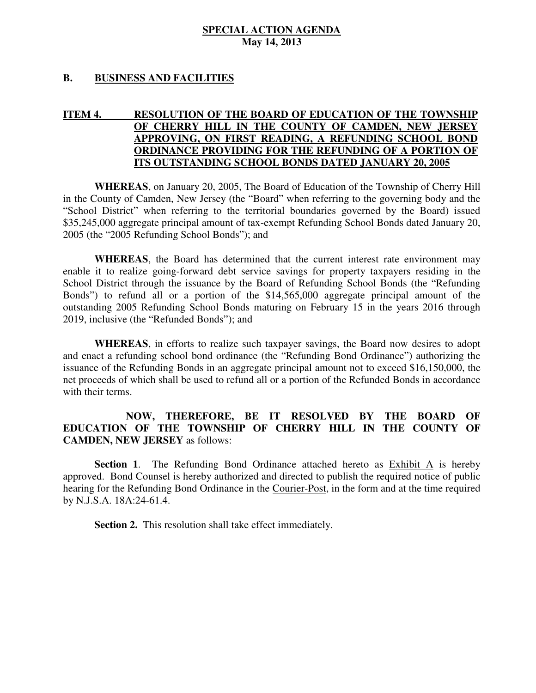#### **B. BUSINESS AND FACILITIES**

#### **ITEM 4. OF CHERRY HILL IN THE COUNTY OF CAMDEN, NEW JERSEY APPROVING, ON FIRST READING, A REFUNDING SCHOOL BOND ORDINANCE PROVIDING FOR THE REFUNDING OF A PORTION OF ITS OUTSTANDING SCHOOL BONDS DATED JANUARY 20, 2005 RESOLUTION OF THE BOARD OF EDUCATION OF THE TOWNSHIP**

 **WHEREAS**, on January 20, 2005, The Board of Education of the Township of Cherry Hill in the County of Camden, New Jersey (the "Board" when referring to the governing body and the "School District" when referring to the territorial boundaries governed by the Board) issued \$35,245,000 aggregate principal amount of tax-exempt Refunding School Bonds dated January 20, 2005 (the "2005 Refunding School Bonds"); and

 **WHEREAS**, the Board has determined that the current interest rate environment may enable it to realize going-forward debt service savings for property taxpayers residing in the School District through the issuance by the Board of Refunding School Bonds (the "Refunding Bonds") to refund all or a portion of the \$14,565,000 aggregate principal amount of the outstanding 2005 Refunding School Bonds maturing on February 15 in the years 2016 through 2019, inclusive (the "Refunded Bonds"); and

 **WHEREAS**, in efforts to realize such taxpayer savings, the Board now desires to adopt and enact a refunding school bond ordinance (the "Refunding Bond Ordinance") authorizing the issuance of the Refunding Bonds in an aggregate principal amount not to exceed \$16,150,000, the net proceeds of which shall be used to refund all or a portion of the Refunded Bonds in accordance with their terms.

#### **EDUCATION OF THE TOWNSHIP OF CHERRY HILL IN THE COUNTY OF CAMDEN, NEW JERSEY** as follows: **NOW, THEREFORE, BE IT RESOLVED BY THE BOARD OF**

Section 1. The Refunding Bond Ordinance attached hereto as **Exhibit A** is hereby approved. Bond Counsel is hereby authorized and directed to publish the required notice of public hearing for the Refunding Bond Ordinance in the Courier-Post, in the form and at the time required by N.J.S.A. 18A:24-61.4.

**Section 2.** This resolution shall take effect immediately.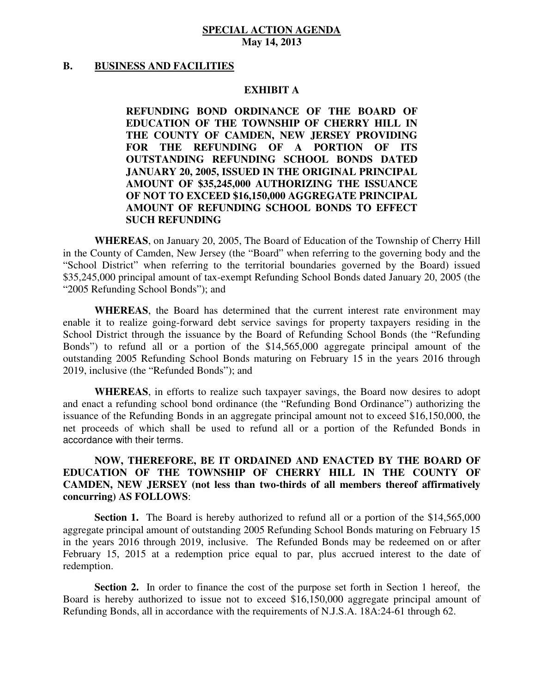#### **B.** BUSINESS AND FACILITIES

#### **EXHIBIT A**

 **REFUNDING BOND ORDINANCE OF THE BOARD OF EDUCATION OF THE TOWNSHIP OF CHERRY HILL IN THE COUNTY OF CAMDEN, NEW JERSEY PROVIDING FOR THE REFUNDING OF A PORTION OF ITS OUTSTANDING REFUNDING SCHOOL BONDS DATED JANUARY 20, 2005, ISSUED IN THE ORIGINAL PRINCIPAL AMOUNT OF \$35,245,000 AUTHORIZING THE ISSUANCE OF NOT TO EXCEED \$16,150,000 AGGREGATE PRINCIPAL AMOUNT OF REFUNDING SCHOOL BONDS TO EFFECT SUCH REFUNDING** 

 **WHEREAS**, on January 20, 2005, The Board of Education of the Township of Cherry Hill in the County of Camden, New Jersey (the "Board" when referring to the governing body and the "School District" when referring to the territorial boundaries governed by the Board) issued \$35,245,000 principal amount of tax-exempt Refunding School Bonds dated January 20, 2005 (the "2005 Refunding School Bonds"); and

 **WHEREAS**, the Board has determined that the current interest rate environment may enable it to realize going-forward debt service savings for property taxpayers residing in the School District through the issuance by the Board of Refunding School Bonds (the "Refunding Bonds") to refund all or a portion of the \$14,565,000 aggregate principal amount of the outstanding 2005 Refunding School Bonds maturing on February 15 in the years 2016 through 2019, inclusive (the "Refunded Bonds"); and

 **WHEREAS**, in efforts to realize such taxpayer savings, the Board now desires to adopt and enact a refunding school bond ordinance (the "Refunding Bond Ordinance") authorizing the issuance of the Refunding Bonds in an aggregate principal amount not to exceed \$16,150,000, the net proceeds of which shall be used to refund all or a portion of the Refunded Bonds in accordance with their terms.

#### **NOW, THEREFORE, BE IT ORDAINED AND ENACTED BY THE BOARD OF EDUCATION OF THE TOWNSHIP OF CHERRY HILL IN THE COUNTY OF CAMDEN, NEW JERSEY (not less than two-thirds of all members thereof affirmatively concurring) AS FOLLOWS**:

**Section 1.** The Board is hereby authorized to refund all or a portion of the \$14,565,000 aggregate principal amount of outstanding 2005 Refunding School Bonds maturing on February 15 in the years 2016 through 2019, inclusive. The Refunded Bonds may be redeemed on or after February 15, 2015 at a redemption price equal to par, plus accrued interest to the date of redemption.

 **Section 2.** In order to finance the cost of the purpose set forth in Section 1 hereof, the Board is hereby authorized to issue not to exceed \$16,150,000 aggregate principal amount of Refunding Bonds, all in accordance with the requirements of N.J.S.A. 18A:24-61 through 62.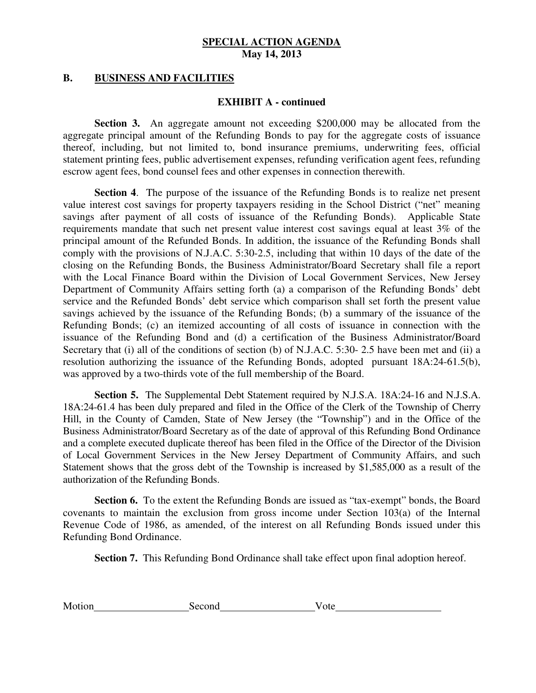#### **B.** BUSINESS AND FACILITIES

#### **EXHIBIT A - continued**

 **Section 3.** An aggregate amount not exceeding \$200,000 may be allocated from the aggregate principal amount of the Refunding Bonds to pay for the aggregate costs of issuance thereof, including, but not limited to, bond insurance premiums, underwriting fees, official statement printing fees, public advertisement expenses, refunding verification agent fees, refunding escrow agent fees, bond counsel fees and other expenses in connection therewith.

 **Section 4**. The purpose of the issuance of the Refunding Bonds is to realize net present value interest cost savings for property taxpayers residing in the School District ("net" meaning savings after payment of all costs of issuance of the Refunding Bonds). Applicable State requirements mandate that such net present value interest cost savings equal at least 3% of the principal amount of the Refunded Bonds. In addition, the issuance of the Refunding Bonds shall comply with the provisions of N.J.A.C. 5:30-2.5, including that within 10 days of the date of the closing on the Refunding Bonds, the Business Administrator/Board Secretary shall file a report with the Local Finance Board within the Division of Local Government Services, New Jersey Department of Community Affairs setting forth (a) a comparison of the Refunding Bonds' debt service and the Refunded Bonds' debt service which comparison shall set forth the present value savings achieved by the issuance of the Refunding Bonds; (b) a summary of the issuance of the Refunding Bonds; (c) an itemized accounting of all costs of issuance in connection with the issuance of the Refunding Bond and (d) a certification of the Business Administrator/Board Secretary that (i) all of the conditions of section (b) of N.J.A.C. 5:30- 2.5 have been met and (ii) a resolution authorizing the issuance of the Refunding Bonds, adopted pursuant 18A:24-61.5(b), was approved by a two-thirds vote of the full membership of the Board.

 **Section 5.** The Supplemental Debt Statement required by N.J.S.A. 18A:24-16 and N.J.S.A. 18A:24-61.4 has been duly prepared and filed in the Office of the Clerk of the Township of Cherry Hill, in the County of Camden, State of New Jersey (the "Township") and in the Office of the Business Administrator/Board Secretary as of the date of approval of this Refunding Bond Ordinance and a complete executed duplicate thereof has been filed in the Office of the Director of the Division of Local Government Services in the New Jersey Department of Community Affairs, and such Statement shows that the gross debt of the Township is increased by \$1,585,000 as a result of the authorization of the Refunding Bonds.

 **Section 6.** To the extent the Refunding Bonds are issued as "tax-exempt" bonds, the Board covenants to maintain the exclusion from gross income under Section 103(a) of the Internal Revenue Code of 1986, as amended, of the interest on all Refunding Bonds issued under this Refunding Bond Ordinance.

**Section 7.** This Refunding Bond Ordinance shall take effect upon final adoption hereof.

| Motion | Second | ote |
|--------|--------|-----|
|        |        |     |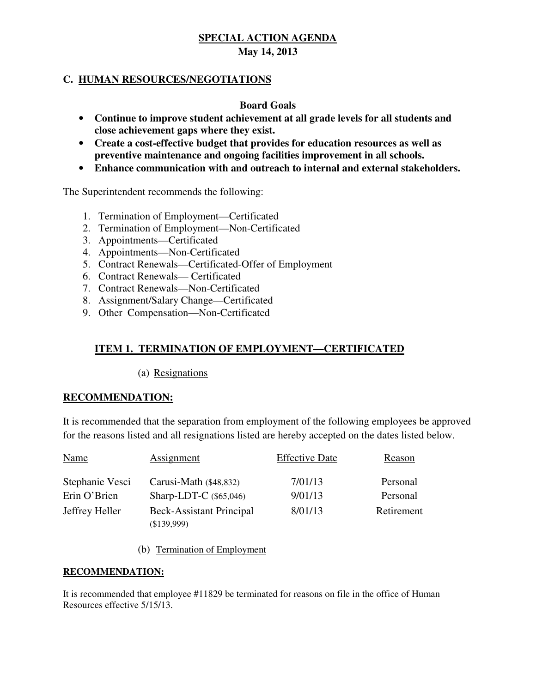# **C. HUMAN RESOURCES/NEGOTIATIONS**

#### **Board Goals**

- • **Continue to improve student achievement at all grade levels for all students and close achievement gaps where they exist.**
- • **Create a cost-effective budget that provides for education resources as well as preventive maintenance and ongoing facilities improvement in all schools.**
- • **Enhance communication with and outreach to internal and external stakeholders.**

The Superintendent recommends the following:

- 1. Termination of Employment—Certificated
- 2. Termination of Employment—Non-Certificated
- 3. Appointments—Certificated
- 4. Appointments—Non-Certificated
- 5. Contract Renewals—Certificated-Offer of Employment
- 6. Contract Renewals— Certificated
- 7. Contract Renewals—Non-Certificated
- 8. Assignment/Salary Change—Certificated
- 8. Assignment/Salary Change—Certificated 9. Other Compensation—Non-Certificated

# **ITEM 1. TERMINATION OF EMPLOYMENT—CERTIFICATED**

(a) Resignations

#### **RECOMMENDATION:**

 It is recommended that the separation from employment of the following employees be approved for the reasons listed and all resignations listed are hereby accepted on the dates listed below.

| <b>Name</b>     | Assignment                                       | <b>Effective Date</b> | Reason     |
|-----------------|--------------------------------------------------|-----------------------|------------|
| Stephanie Vesci | Carusi-Math (\$48,832)                           | 7/01/13               | Personal   |
| Erin O'Brien    | Sharp-LDT-C $(\$65,046)$                         | 9/01/13               | Personal   |
| Jeffrey Heller  | <b>Beck-Assistant Principal</b><br>$(\$139,999)$ | 8/01/13               | Retirement |

(b) Termination of Employment

#### **RECOMMENDATION:**

 It is recommended that employee #11829 be terminated for reasons on file in the office of Human Resources effective 5/15/13.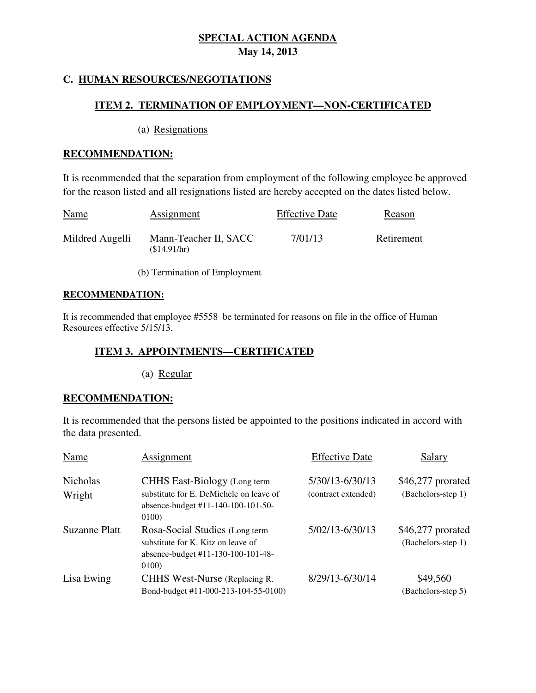# **C. HUMAN RESOURCES/NEGOTIATIONS**

#### **ITEM 2. TERMINATION OF EMPLOYMENT—NON-CERTIFICATED**

(a) Resignations

#### **RECOMMENDATION:**

 It is recommended that the separation from employment of the following employee be approved for the reason listed and all resignations listed are hereby accepted on the dates listed below.

| <b>Name</b>     | Assignment                           | <b>Effective Date</b> | Reason     |
|-----------------|--------------------------------------|-----------------------|------------|
| Mildred Augelli | Mann-Teacher II, SACC<br>(S14.91/hr) | 7/01/13               | Retirement |

(b) Termination of Employment

#### **RECOMMENDATION:**

 It is recommended that employee #5558 be terminated for reasons on file in the office of Human Resources effective 5/15/13.

#### **ITEM 3. APPOINTMENTS—CERTIFICATED**

(a) Regular

#### **RECOMMENDATION:**

 It is recommended that the persons listed be appointed to the positions indicated in accord with the data presented.

| Name                      | Assignment                                                                                                                    | <b>Effective Date</b>                  | Salary                                   |
|---------------------------|-------------------------------------------------------------------------------------------------------------------------------|----------------------------------------|------------------------------------------|
| <b>Nicholas</b><br>Wright | <b>CHHS</b> East-Biology (Long term<br>substitute for E. DeMichele on leave of<br>absence-budget #11-140-100-101-50-<br>0100) | 5/30/13-6/30/13<br>(contract extended) | $$46,277$ prorated<br>(Bachelors-step 1) |
| Suzanne Platt             | Rosa-Social Studies (Long term<br>substitute for K. Kitz on leave of<br>absence-budget #11-130-100-101-48-<br>0100)           | 5/02/13-6/30/13                        | \$46,277 prorated<br>(Bachelors-step 1)  |
| Lisa Ewing                | CHHS West-Nurse (Replacing R.<br>Bond-budget #11-000-213-104-55-0100)                                                         | 8/29/13-6/30/14                        | \$49,560<br>(Bachelors-step 5)           |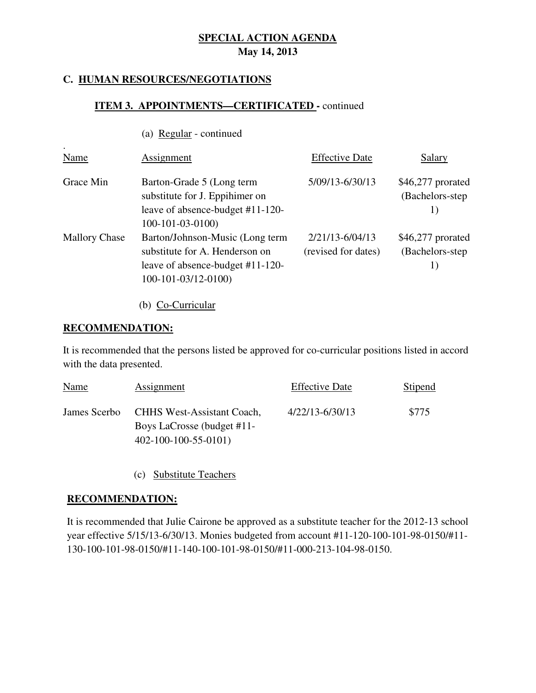#### **C. HUMAN RESOURCES/NEGOTIATIONS**

#### **ITEM 3. APPOINTMENTS—CERTIFICATED -** continued

|  |  | (a) Regular - continued |
|--|--|-------------------------|
|--|--|-------------------------|

| Name                 | Assignment                                                                                                                   | <b>Effective Date</b>                      | Salary                                       |
|----------------------|------------------------------------------------------------------------------------------------------------------------------|--------------------------------------------|----------------------------------------------|
| Grace Min            | Barton-Grade 5 (Long term<br>substitute for J. Eppihimer on<br>leave of absence-budget #11-120-<br>$100-101-03-0100$         | 5/09/13-6/30/13                            | $$46,277$ prorated<br>(Bachelors-step)<br>1) |
| <b>Mallory Chase</b> | Barton/Johnson-Music (Long term<br>substitute for A. Henderson on<br>leave of absence-budget #11-120-<br>100-101-03/12-0100) | $2/21/13 - 6/04/13$<br>(revised for dates) | $$46,277$ prorated<br>(Bachelors-step)<br>1) |

(b) Co-Curricular

#### **RECOMMENDATION:**

.

 It is recommended that the persons listed be approved for co-curricular positions listed in accord with the data presented.

| Name | Assignment                                                                                             | <b>Effective Date</b> | Stipend |
|------|--------------------------------------------------------------------------------------------------------|-----------------------|---------|
|      | James Scerbo CHHS West-Assistant Coach,<br>Boys LaCrosse (budget #11-<br>$402 - 100 - 100 - 55 - 0101$ | $4/22/13 - 6/30/13$   | \$775   |

(c) Substitute Teachers

#### **RECOMMENDATION:**

 It is recommended that Julie Cairone be approved as a substitute teacher for the 2012-13 school year effective 5/15/13-6/30/13. Monies budgeted from account #11-120-100-101-98-0150/#11 130-100-101-98-0150/#11-140-100-101-98-0150/#11-000-213-104-98-0150.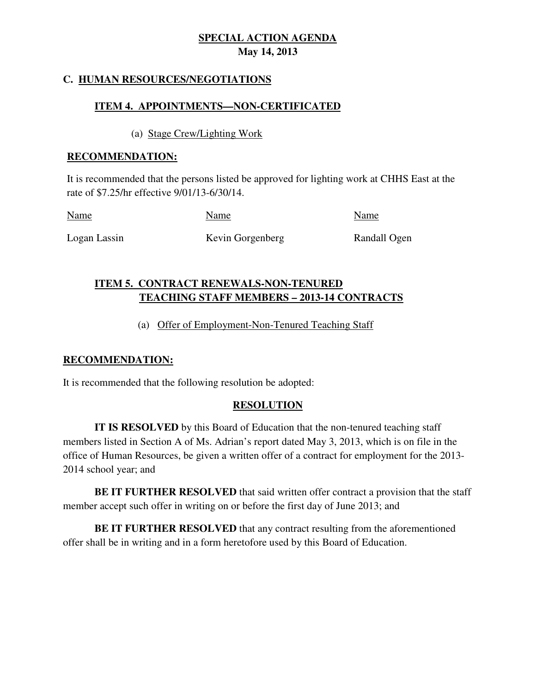# **C. HUMAN RESOURCES/NEGOTIATIONS**

#### **ITEM 4. APPOINTMENTS—NON-CERTIFICATED**

(a) Stage Crew/Lighting Work

#### **RECOMMENDATION:**

 It is recommended that the persons listed be approved for lighting work at CHHS East at the rate of \$7.25/hr effective 9/01/13-6/30/14.

| <b>Name</b>  | Name             | Name         |
|--------------|------------------|--------------|
| Logan Lassin | Kevin Gorgenberg | Randall Ogen |

# **ITEM 5. CONTRACT RENEWALS-NON-TENURED TEACHING STAFF MEMBERS – 2013-14 CONTRACTS**

# (a) Offer of Employment-Non-Tenured Teaching Staff

#### **RECOMMENDATION:**

It is recommended that the following resolution be adopted:

#### **RESOLUTION**

 **IT IS RESOLVED** by this Board of Education that the non-tenured teaching staff members listed in Section A of Ms. Adrian's report dated May 3, 2013, which is on file in the office of Human Resources, be given a written offer of a contract for employment for the 2013 2014 school year; and

 **BE IT FURTHER RESOLVED** that said written offer contract a provision that the staff member accept such offer in writing on or before the first day of June 2013; and

 **BE IT FURTHER RESOLVED** that any contract resulting from the aforementioned offer shall be in writing and in a form heretofore used by this Board of Education.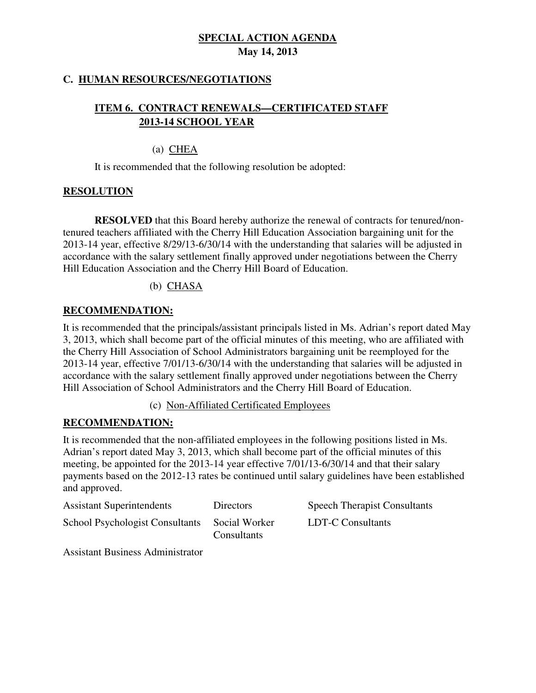### **C. HUMAN RESOURCES/NEGOTIATIONS**

# **ITEM 6. CONTRACT RENEWALS—CERTIFICATED STAFF 2013-14 SCHOOL YEAR**

### (a) CHEA

It is recommended that the following resolution be adopted:

# **RESOLUTION**

 **RESOLVED** that this Board hereby authorize the renewal of contracts for tenured/non- tenured teachers affiliated with the Cherry Hill Education Association bargaining unit for the 2013-14 year, effective 8/29/13-6/30/14 with the understanding that salaries will be adjusted in accordance with the salary settlement finally approved under negotiations between the Cherry Hill Education Association and the Cherry Hill Board of Education.

# (b) CHASA

# **RECOMMENDATION:**

 It is recommended that the principals/assistant principals listed in Ms. Adrian's report dated May 3, 2013, which shall become part of the official minutes of this meeting, who are affiliated with the Cherry Hill Association of School Administrators bargaining unit be reemployed for the 2013-14 year, effective 7/01/13-6/30/14 with the understanding that salaries will be adjusted in accordance with the salary settlement finally approved under negotiations between the Cherry Hill Association of School Administrators and the Cherry Hill Board of Education.

(c) Non-Affiliated Certificated Employees

#### **RECOMMENDATION:**

 It is recommended that the non-affiliated employees in the following positions listed in Ms. Adrian's report dated May 3, 2013, which shall become part of the official minutes of this meeting, be appointed for the 2013-14 year effective 7/01/13-6/30/14 and that their salary payments based on the 2012-13 rates be continued until salary guidelines have been established and approved.

| <b>Assistant Superintendents</b>       | Directors                           | <b>Speech Therapist Consultants</b> |
|----------------------------------------|-------------------------------------|-------------------------------------|
| <b>School Psychologist Consultants</b> | Social Worker<br><b>Consultants</b> | LDT-C Consultants                   |

Assistant Business Administrator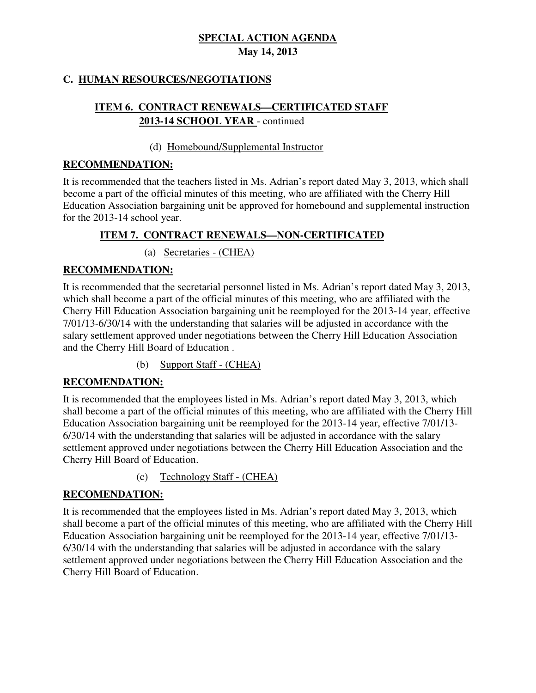# **C. HUMAN RESOURCES/NEGOTIATIONS**

# **ITEM 6. CONTRACT RENEWALS—CERTIFICATED STAFF 2013-14 SCHOOL YEAR** - continued

#### (d) Homebound/Supplemental Instructor

#### **RECOMMENDATION:**

 It is recommended that the teachers listed in Ms. Adrian's report dated May 3, 2013, which shall become a part of the official minutes of this meeting, who are affiliated with the Cherry Hill Education Association bargaining unit be approved for homebound and supplemental instruction for the 2013-14 school year.

#### **ITEM 7. CONTRACT RENEWALS—NON-CERTIFICATED**

(a) Secretaries - (CHEA)

#### **RECOMMENDATION:**

 It is recommended that the secretarial personnel listed in Ms. Adrian's report dated May 3, 2013, which shall become a part of the official minutes of this meeting, who are affiliated with the Cherry Hill Education Association bargaining unit be reemployed for the 2013-14 year, effective 7/01/13-6/30/14 with the understanding that salaries will be adjusted in accordance with the salary settlement approved under negotiations between the Cherry Hill Education Association and the Cherry Hill Board of Education .

(b) Support Staff - (CHEA)

#### **RECOMENDATION:**

 It is recommended that the employees listed in Ms. Adrian's report dated May 3, 2013, which shall become a part of the official minutes of this meeting, who are affiliated with the Cherry Hill Education Association bargaining unit be reemployed for the 2013-14 year, effective 7/01/13 6/30/14 with the understanding that salaries will be adjusted in accordance with the salary settlement approved under negotiations between the Cherry Hill Education Association and the Cherry Hill Board of Education.

(c) Technology Staff - (CHEA)

#### **RECOMENDATION:**

 It is recommended that the employees listed in Ms. Adrian's report dated May 3, 2013, which shall become a part of the official minutes of this meeting, who are affiliated with the Cherry Hill Education Association bargaining unit be reemployed for the 2013-14 year, effective 7/01/13 6/30/14 with the understanding that salaries will be adjusted in accordance with the salary settlement approved under negotiations between the Cherry Hill Education Association and the Cherry Hill Board of Education.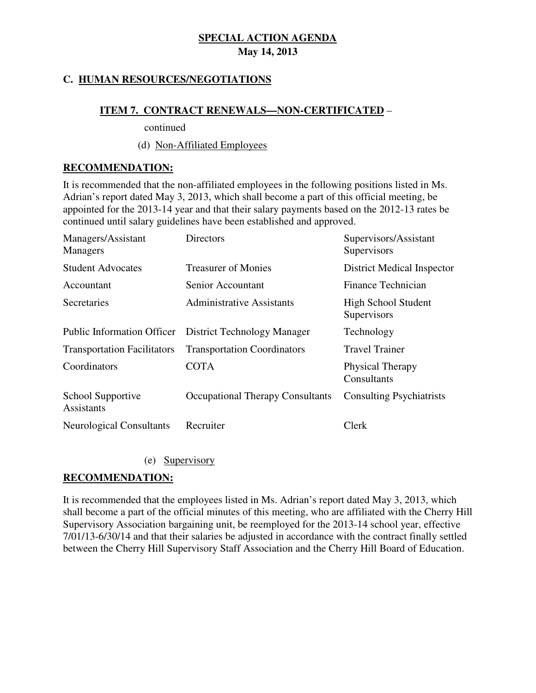# **C. HUMAN RESOURCES/NEGOTIATIONS**

#### **ITEM 7. CONTRACT RENEWALS—NON-CERTIFICATED** –

continued

#### (d) Non-Affiliated Employees

#### **RECOMMENDATION:**

 It is recommended that the non-affiliated employees in the following positions listed in Ms. Adrian's report dated May 3, 2013, which shall become a part of this official meeting, be appointed for the 2013-14 year and that their salary payments based on the 2012-13 rates be continued until salary guidelines have been established and approved.

| Managers/Assistant<br><b>Managers</b>  | Directors                               | Supervisors/Assistant<br>Supervisors      |
|----------------------------------------|-----------------------------------------|-------------------------------------------|
| <b>Student Advocates</b>               | <b>Treasurer of Monies</b>              | <b>District Medical Inspector</b>         |
| Accountant                             | Senior Accountant                       | Finance Technician                        |
| Secretaries                            | Administrative Assistants               | <b>High School Student</b><br>Supervisors |
| <b>Public Information Officer</b>      | District Technology Manager             | Technology                                |
| <b>Transportation Facilitators</b>     | <b>Transportation Coordinators</b>      | <b>Travel Trainer</b>                     |
| Coordinators                           | <b>COTA</b>                             | Physical Therapy<br>Consultants           |
| School Supportive<br><b>Assistants</b> | <b>Occupational Therapy Consultants</b> | <b>Consulting Psychiatrists</b>           |
| <b>Neurological Consultants</b>        | Recruiter                               | Clerk                                     |

(e) Supervisory

#### **RECOMMENDATION:**

 It is recommended that the employees listed in Ms. Adrian's report dated May 3, 2013, which shall become a part of the official minutes of this meeting, who are affiliated with the Cherry Hill Supervisory Association bargaining unit, be reemployed for the 2013-14 school year, effective 7/01/13-6/30/14 and that their salaries be adjusted in accordance with the contract finally settled between the Cherry Hill Supervisory Staff Association and the Cherry Hill Board of Education.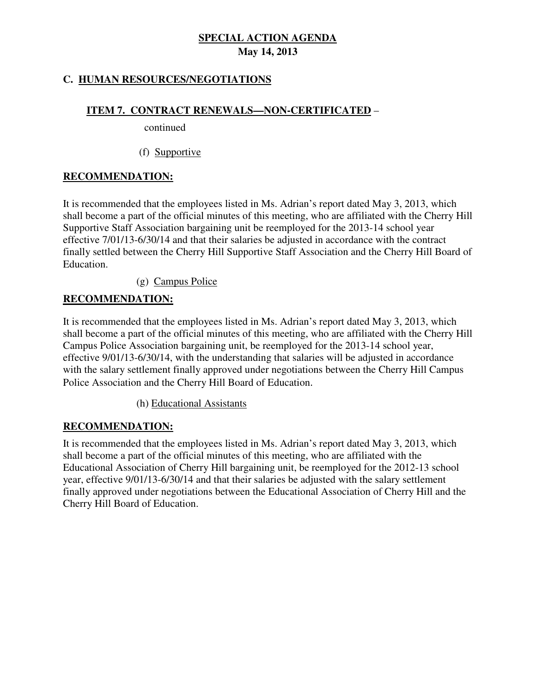# **C. HUMAN RESOURCES/NEGOTIATIONS**

#### **ITEM 7. CONTRACT RENEWALS—NON-CERTIFICATED** –

continued

(f) Supportive

#### **RECOMMENDATION:**

 It is recommended that the employees listed in Ms. Adrian's report dated May 3, 2013, which shall become a part of the official minutes of this meeting, who are affiliated with the Cherry Hill Supportive Staff Association bargaining unit be reemployed for the 2013-14 school year effective 7/01/13-6/30/14 and that their salaries be adjusted in accordance with the contract finally settled between the Cherry Hill Supportive Staff Association and the Cherry Hill Board of Education.

 $(g)$  Campus Police

#### **RECOMMENDATION:**

 It is recommended that the employees listed in Ms. Adrian's report dated May 3, 2013, which shall become a part of the official minutes of this meeting, who are affiliated with the Cherry Hill Campus Police Association bargaining unit, be reemployed for the 2013-14 school year, effective 9/01/13-6/30/14, with the understanding that salaries will be adjusted in accordance with the salary settlement finally approved under negotiations between the Cherry Hill Campus Police Association and the Cherry Hill Board of Education.

(h) Educational Assistants

#### **RECOMMENDATION:**

 It is recommended that the employees listed in Ms. Adrian's report dated May 3, 2013, which shall become a part of the official minutes of this meeting, who are affiliated with the Educational Association of Cherry Hill bargaining unit, be reemployed for the 2012-13 school year, effective 9/01/13-6/30/14 and that their salaries be adjusted with the salary settlement finally approved under negotiations between the Educational Association of Cherry Hill and the Cherry Hill Board of Education.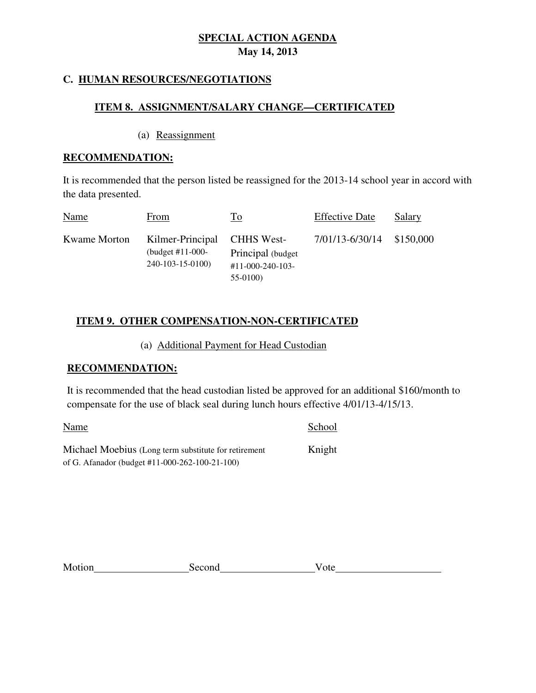### **C. HUMAN RESOURCES/NEGOTIATIONS**

#### **ITEM 8. ASSIGNMENT/SALARY CHANGE—CERTIFICATED**

(a) Reassignment

#### **RECOMMENDATION:**

 It is recommended that the person listed be reassigned for the 2013-14 school year in accord with the data presented.

| Name         | From                                                                  | To                                                          | <b>Effective Date</b> | Salary    |
|--------------|-----------------------------------------------------------------------|-------------------------------------------------------------|-----------------------|-----------|
| Kwame Morton | Kilmer-Principal CHHS West-<br>(budget $#11-000-$<br>240-103-15-0100) | Principal (budget)<br>$\#11 - 000 - 240 - 103$<br>$55-0100$ | 7/01/13-6/30/14       | \$150,000 |

# **ITEM 9. OTHER COMPENSATION-NON-CERTIFICATED**

### (a) Additional Payment for Head Custodian

#### **RECOMMENDATION:**

 It is recommended that the head custodian listed be approved for an additional \$160/month to compensate for the use of black seal during lunch hours effective 4/01/13-4/15/13.

Name School

Michael Moebius (Long term substitute for retirement Knight of G. Afanador (budget #11-000-262-100-21-100)

| Motion | Second | ote |
|--------|--------|-----|
|        |        |     |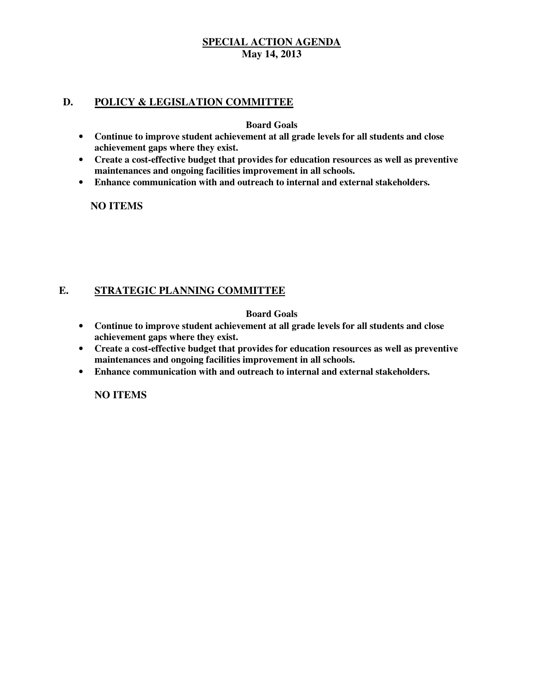#### **D. POLICY & LEGISLATION COMMITTEE**

 **Board Goals** 

- • **Continue to improve student achievement at all grade levels for all students and close achievement gaps where they exist.**
- • **Create a cost-effective budget that provides for education resources as well as preventive maintenances and ongoing facilities improvement in all schools.**
- • **Enhance communication with and outreach to internal and external stakeholders.**

 **NO ITEMS** 

#### **E. STRATEGIC PLANNING COMMITTEE**

#### **Board Goals**

- • **Continue to improve student achievement at all grade levels for all students and close achievement gaps where they exist.**
- **•** Create a cost-effective budget that provides for education resources as well as preventive  **maintenances and ongoing facilities improvement in all schools.**
- • **Enhance communication with and outreach to internal and external stakeholders.**

 **NO ITEMS**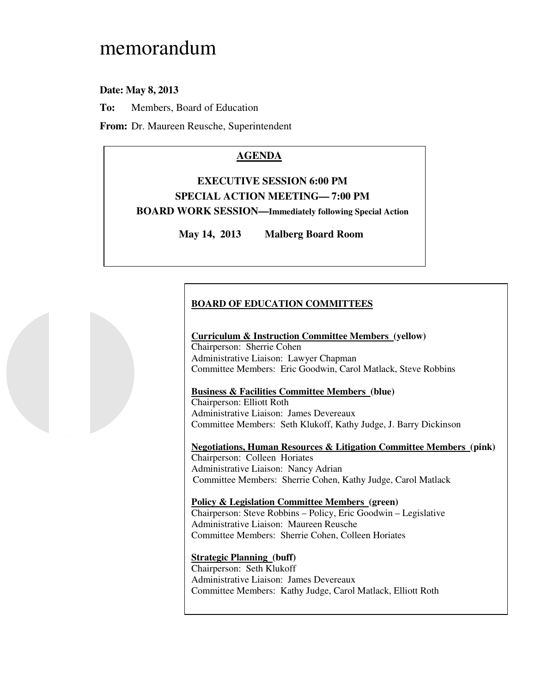# memorandum

#### **Date: May 8, 2013**

**To:** Members, Board of Education

**From:** Dr. Maureen Reusche, Superintendent

### **AGENDA**

# **EXECUTIVE SESSION 6:00 PM SPECIAL ACTION MEETING— 7:00 PM BOARD WORK SESSION—Immediately following Special Action**

**May 14, 2013 Malberg Board Room** 

#### **BOARD OF EDUCATION COMMITTEES**

# **Curriculum & Instruction Committee Members (yellow)**

 Chairperson: Sherrie Cohen Administrative Liaison: Lawyer Chapman Committee Members: Eric Goodwin, Carol Matlack, Steve Robbins

#### **Business & Facilities Committee Members (blue)**

 Chairperson: Elliott Roth Administrative Liaison: James Devereaux Committee Members: Seth Klukoff, Kathy Judge, J. Barry Dickinson

 **Negotiations, Human Resources & Litigation Committee Members (pink)**  Chairperson: Colleen Horiates Administrative Liaison: Nancy Adrian Committee Members: Sherrie Cohen, Kathy Judge, Carol Matlack

#### **Policy & Legislation Committee Members (green)**  Chairperson: Steve Robbins – Policy, Eric Goodwin – Legislative Administrative Liaison: Maureen Reusche Committee Members: Sherrie Cohen, Colleen Horiates

#### **Strategic Planning (buff)**

 Chairperson: Seth Klukoff Administrative Liaison: James Devereaux Committee Members: Kathy Judge, Carol Matlack, Elliott Roth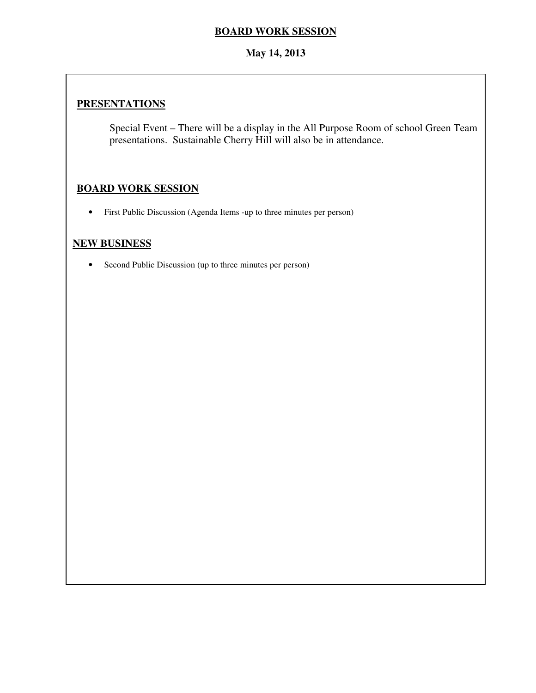#### **BOARD WORK SESSION**

#### **May 14, 2013**

# **PRESENTATIONS**

 Special Event – There will be a display in the All Purpose Room of school Green Team presentations. Sustainable Cherry Hill will also be in attendance.

# **BOARD WORK SESSION**

• First Public Discussion (Agenda Items -up to three minutes per person)

#### **NEW BUSINESS**

• Second Public Discussion (up to three minutes per person)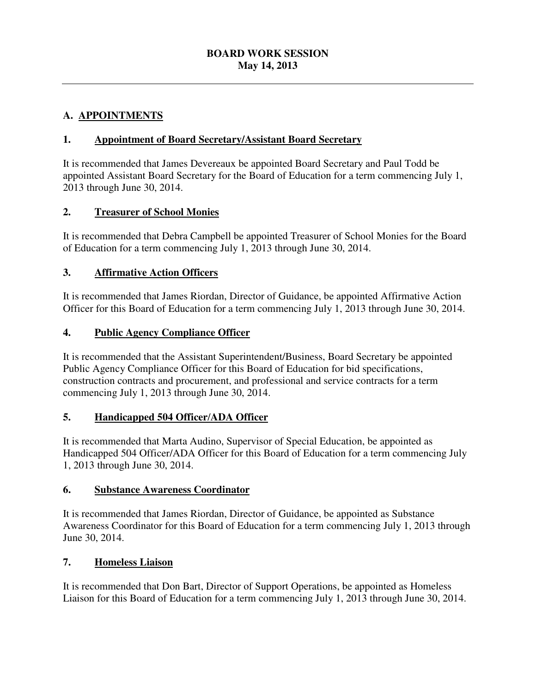# **A. APPOINTMENTS**

# **1. Appointment of Board Secretary/Assistant Board Secretary**

 It is recommended that James Devereaux be appointed Board Secretary and Paul Todd be appointed Assistant Board Secretary for the Board of Education for a term commencing July 1, 2013 through June 30, 2014.

### **2. Treasurer of School Monies**

 It is recommended that Debra Campbell be appointed Treasurer of School Monies for the Board of Education for a term commencing July 1, 2013 through June 30, 2014.

### **3. Affirmative Action Officers**

 It is recommended that James Riordan, Director of Guidance, be appointed Affirmative Action Officer for this Board of Education for a term commencing July 1, 2013 through June 30, 2014.

#### **4. Public Agency Compliance Officer**

 It is recommended that the Assistant Superintendent/Business, Board Secretary be appointed Public Agency Compliance Officer for this Board of Education for bid specifications, construction contracts and procurement, and professional and service contracts for a term commencing July 1, 2013 through June 30, 2014.

#### **5. Handicapped 504 Officer**/**ADA Officer**

 It is recommended that Marta Audino, Supervisor of Special Education, be appointed as Handicapped 504 Officer/ADA Officer for this Board of Education for a term commencing July 1, 2013 through June 30, 2014.

#### **6. Substance Awareness Coordinator**

 It is recommended that James Riordan, Director of Guidance, be appointed as Substance Awareness Coordinator for this Board of Education for a term commencing July 1, 2013 through June 30, 2014.

#### **7. Homeless Liaison**

 It is recommended that Don Bart, Director of Support Operations, be appointed as Homeless Liaison for this Board of Education for a term commencing July 1, 2013 through June 30, 2014.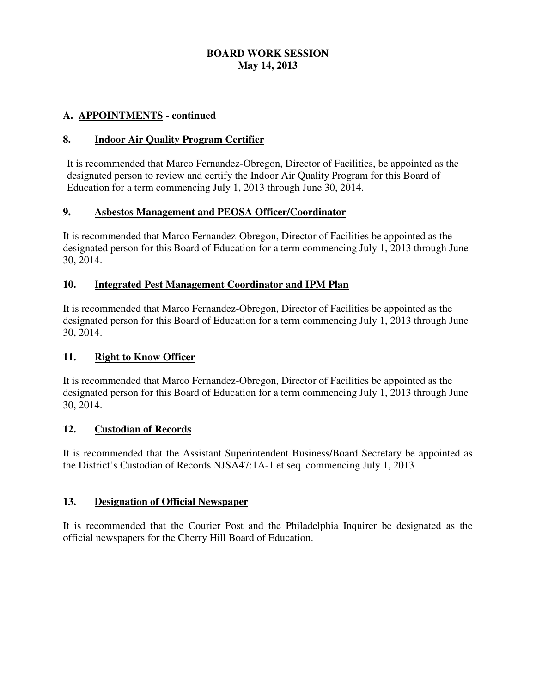#### **A. APPOINTMENTS - continued**

#### **8. Indoor Air Quality Program Certifier**

 It is recommended that Marco Fernandez-Obregon, Director of Facilities, be appointed as the designated person to review and certify the Indoor Air Quality Program for this Board of Education for a term commencing July 1, 2013 through June 30, 2014.

### **9. Asbestos Management and PEOSA Officer/Coordinator**

 It is recommended that Marco Fernandez-Obregon, Director of Facilities be appointed as the designated person for this Board of Education for a term commencing July 1, 2013 through June 30, 2014.

#### 10. **Integrated Pest Management Coordinator and IPM Plan**

 It is recommended that Marco Fernandez-Obregon, Director of Facilities be appointed as the designated person for this Board of Education for a term commencing July 1, 2013 through June 30, 2014.

#### **11. Right to Know Officer**

 It is recommended that Marco Fernandez-Obregon, Director of Facilities be appointed as the designated person for this Board of Education for a term commencing July 1, 2013 through June 30, 2014.

#### **12. 12. Custodian of Records**

 It is recommended that the Assistant Superintendent Business/Board Secretary be appointed as the District's Custodian of Records NJSA47:1A-1 et seq. commencing July 1, 2013

#### **13. Designation of Official Newspaper**

 It is recommended that the Courier Post and the Philadelphia Inquirer be designated as the official newspapers for the Cherry Hill Board of Education.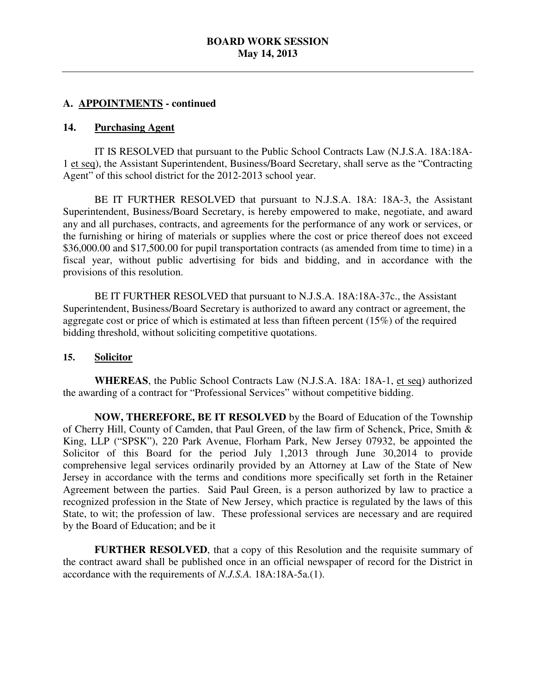#### **A. APPOINTMENTS - continued**

#### 14. Purchasing Agent

 1 et seq), the Assistant Superintendent, Business/Board Secretary, shall serve as the "Contracting Agent" of this school district for the 2012-2013 school year. IT IS RESOLVED that pursuant to the Public School Contracts Law (N.J.S.A. 18A:18A-

 Superintendent, Business/Board Secretary, is hereby empowered to make, negotiate, and award any and all purchases, contracts, and agreements for the performance of any work or services, or the furnishing or hiring of materials or supplies where the cost or price thereof does not exceed \$36,000.00 and \$17,500.00 for pupil transportation contracts (as amended from time to time) in a fiscal year, without public advertising for bids and bidding, and in accordance with the provisions of this resolution. BE IT FURTHER RESOLVED that pursuant to N.J.S.A. 18A: 18A-3, the Assistant

 BE IT FURTHER RESOLVED that pursuant to N.J.S.A. 18A:18A-37c., the Assistant Superintendent, Business/Board Secretary is authorized to award any contract or agreement, the aggregate cost or price of which is estimated at less than fifteen percent (15%) of the required bidding threshold, without soliciting competitive quotations.

#### **15. Solicitor**

 **WHEREAS**, the Public School Contracts Law (N.J.S.A. 18A: 18A-1, et seq) authorized the awarding of a contract for "Professional Services" without competitive bidding.

 **NOW, THEREFORE, BE IT RESOLVED** by the Board of Education of the Township of Cherry Hill, County of Camden, that Paul Green, of the law firm of Schenck, Price, Smith & King, LLP ("SPSK"), 220 Park Avenue, Florham Park, New Jersey 07932, be appointed the Solicitor of this Board for the period July 1,2013 through June 30,2014 to provide comprehensive legal services ordinarily provided by an Attorney at Law of the State of New Jersey in accordance with the terms and conditions more specifically set forth in the Retainer Agreement between the parties. Said Paul Green, is a person authorized by law to practice a recognized profession in the State of New Jersey, which practice is regulated by the laws of this State, to wit; the profession of law. These professional services are necessary and are required by the Board of Education; and be it

 **FURTHER RESOLVED**, that a copy of this Resolution and the requisite summary of the contract award shall be published once in an official newspaper of record for the District in accordance with the requirements of *N.J.S.A.* 18A:18A-5a.(1).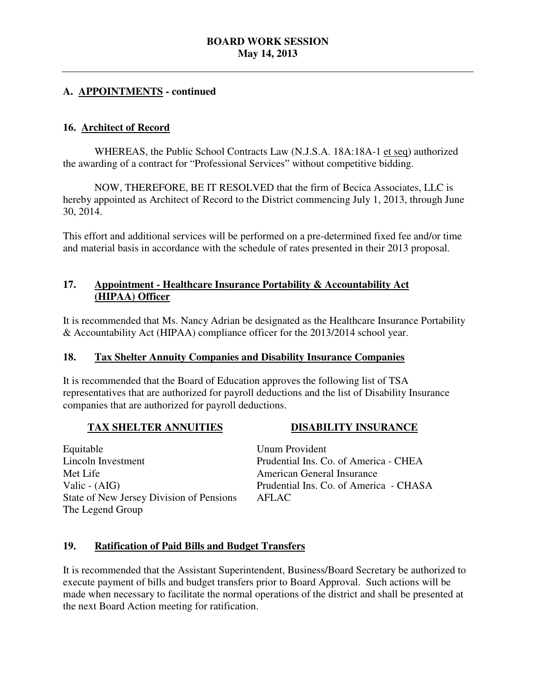#### **A. APPOINTMENTS - continued**

#### **16. Architect of Record**

WHEREAS, the Public School Contracts Law (N.J.S.A. 18A:18A-1 et seq) authorized the awarding of a contract for "Professional Services" without competitive bidding.

 NOW, THEREFORE, BE IT RESOLVED that the firm of Becica Associates, LLC is hereby appointed as Architect of Record to the District commencing July 1, 2013, through June 30, 2014.

 This effort and additional services will be performed on a pre-determined fixed fee and/or time and material basis in accordance with the schedule of rates presented in their 2013 proposal.

#### 17.  **(HIPAA) Officer**  Appointment - Healthcare Insurance Portability & Accountability Act

 It is recommended that Ms. Nancy Adrian be designated as the Healthcare Insurance Portability & Accountability Act (HIPAA) compliance officer for the 2013/2014 school year.

#### 18. **18. Tax Shelter Annuity Companies and Disability Insurance Companies**

 It is recommended that the Board of Education approves the following list of TSA representatives that are authorized for payroll deductions and the list of Disability Insurance companies that are authorized for payroll deductions.

#### **TAX SHELTER ANNUITIES**

**DISABILITY INSURANCE** 

 Lincoln Investment Met Life Valic - (AIG) State of New Jersey Division of Pensions The Legend Group Equitable

 Unum Provident Prudential Ins. Co. of America - CHEA American General Insurance Prudential Ins. Co. of America - CHASA AFLAC

#### **19. Ratification of Paid Bills and Budget Transfers**

 It is recommended that the Assistant Superintendent, Business/Board Secretary be authorized to execute payment of bills and budget transfers prior to Board Approval. Such actions will be made when necessary to facilitate the normal operations of the district and shall be presented at the next Board Action meeting for ratification.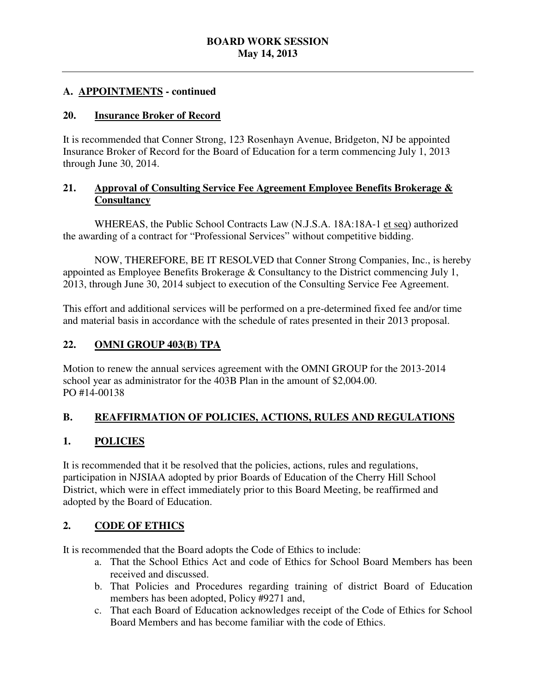### **A. APPOINTMENTS - continued**

#### **20. Insurance Broker of Record**

 It is recommended that Conner Strong, 123 Rosenhayn Avenue, Bridgeton, NJ be appointed Insurance Broker of Record for the Board of Education for a term commencing July 1, 2013 through June 30, 2014.

#### **Approval of Consulting Service Fee Agreement Employee Benefits Brokerage & Consultancy**

WHEREAS, the Public School Contracts Law (N.J.S.A. 18A:18A-1 et seq) authorized the awarding of a contract for "Professional Services" without competitive bidding.

 NOW, THEREFORE, BE IT RESOLVED that Conner Strong Companies, Inc., is hereby appointed as Employee Benefits Brokerage & Consultancy to the District commencing July 1, 2013, through June 30, 2014 subject to execution of the Consulting Service Fee Agreement.

 This effort and additional services will be performed on a pre-determined fixed fee and/or time and material basis in accordance with the schedule of rates presented in their 2013 proposal.

#### 22. **22. OMNI GROUP 403(B) TPA**

 Motion to renew the annual services agreement with the OMNI GROUP for the 2013-2014 school year as administrator for the 403B Plan in the amount of \$2,004.00. PO #14-00138

#### **B. REAFFIRMATION OF POLICIES, ACTIONS, RULES AND REGULATIONS**

#### **1. POLICIES**

 It is recommended that it be resolved that the policies, actions, rules and regulations, participation in NJSIAA adopted by prior Boards of Education of the Cherry Hill School District, which were in effect immediately prior to this Board Meeting, be reaffirmed and adopted by the Board of Education.

#### **2. CODE OF ETHICS**

It is recommended that the Board adopts the Code of Ethics to include:

- a. That the School Ethics Act and code of Ethics for School Board Members has been received and discussed.
- b. That Policies and Procedures regarding training of district Board of Education members has been adopted, Policy #9271 and,
- c. That each Board of Education acknowledges receipt of the Code of Ethics for School Board Members and has become familiar with the code of Ethics.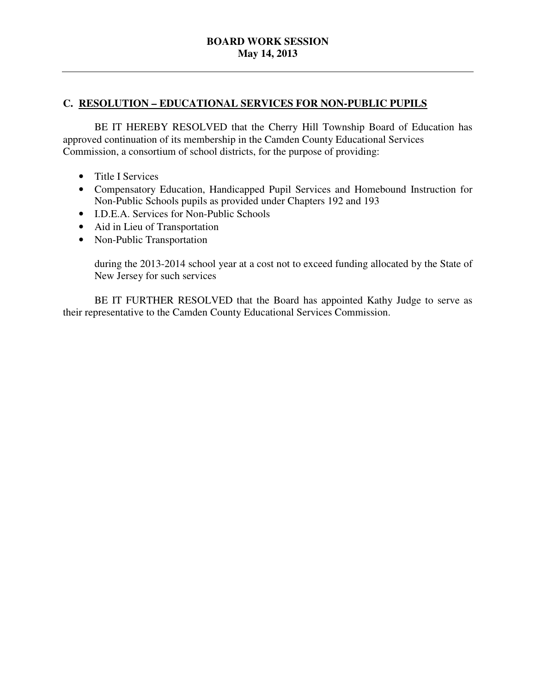#### **C. RESOLUTION – EDUCATIONAL SERVICES FOR NON-PUBLIC PUPILS**

 approved continuation of its membership in the Camden County Educational Services Commission, a consortium of school districts, for the purpose of providing: BE IT HEREBY RESOLVED that the Cherry Hill Township Board of Education has

- Title I Services
- • Compensatory Education, Handicapped Pupil Services and Homebound Instruction for Non-Public Schools pupils as provided under Chapters 192 and 193
- • I.D.E.A. Services for Non-Public Schools
- Aid in Lieu of Transportation
- Non-Public Transportation

 during the 2013-2014 school year at a cost not to exceed funding allocated by the State of New Jersey for such services

 their representative to the Camden County Educational Services Commission. BE IT FURTHER RESOLVED that the Board has appointed Kathy Judge to serve as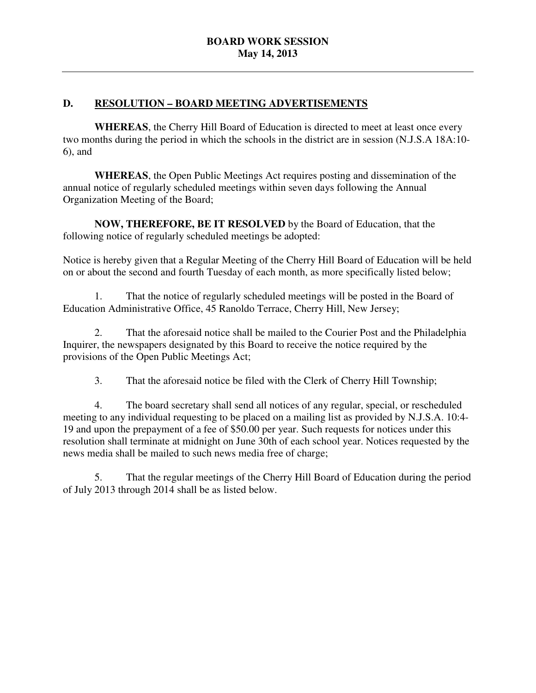# **D. RESOLUTION – BOARD MEETING ADVERTISEMENTS**

 **WHEREAS**, the Cherry Hill Board of Education is directed to meet at least once every two months during the period in which the schools in the district are in session (N.J.S.A 18A:10 6), and

 **WHEREAS**, the Open Public Meetings Act requires posting and dissemination of the annual notice of regularly scheduled meetings within seven days following the Annual Organization Meeting of the Board;

 **NOW, THEREFORE, BE IT RESOLVED** by the Board of Education, that the following notice of regularly scheduled meetings be adopted:

 Notice is hereby given that a Regular Meeting of the Cherry Hill Board of Education will be held on or about the second and fourth Tuesday of each month, as more specifically listed below;

 Education Administrative Office, 45 Ranoldo Terrace, Cherry Hill, New Jersey; 1. That the notice of regularly scheduled meetings will be posted in the Board of

 Inquirer, the newspapers designated by this Board to receive the notice required by the provisions of the Open Public Meetings Act; 2. That the aforesaid notice shall be mailed to the Courier Post and the Philadelphia

3. That the aforesaid notice be filed with the Clerk of Cherry Hill Township;

 4. The board secretary shall send all notices of any regular, special, or rescheduled meeting to any individual requesting to be placed on a mailing list as provided by N.J.S.A. 10:4 19 and upon the prepayment of a fee of \$50.00 per year. Such requests for notices under this resolution shall terminate at midnight on June 30th of each school year. Notices requested by the news media shall be mailed to such news media free of charge;

 5. That the regular meetings of the Cherry Hill Board of Education during the period of July 2013 through 2014 shall be as listed below.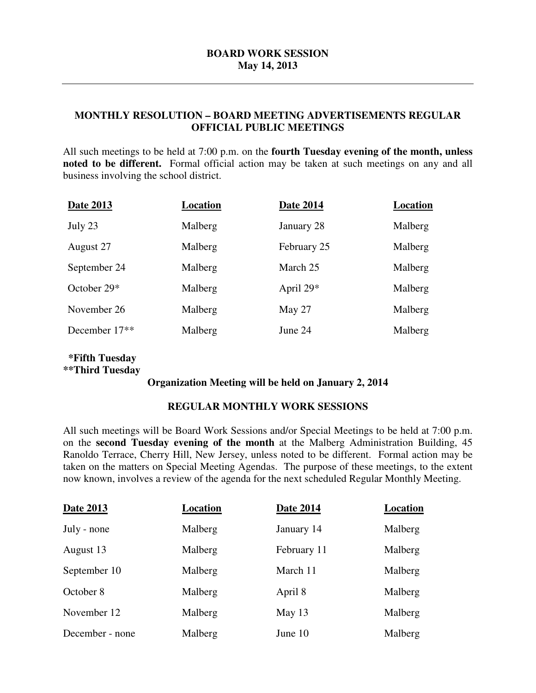#### **MONTHLY RESOLUTION – BOARD MEETING ADVERTISEMENTS REGULAR OFFICIAL PUBLIC MEETINGS**

 All such meetings to be held at 7:00 p.m. on the **fourth Tuesday evening of the month, unless noted to be different.** Formal official action may be taken at such meetings on any and all business involving the school district.

| <b>Date 2013</b> | Location | <b>Date 2014</b> | Location |
|------------------|----------|------------------|----------|
| July 23          | Malberg  | January 28       | Malberg  |
| August 27        | Malberg  | February 25      | Malberg  |
| September 24     | Malberg  | March 25         | Malberg  |
| October $29*$    | Malberg  | April $29*$      | Malberg  |
| November 26      | Malberg  | May 27           | Malberg  |
| December 17**    | Malberg  | June 24          | Malberg  |
|                  |          |                  |          |

#### **\*\*Third Tuesday \*Fifth Tuesday**

#### **Organization Meeting will be held on January 2, 2014**

#### **REGULAR MONTHLY WORK SESSIONS**

 All such meetings will be Board Work Sessions and/or Special Meetings to be held at 7:00 p.m. on the **second Tuesday evening of the month** at the Malberg Administration Building, 45 Ranoldo Terrace, Cherry Hill, New Jersey, unless noted to be different. Formal action may be taken on the matters on Special Meeting Agendas. The purpose of these meetings, to the extent now known, involves a review of the agenda for the next scheduled Regular Monthly Meeting.

| Date 2013       | Location | <b>Date 2014</b> | Location |
|-----------------|----------|------------------|----------|
| July - none     | Malberg  | January 14       | Malberg  |
| August 13       | Malberg  | February 11      | Malberg  |
| September 10    | Malberg  | March 11         | Malberg  |
| October 8       | Malberg  | April 8          | Malberg  |
| November 12     | Malberg  | May 13           | Malberg  |
| December - none | Malberg  | June 10          | Malberg  |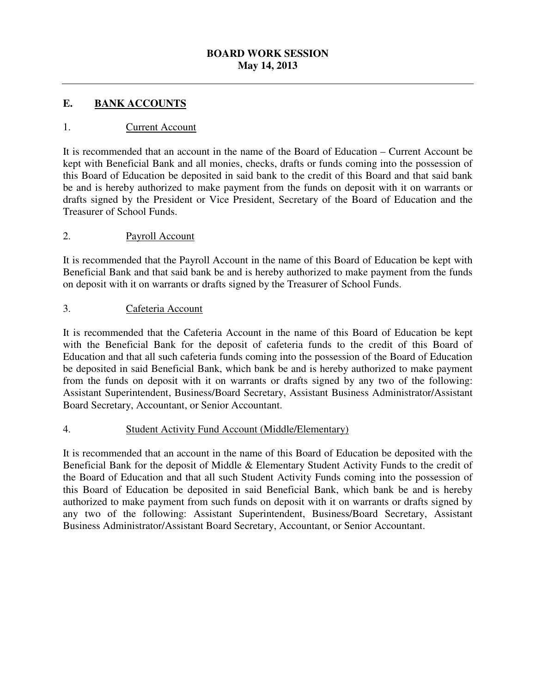#### **. E. BANK ACCOUNTS**

#### 1. Current Account

 It is recommended that an account in the name of the Board of Education – Current Account be kept with Beneficial Bank and all monies, checks, drafts or funds coming into the possession of this Board of Education be deposited in said bank to the credit of this Board and that said bank be and is hereby authorized to make payment from the funds on deposit with it on warrants or drafts signed by the President or Vice President, Secretary of the Board of Education and the Treasurer of School Funds.

#### 2. Payroll Account

 It is recommended that the Payroll Account in the name of this Board of Education be kept with Beneficial Bank and that said bank be and is hereby authorized to make payment from the funds on deposit with it on warrants or drafts signed by the Treasurer of School Funds.

#### 3. Cafeteria Account

 It is recommended that the Cafeteria Account in the name of this Board of Education be kept with the Beneficial Bank for the deposit of cafeteria funds to the credit of this Board of Education and that all such cafeteria funds coming into the possession of the Board of Education be deposited in said Beneficial Bank, which bank be and is hereby authorized to make payment from the funds on deposit with it on warrants or drafts signed by any two of the following: Assistant Superintendent, Business/Board Secretary, Assistant Business Administrator/Assistant Board Secretary, Accountant, or Senior Accountant.

#### 4. **Student Activity Fund Account (Middle/Elementary)**

 It is recommended that an account in the name of this Board of Education be deposited with the Beneficial Bank for the deposit of Middle & Elementary Student Activity Funds to the credit of the Board of Education and that all such Student Activity Funds coming into the possession of this Board of Education be deposited in said Beneficial Bank, which bank be and is hereby authorized to make payment from such funds on deposit with it on warrants or drafts signed by any two of the following: Assistant Superintendent, Business/Board Secretary, Assistant Business Administrator/Assistant Board Secretary, Accountant, or Senior Accountant.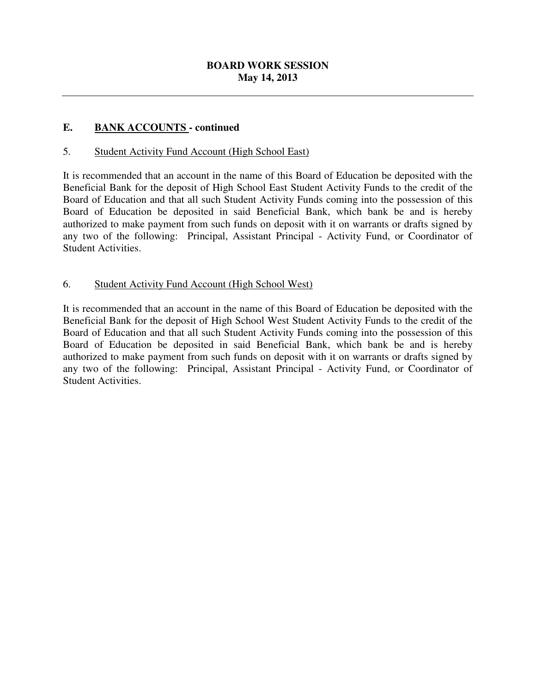#### $$ **EANK ACCOUNTS** - continued

#### 5. Student Activity Fund Account (High School East)

 It is recommended that an account in the name of this Board of Education be deposited with the Beneficial Bank for the deposit of High School East Student Activity Funds to the credit of the Board of Education and that all such Student Activity Funds coming into the possession of this Board of Education be deposited in said Beneficial Bank, which bank be and is hereby authorized to make payment from such funds on deposit with it on warrants or drafts signed by any two of the following: Principal, Assistant Principal - Activity Fund, or Coordinator of Student Activities.

# 6. Student Activity Fund Account (High School West)

 It is recommended that an account in the name of this Board of Education be deposited with the Beneficial Bank for the deposit of High School West Student Activity Funds to the credit of the Board of Education and that all such Student Activity Funds coming into the possession of this Board of Education be deposited in said Beneficial Bank, which bank be and is hereby authorized to make payment from such funds on deposit with it on warrants or drafts signed by any two of the following: Principal, Assistant Principal - Activity Fund, or Coordinator of Student Activities.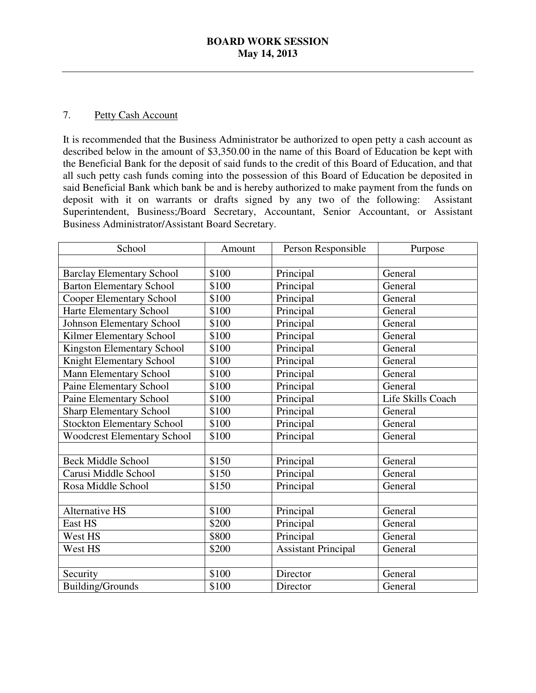#### $7.$ Petty Cash Account

 It is recommended that the Business Administrator be authorized to open petty a cash account as described below in the amount of \$3,350.00 in the name of this Board of Education be kept with the Beneficial Bank for the deposit of said funds to the credit of this Board of Education, and that all such petty cash funds coming into the possession of this Board of Education be deposited in said Beneficial Bank which bank be and is hereby authorized to make payment from the funds on deposit with it on warrants or drafts signed by any two of the following: Assistant Superintendent, Business;/Board Secretary, Accountant, Senior Accountant, or Assistant Business Administrator/Assistant Board Secretary.

| School                             | Amount | Person Responsible         | Purpose           |
|------------------------------------|--------|----------------------------|-------------------|
|                                    |        |                            |                   |
| <b>Barclay Elementary School</b>   | \$100  | Principal                  | General           |
| <b>Barton Elementary School</b>    | \$100  | Principal                  | General           |
| <b>Cooper Elementary School</b>    | \$100  | Principal                  | General           |
| Harte Elementary School            | \$100  | Principal                  | General           |
| <b>Johnson Elementary School</b>   | \$100  | Principal                  | General           |
| Kilmer Elementary School           | \$100  | Principal                  | General           |
| <b>Kingston Elementary School</b>  | \$100  | Principal                  | General           |
| Knight Elementary School           | \$100  | Principal                  | General           |
| <b>Mann Elementary School</b>      | \$100  | Principal                  | General           |
| Paine Elementary School            | \$100  | Principal                  | General           |
| Paine Elementary School            | \$100  | Principal                  | Life Skills Coach |
| <b>Sharp Elementary School</b>     | \$100  | Principal                  | General           |
| <b>Stockton Elementary School</b>  | \$100  | Principal                  | General           |
| <b>Woodcrest Elementary School</b> | \$100  | Principal                  | General           |
|                                    |        |                            |                   |
| <b>Beck Middle School</b>          | \$150  | Principal                  | General           |
| Carusi Middle School               | \$150  | Principal                  | General           |
| Rosa Middle School                 | \$150  | Principal                  | General           |
|                                    |        |                            |                   |
| <b>Alternative HS</b>              | \$100  | Principal                  | General           |
| East HS                            | \$200  | Principal                  | General           |
| West HS                            | \$800  | Principal                  | General           |
| West HS                            | \$200  | <b>Assistant Principal</b> | General           |
|                                    |        |                            |                   |
| Security                           | \$100  | Director                   | General           |
| <b>Building/Grounds</b>            | \$100  | Director                   | General           |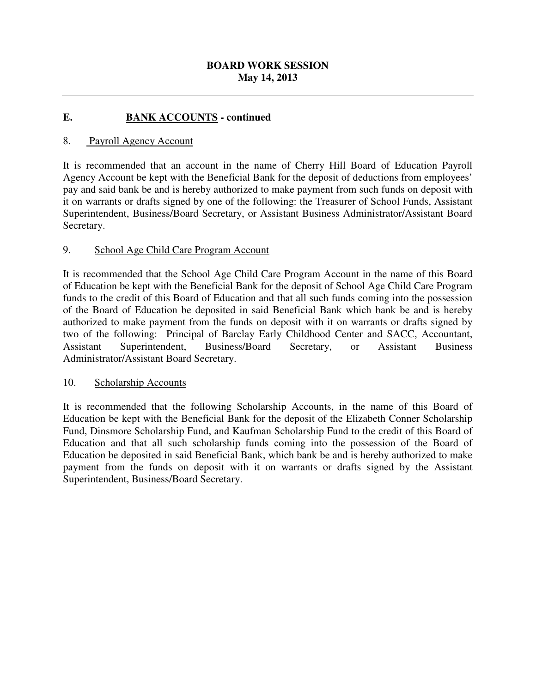#### $$ **EANK ACCOUNTS - continued**

#### 8. Payroll Agency Account

 It is recommended that an account in the name of Cherry Hill Board of Education Payroll Agency Account be kept with the Beneficial Bank for the deposit of deductions from employees' pay and said bank be and is hereby authorized to make payment from such funds on deposit with it on warrants or drafts signed by one of the following: the Treasurer of School Funds, Assistant Superintendent, Business/Board Secretary, or Assistant Business Administrator/Assistant Board Secretary.

#### 9. School Age Child Care Program Account

 It is recommended that the School Age Child Care Program Account in the name of this Board of Education be kept with the Beneficial Bank for the deposit of School Age Child Care Program funds to the credit of this Board of Education and that all such funds coming into the possession of the Board of Education be deposited in said Beneficial Bank which bank be and is hereby authorized to make payment from the funds on deposit with it on warrants or drafts signed by two of the following: Principal of Barclay Early Childhood Center and SACC, Accountant, Secretary, Administrator/Assistant Board Secretary. Assistant Superintendent, Business/Board Secretary, or Assistant Business

#### 10. Scholarship Accounts

 It is recommended that the following Scholarship Accounts, in the name of this Board of Education be kept with the Beneficial Bank for the deposit of the Elizabeth Conner Scholarship Fund, Dinsmore Scholarship Fund, and Kaufman Scholarship Fund to the credit of this Board of Education be deposited in said Beneficial Bank, which bank be and is hereby authorized to make payment from the funds on deposit with it on warrants or drafts signed by the Assistant Superintendent, Business/Board Secretary. Education and that all such scholarship funds coming into the possession of the Board of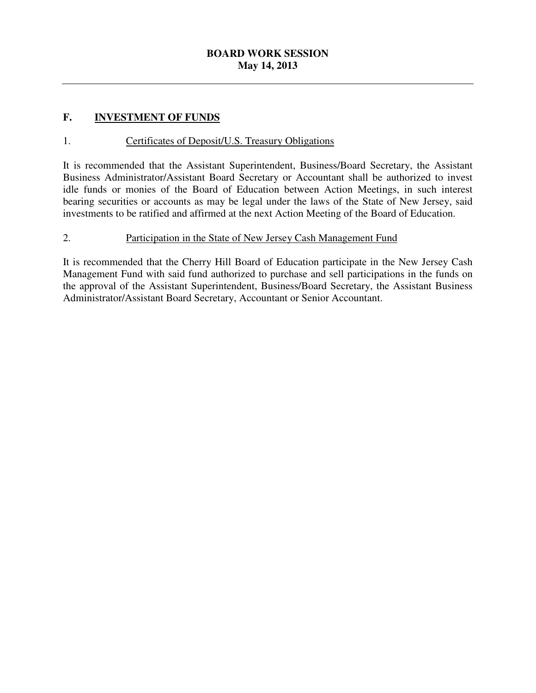#### **F. INVESTMENT OF FUNDS**

### 1. Certificates of Deposit/U.S. Treasury Obligations

 It is recommended that the Assistant Superintendent, Business/Board Secretary, the Assistant Business Administrator/Assistant Board Secretary or Accountant shall be authorized to invest idle funds or monies of the Board of Education between Action Meetings, in such interest bearing securities or accounts as may be legal under the laws of the State of New Jersey, said investments to be ratified and affirmed at the next Action Meeting of the Board of Education.

#### 2. Participation in the State of New Jersey Cash Management Fund

 It is recommended that the Cherry Hill Board of Education participate in the New Jersey Cash Management Fund with said fund authorized to purchase and sell participations in the funds on the approval of the Assistant Superintendent, Business/Board Secretary, the Assistant Business Administrator/Assistant Board Secretary, Accountant or Senior Accountant.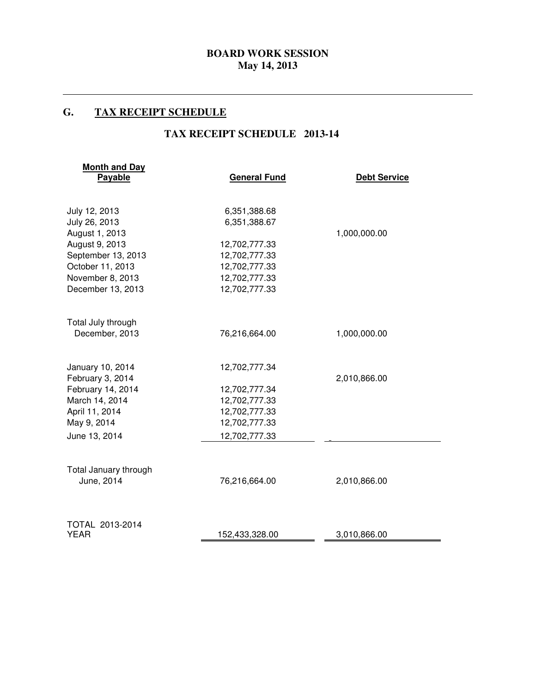#### G. **G. TAX RECEIPT SCHEDULE**

 $\overline{a}$ 

#### **TAX RECEIPT SCHEDULE 2013-14**

| <b>Month and Day</b><br>Payable     | <b>General Fund</b> | <b>Debt Service</b> |
|-------------------------------------|---------------------|---------------------|
| July 12, 2013                       | 6,351,388.68        |                     |
| July 26, 2013                       | 6,351,388.67        |                     |
| August 1, 2013                      |                     | 1,000,000.00        |
| August 9, 2013                      | 12,702,777.33       |                     |
| September 13, 2013                  | 12,702,777.33       |                     |
| October 11, 2013                    | 12,702,777.33       |                     |
| November 8, 2013                    | 12,702,777.33       |                     |
| December 13, 2013                   | 12,702,777.33       |                     |
| Total July through                  |                     |                     |
| December, 2013                      | 76,216,664.00       | 1,000,000.00        |
| January 10, 2014                    | 12,702,777.34       |                     |
| February 3, 2014                    |                     | 2,010,866.00        |
| February 14, 2014                   | 12,702,777.34       |                     |
| March 14, 2014                      | 12,702,777.33       |                     |
| April 11, 2014                      | 12,702,777.33       |                     |
| May 9, 2014                         | 12,702,777.33       |                     |
| June 13, 2014                       | 12,702,777.33       |                     |
|                                     |                     |                     |
| Total January through<br>June, 2014 | 76,216,664.00       | 2,010,866.00        |
|                                     |                     |                     |
| TOTAL 2013-2014<br><b>YEAR</b>      | 152,433,328.00      | 3,010,866.00        |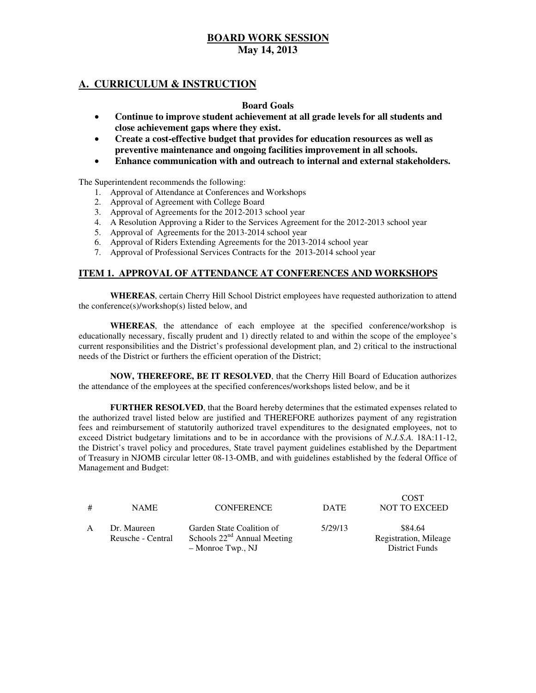#### **A. CURRICULUM & INSTRUCTION**

#### **Board Goals**

- • **Continue to improve student achievement at all grade levels for all students and close achievement gaps where they exist.**
- **•** Create a cost-effective budget that provides for education resources as well as  **preventive maintenance and ongoing facilities improvement in all schools.**
- • **Enhance communication with and outreach to internal and external stakeholders.**

The Superintendent recommends the following:

- 1. Approval of Attendance at Conferences and Workshops
- 2. Approval of Agreement with College Board
- 3. Approval of Agreements for the 2012-2013 school year
- 4. A Resolution Approving a Rider to the Services Agreement for the 2012-2013 school year
- 5. Approval of Agreements for the 2013-2014 school year
- 6. Approval of Riders Extending Agreements for the 2013-2014 school year
- 7. Approval of Professional Services Contracts for the 2013-2014 school year

#### **ITEM 1. APPROVAL OF ATTENDANCE AT CONFERENCES AND WORKSHOPS**

 **WHEREAS**, certain Cherry Hill School District employees have requested authorization to attend the conference(s)/workshop(s) listed below, and

 **WHEREAS**, the attendance of each employee at the specified conference/workshop is educationally necessary, fiscally prudent and 1) directly related to and within the scope of the employee's current responsibilities and the District's professional development plan, and 2) critical to the instructional needs of the District or furthers the efficient operation of the District;

 **NOW, THEREFORE, BE IT RESOLVED**, that the Cherry Hill Board of Education authorizes the attendance of the employees at the specified conferences/workshops listed below, and be it

 **FURTHER RESOLVED**, that the Board hereby determines that the estimated expenses related to the authorized travel listed below are justified and THEREFORE authorizes payment of any registration fees and reimbursement of statutorily authorized travel expenditures to the designated employees, not to exceed District budgetary limitations and to be in accordance with the provisions of *N.J.S.A.* 18A:11-12, the District's travel policy and procedures, State travel payment guidelines established by the Department of Treasury in NJOMB circular letter 08-13-OMB, and with guidelines established by the federal Office of Management and Budget:

| # | <b>NAME</b>                      | <b>CONFERENCE</b>                                                                 | <b>DATE</b> | <b>COST</b><br><b>NOT TO EXCEED</b>                       |
|---|----------------------------------|-----------------------------------------------------------------------------------|-------------|-----------------------------------------------------------|
| A | Dr. Maureen<br>Reusche - Central | Garden State Coalition of<br>Schools $22nd$ Annual Meeting<br>$-$ Monroe Twp., NJ | 5/29/13     | \$84.64<br>Registration, Mileage<br><b>District Funds</b> |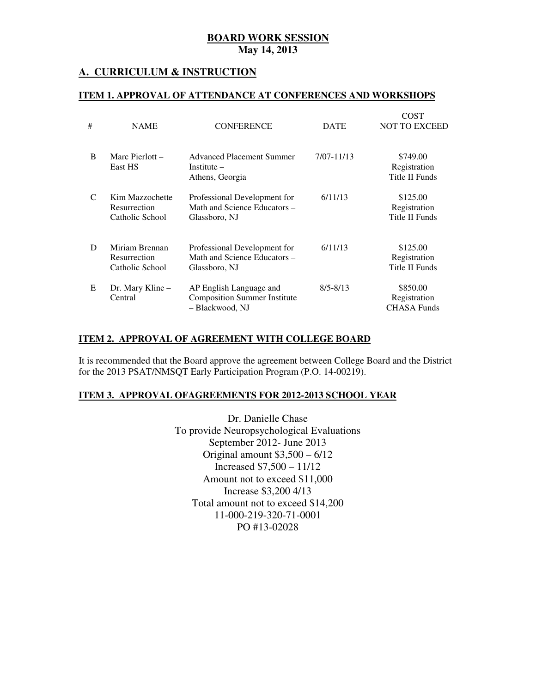## **A. CURRICULUM & INSTRUCTION**

#### **ITEM 1. APPROVAL OF ATTENDANCE AT CONFERENCES AND WORKSHOPS**

| #                           | <b>NAME</b>                                        | <b>CONFERENCE</b>                                                                 | <b>DATE</b>  | COST<br><b>NOT TO EXCEED</b>                      |
|-----------------------------|----------------------------------------------------|-----------------------------------------------------------------------------------|--------------|---------------------------------------------------|
| <sub>B</sub>                | Marc Pierlott $-$<br>East HS                       | <b>Advanced Placement Summer</b><br>Institute $-$<br>Athens, Georgia              | 7/07-11/13   | \$749.00<br>Registration<br><b>Title II Funds</b> |
| $\mathcal{C}_{\mathcal{C}}$ | Kim Mazzochette<br>Resurrection<br>Catholic School | Professional Development for<br>Math and Science Educators –<br>Glassboro, NJ     | 6/11/13      | \$125.00<br>Registration<br>Title II Funds        |
| D                           | Miriam Brennan<br>Resurrection<br>Catholic School  | Professional Development for<br>Math and Science Educators -<br>Glassboro, NJ     | 6/11/13      | \$125.00<br>Registration<br>Title II Funds        |
| E                           | Dr. Mary Kline -<br>Central                        | AP English Language and<br><b>Composition Summer Institute</b><br>- Blackwood, NJ | $8/5 - 8/13$ | \$850.00<br>Registration<br><b>CHASA Funds</b>    |

#### **ITEM 2. APPROVAL OF AGREEMENT WITH COLLEGE BOARD**

 It is recommended that the Board approve the agreement between College Board and the District for the 2013 PSAT/NMSQT Early Participation Program (P.O. 14-00219).

#### **ITEM 3. APPROVAL OFAGREEMENTS FOR 2012-2013 SCHOOL YEAR**

 Dr. Danielle Chase To provide Neuropsychological Evaluations September 2012- June 2013 Increased \$7,500 – 11/12 Amount not to exceed \$11,000 Increase \$3,200 4/13 Total amount not to exceed \$14,200 PO #13-02028 Original amount \$3,500 – 6/12 11-000-219-320-71-0001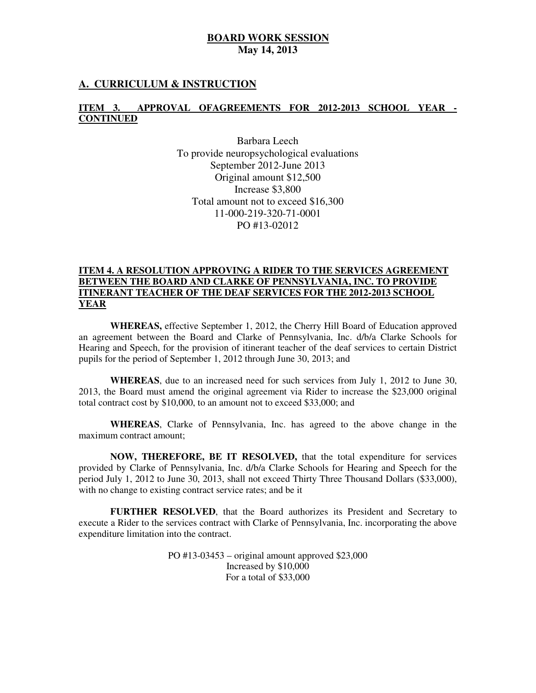### **A. CURRICULUM & INSTRUCTION**

#### **ITEM 3. APPROVAL OFAGREEMENTS FOR 2012-2013 SCHOOL YEAR CONTINUED**

 Barbara Leech To provide neuropsychological evaluations September 2012-June 2013 Original amount \$12,500 Increase \$3,800 Total amount not to exceed \$16,300 PO #13-02012 11-000-219-320-71-0001

#### **ITEM 4. A RESOLUTION APPROVING A RIDER TO THE SERVICES AGREEMENT BETWEEN THE BOARD AND CLARKE OF PENNSYLVANIA, INC. TO PROVIDE ITINERANT TEACHER OF THE DEAF SERVICES FOR THE 2012-2013 SCHOOL YEAR**

 **WHEREAS,** effective September 1, 2012, the Cherry Hill Board of Education approved an agreement between the Board and Clarke of Pennsylvania, Inc. d/b/a Clarke Schools for Hearing and Speech, for the provision of itinerant teacher of the deaf services to certain District pupils for the period of September 1, 2012 through June 30, 2013; and

 **WHEREAS**, due to an increased need for such services from July 1, 2012 to June 30, 2013, the Board must amend the original agreement via Rider to increase the \$23,000 original total contract cost by \$10,000, to an amount not to exceed \$33,000; and

 **WHEREAS**, Clarke of Pennsylvania, Inc. has agreed to the above change in the maximum contract amount;

 **NOW, THEREFORE, BE IT RESOLVED,** that the total expenditure for services provided by Clarke of Pennsylvania, Inc. d/b/a Clarke Schools for Hearing and Speech for the period July 1, 2012 to June 30, 2013, shall not exceed Thirty Three Thousand Dollars (\$33,000), with no change to existing contract service rates; and be it

 **FURTHER RESOLVED**, that the Board authorizes its President and Secretary to execute a Rider to the services contract with Clarke of Pennsylvania, Inc. incorporating the above expenditure limitation into the contract.

> PO #13-03453 – original amount approved \$23,000 Increased by \$10,000 For a total of \$33,000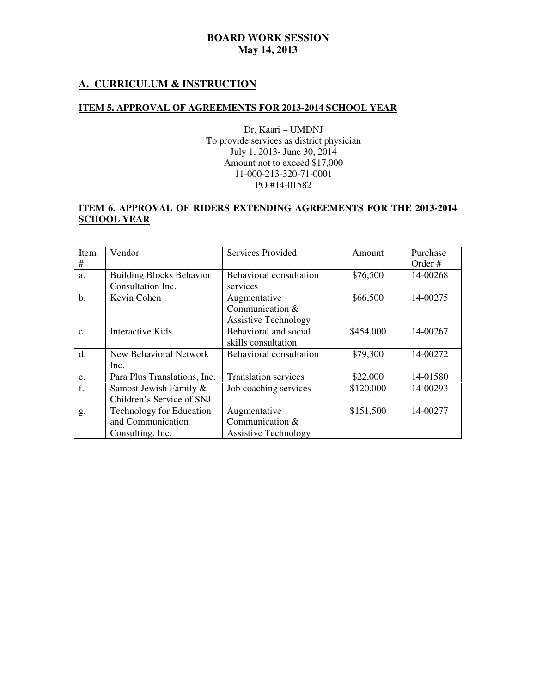# **A. CURRICULUM & INSTRUCTION**

#### **ITEM 5. APPROVAL OF AGREEMENTS FOR 2013-2014 SCHOOL YEAR**

 Dr. Kaari – UMDNJ July 1, 2013- June 30, 2014 Amount not to exceed \$17,000 PO #14-01582 To provide services as district physician 11-000-213-320-71-0001

#### **ITEM 6. APPROVAL OF RIDERS EXTENDING AGREEMENTS FOR THE 2013-2014 SCHOOL YEAR**

| Item           | Vendor                          | <b>Services Provided</b>       | Amount    | Purchase |
|----------------|---------------------------------|--------------------------------|-----------|----------|
| #              |                                 |                                |           | Order#   |
| a.             | <b>Building Blocks Behavior</b> | <b>Behavioral consultation</b> | \$76,500  | 14-00268 |
|                | Consultation Inc.               | services                       |           |          |
| b.             | Kevin Cohen                     | Augmentative                   | \$66,500  | 14-00275 |
|                |                                 | Communication $&$              |           |          |
|                |                                 | <b>Assistive Technology</b>    |           |          |
| $\mathbf{c}$ . | Interactive Kids                | Behavioral and social          | \$454,000 | 14-00267 |
|                |                                 | skills consultation            |           |          |
| d.             | <b>New Behavioral Network</b>   | <b>Behavioral consultation</b> | \$79,300  | 14-00272 |
|                | Inc.                            |                                |           |          |
| e.             | Para Plus Translations, Inc.    | <b>Translation services</b>    | \$22,000  | 14-01580 |
| f.             | Samost Jewish Family &          | Job coaching services          | \$120,000 | 14-00293 |
|                | Children's Service of SNJ       |                                |           |          |
| g.             | <b>Technology for Education</b> | Augmentative                   | \$151,500 | 14-00277 |
|                | and Communication               | Communication &                |           |          |
|                | Consulting, Inc.                | <b>Assistive Technology</b>    |           |          |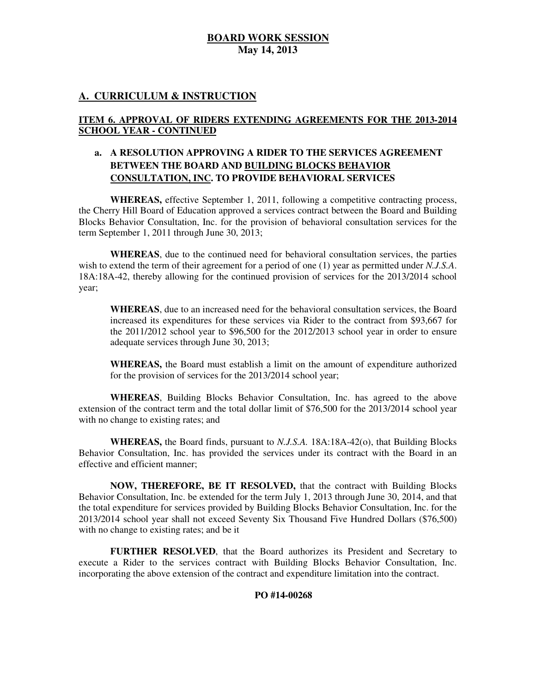## **A. CURRICULUM & INSTRUCTION**

#### **ITEM 6. APPROVAL OF RIDERS EXTENDING AGREEMENTS FOR THE 2013-2014 SCHOOL YEAR - CONTINUED**

## **a. A RESOLUTION APPROVING A RIDER TO THE SERVICES AGREEMENT BETWEEN THE BOARD AND BUILDING BLOCKS BEHAVIOR CONSULTATION, INC. TO PROVIDE BEHAVIORAL SERVICES**

 **WHEREAS,** effective September 1, 2011, following a competitive contracting process, the Cherry Hill Board of Education approved a services contract between the Board and Building Blocks Behavior Consultation, Inc. for the provision of behavioral consultation services for the term September 1, 2011 through June 30, 2013;

 **WHEREAS**, due to the continued need for behavioral consultation services, the parties wish to extend the term of their agreement for a period of one (1) year as permitted under *N.J.S.A*. 18A:18A-42, thereby allowing for the continued provision of services for the 2013/2014 school year;

 **WHEREAS**, due to an increased need for the behavioral consultation services, the Board increased its expenditures for these services via Rider to the contract from \$93,667 for the 2011/2012 school year to \$96,500 for the 2012/2013 school year in order to ensure adequate services through June 30, 2013;

 **WHEREAS,** the Board must establish a limit on the amount of expenditure authorized for the provision of services for the 2013/2014 school year;

 **WHEREAS**, Building Blocks Behavior Consultation, Inc. has agreed to the above extension of the contract term and the total dollar limit of \$76,500 for the 2013/2014 school year with no change to existing rates; and

 **WHEREAS,** the Board finds, pursuant to *N.J.S.A.* 18A:18A-42(o), that Building Blocks Behavior Consultation, Inc. has provided the services under its contract with the Board in an effective and efficient manner;

 **NOW, THEREFORE, BE IT RESOLVED,** that the contract with Building Blocks Behavior Consultation, Inc. be extended for the term July 1, 2013 through June 30, 2014, and that the total expenditure for services provided by Building Blocks Behavior Consultation, Inc. for the 2013/2014 school year shall not exceed Seventy Six Thousand Five Hundred Dollars (\$76,500) with no change to existing rates; and be it

 **FURTHER RESOLVED**, that the Board authorizes its President and Secretary to execute a Rider to the services contract with Building Blocks Behavior Consultation, Inc. incorporating the above extension of the contract and expenditure limitation into the contract.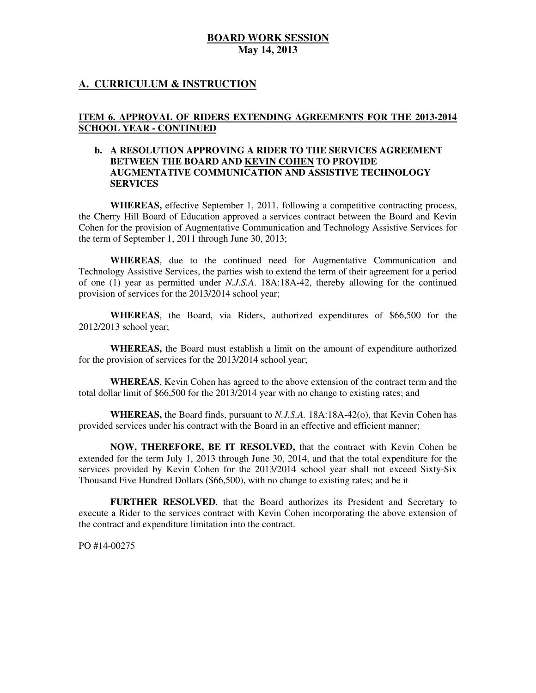## **A. CURRICULUM & INSTRUCTION**

### **ITEM 6. APPROVAL OF RIDERS EXTENDING AGREEMENTS FOR THE 2013-2014 SCHOOL YEAR - CONTINUED**

#### **b. A RESOLUTION APPROVING A RIDER TO THE SERVICES AGREEMENT BETWEEN THE BOARD AND KEVIN COHEN TO PROVIDE AUGMENTATIVE COMMUNICATION AND ASSISTIVE TECHNOLOGY SERVICES**

 **WHEREAS,** effective September 1, 2011, following a competitive contracting process, the Cherry Hill Board of Education approved a services contract between the Board and Kevin Cohen for the provision of Augmentative Communication and Technology Assistive Services for the term of September 1, 2011 through June 30, 2013;

 **WHEREAS**, due to the continued need for Augmentative Communication and Technology Assistive Services, the parties wish to extend the term of their agreement for a period of one (1) year as permitted under *N.J.S.A*. 18A:18A-42, thereby allowing for the continued provision of services for the 2013/2014 school year;

 **WHEREAS**, the Board, via Riders, authorized expenditures of \$66,500 for the 2012/2013 school year;

 **WHEREAS,** the Board must establish a limit on the amount of expenditure authorized for the provision of services for the 2013/2014 school year;

 **WHEREAS**, Kevin Cohen has agreed to the above extension of the contract term and the total dollar limit of \$66,500 for the 2013/2014 year with no change to existing rates; and

 **WHEREAS,** the Board finds, pursuant to *N.J.S.A.* 18A:18A-42(o), that Kevin Cohen has provided services under his contract with the Board in an effective and efficient manner;

 **NOW, THEREFORE, BE IT RESOLVED,** that the contract with Kevin Cohen be extended for the term July 1, 2013 through June 30, 2014, and that the total expenditure for the services provided by Kevin Cohen for the 2013/2014 school year shall not exceed Sixty-Six Thousand Five Hundred Dollars (\$66,500), with no change to existing rates; and be it

 **FURTHER RESOLVED**, that the Board authorizes its President and Secretary to execute a Rider to the services contract with Kevin Cohen incorporating the above extension of the contract and expenditure limitation into the contract.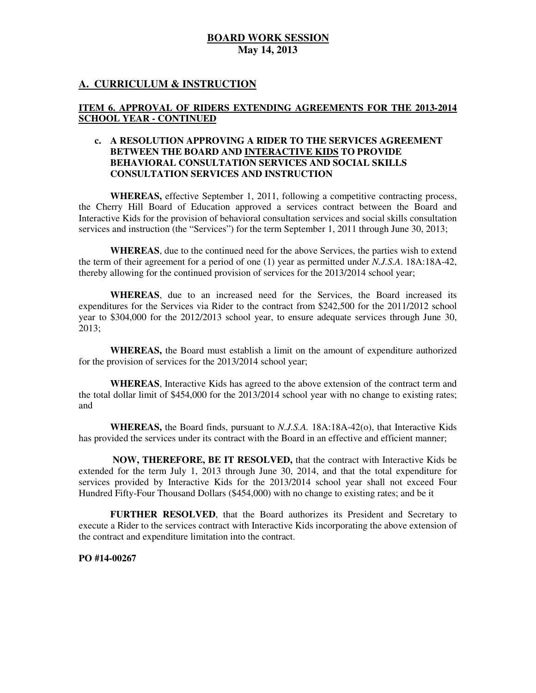## **A. CURRICULUM & INSTRUCTION**

### **ITEM 6. APPROVAL OF RIDERS EXTENDING AGREEMENTS FOR THE 2013-2014 SCHOOL YEAR - CONTINUED**

#### **c. A RESOLUTION APPROVING A RIDER TO THE SERVICES AGREEMENT BETWEEN THE BOARD AND INTERACTIVE KIDS TO PROVIDE BEHAVIORAL CONSULTATION SERVICES AND SOCIAL SKILLS CONSULTATION SERVICES AND INSTRUCTION**

 **WHEREAS,** effective September 1, 2011, following a competitive contracting process, the Cherry Hill Board of Education approved a services contract between the Board and Interactive Kids for the provision of behavioral consultation services and social skills consultation services and instruction (the "Services") for the term September 1, 2011 through June 30, 2013;

 **WHEREAS**, due to the continued need for the above Services, the parties wish to extend the term of their agreement for a period of one (1) year as permitted under *N.J.S.A*. 18A:18A-42, thereby allowing for the continued provision of services for the 2013/2014 school year;

 **WHEREAS**, due to an increased need for the Services, the Board increased its expenditures for the Services via Rider to the contract from \$242,500 for the 2011/2012 school year to \$304,000 for the 2012/2013 school year, to ensure adequate services through June 30, 2013;

 **WHEREAS,** the Board must establish a limit on the amount of expenditure authorized for the provision of services for the 2013/2014 school year;

 **WHEREAS**, Interactive Kids has agreed to the above extension of the contract term and the total dollar limit of \$454,000 for the 2013/2014 school year with no change to existing rates; and

 **WHEREAS,** the Board finds, pursuant to *N.J.S.A.* 18A:18A-42(o), that Interactive Kids has provided the services under its contract with the Board in an effective and efficient manner;

 **NOW, THEREFORE, BE IT RESOLVED,** that the contract with Interactive Kids be extended for the term July 1, 2013 through June 30, 2014, and that the total expenditure for services provided by Interactive Kids for the 2013/2014 school year shall not exceed Four Hundred Fifty-Four Thousand Dollars (\$454,000) with no change to existing rates; and be it

 **FURTHER RESOLVED**, that the Board authorizes its President and Secretary to execute a Rider to the services contract with Interactive Kids incorporating the above extension of the contract and expenditure limitation into the contract.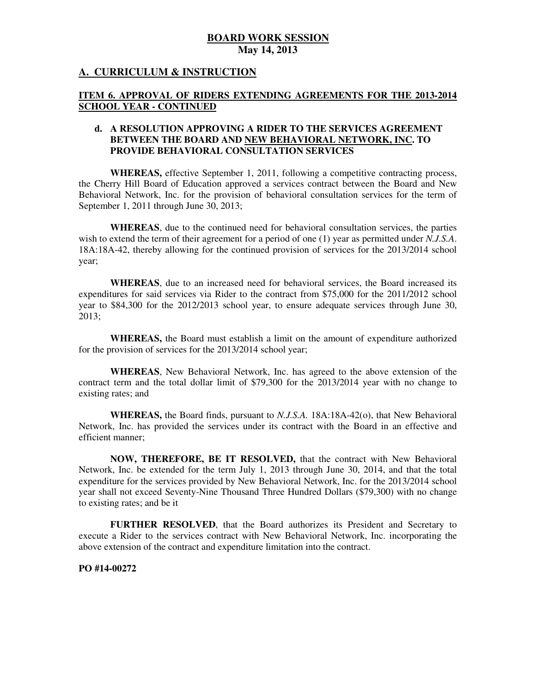## **A. CURRICULUM & INSTRUCTION**

#### **ITEM 6. APPROVAL OF RIDERS EXTENDING AGREEMENTS FOR THE 2013-2014 SCHOOL YEAR - CONTINUED**

#### **d. A RESOLUTION APPROVING A RIDER TO THE SERVICES AGREEMENT BETWEEN THE BOARD AND NEW BEHAVIORAL NETWORK, INC. TO PROVIDE BEHAVIORAL CONSULTATION SERVICES**

 **WHEREAS,** effective September 1, 2011, following a competitive contracting process, the Cherry Hill Board of Education approved a services contract between the Board and New Behavioral Network, Inc. for the provision of behavioral consultation services for the term of September 1, 2011 through June 30, 2013;

 **WHEREAS**, due to the continued need for behavioral consultation services, the parties wish to extend the term of their agreement for a period of one (1) year as permitted under *N.J.S.A*. 18A:18A-42, thereby allowing for the continued provision of services for the 2013/2014 school year;

 **WHEREAS**, due to an increased need for behavioral services, the Board increased its expenditures for said services via Rider to the contract from \$75,000 for the 2011/2012 school year to \$84,300 for the 2012/2013 school year, to ensure adequate services through June 30, 2013;

 **WHEREAS,** the Board must establish a limit on the amount of expenditure authorized for the provision of services for the 2013/2014 school year;

 contract term and the total dollar limit of \$79,300 for the 2013/2014 year with no change to existing rates; and **WHEREAS**, New Behavioral Network, Inc. has agreed to the above extension of the

 **WHEREAS,** the Board finds, pursuant to *N.J.S.A.* 18A:18A-42(o), that New Behavioral Network, Inc. has provided the services under its contract with the Board in an effective and efficient manner;

 **NOW, THEREFORE, BE IT RESOLVED,** that the contract with New Behavioral Network, Inc. be extended for the term July 1, 2013 through June 30, 2014, and that the total expenditure for the services provided by New Behavioral Network, Inc. for the 2013/2014 school year shall not exceed Seventy-Nine Thousand Three Hundred Dollars (\$79,300) with no change to existing rates; and be it

 **FURTHER RESOLVED**, that the Board authorizes its President and Secretary to execute a Rider to the services contract with New Behavioral Network, Inc. incorporating the above extension of the contract and expenditure limitation into the contract.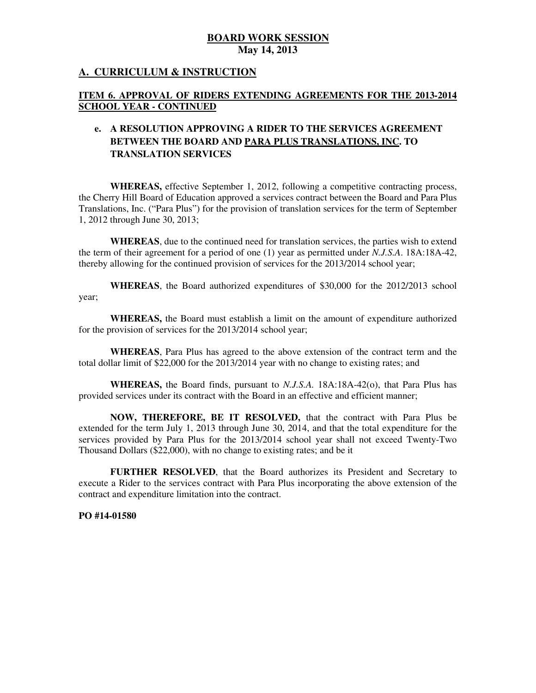## **A. CURRICULUM & INSTRUCTION**

#### **ITEM 6. APPROVAL OF RIDERS EXTENDING AGREEMENTS FOR THE 2013-2014 SCHOOL YEAR - CONTINUED**

## **e. A RESOLUTION APPROVING A RIDER TO THE SERVICES AGREEMENT BETWEEN THE BOARD AND PARA PLUS TRANSLATIONS, INC. TO TRANSLATION SERVICES**

 **WHEREAS,** effective September 1, 2012, following a competitive contracting process, the Cherry Hill Board of Education approved a services contract between the Board and Para Plus Translations, Inc. ("Para Plus") for the provision of translation services for the term of September 1, 2012 through June 30, 2013;

 **WHEREAS**, due to the continued need for translation services, the parties wish to extend the term of their agreement for a period of one (1) year as permitted under *N.J.S.A*. 18A:18A-42, thereby allowing for the continued provision of services for the 2013/2014 school year;

 **WHEREAS**, the Board authorized expenditures of \$30,000 for the 2012/2013 school year;

 **WHEREAS,** the Board must establish a limit on the amount of expenditure authorized for the provision of services for the 2013/2014 school year;

 **WHEREAS**, Para Plus has agreed to the above extension of the contract term and the total dollar limit of \$22,000 for the 2013/2014 year with no change to existing rates; and

 **WHEREAS,** the Board finds, pursuant to *N.J.S.A.* 18A:18A-42(o), that Para Plus has provided services under its contract with the Board in an effective and efficient manner;

 **NOW, THEREFORE, BE IT RESOLVED,** that the contract with Para Plus be extended for the term July 1, 2013 through June 30, 2014, and that the total expenditure for the services provided by Para Plus for the 2013/2014 school year shall not exceed Twenty-Two Thousand Dollars (\$22,000), with no change to existing rates; and be it

 **FURTHER RESOLVED**, that the Board authorizes its President and Secretary to execute a Rider to the services contract with Para Plus incorporating the above extension of the contract and expenditure limitation into the contract.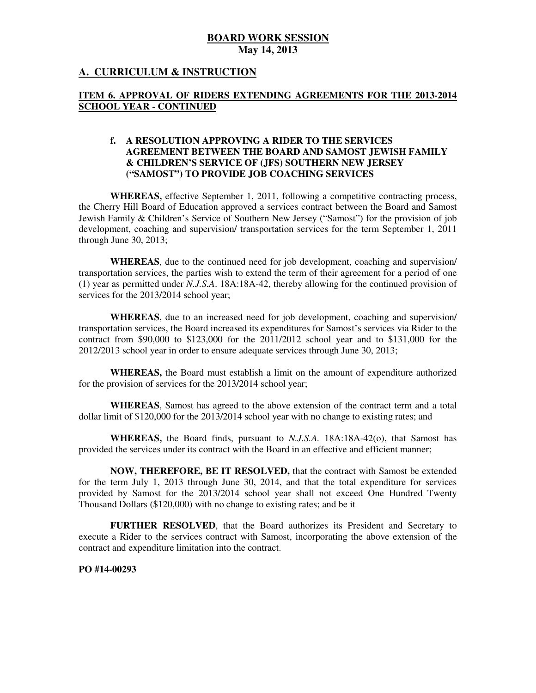## **A. CURRICULUM & INSTRUCTION**

### **ITEM 6. APPROVAL OF RIDERS EXTENDING AGREEMENTS FOR THE 2013-2014 SCHOOL YEAR - CONTINUED**

#### **f. A RESOLUTION APPROVING A RIDER TO THE SERVICES AGREEMENT BETWEEN THE BOARD AND SAMOST JEWISH FAMILY & CHILDREN'S SERVICE OF (JFS) SOUTHERN NEW JERSEY ("SAMOST") TO PROVIDE JOB COACHING SERVICES**

 **WHEREAS,** effective September 1, 2011, following a competitive contracting process, the Cherry Hill Board of Education approved a services contract between the Board and Samost Jewish Family & Children's Service of Southern New Jersey ("Samost") for the provision of job development, coaching and supervision/ transportation services for the term September 1, 2011 through June 30, 2013;

 **WHEREAS**, due to the continued need for job development, coaching and supervision/ transportation services, the parties wish to extend the term of their agreement for a period of one (1) year as permitted under *N.J.S.A*. 18A:18A-42, thereby allowing for the continued provision of services for the 2013/2014 school year;

 **WHEREAS**, due to an increased need for job development, coaching and supervision/ transportation services, the Board increased its expenditures for Samost's services via Rider to the contract from \$90,000 to \$123,000 for the 2011/2012 school year and to \$131,000 for the 2012/2013 school year in order to ensure adequate services through June 30, 2013;

 **WHEREAS,** the Board must establish a limit on the amount of expenditure authorized for the provision of services for the 2013/2014 school year;

 **WHEREAS**, Samost has agreed to the above extension of the contract term and a total dollar limit of \$120,000 for the 2013/2014 school year with no change to existing rates; and

 **WHEREAS,** the Board finds, pursuant to *N.J.S.A.* 18A:18A-42(o), that Samost has provided the services under its contract with the Board in an effective and efficient manner;

 **NOW, THEREFORE, BE IT RESOLVED,** that the contract with Samost be extended for the term July 1, 2013 through June 30, 2014, and that the total expenditure for services provided by Samost for the 2013/2014 school year shall not exceed One Hundred Twenty Thousand Dollars (\$120,000) with no change to existing rates; and be it

 **FURTHER RESOLVED**, that the Board authorizes its President and Secretary to execute a Rider to the services contract with Samost, incorporating the above extension of the contract and expenditure limitation into the contract.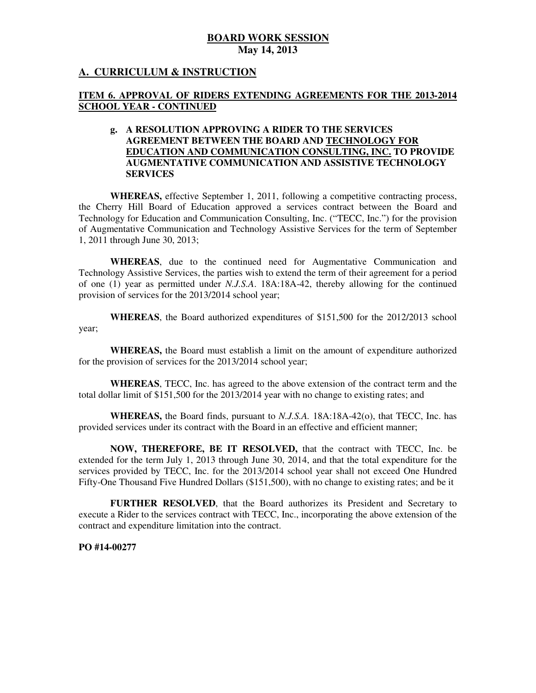## **A. CURRICULUM & INSTRUCTION**

#### **ITEM 6. APPROVAL OF RIDERS EXTENDING AGREEMENTS FOR THE 2013-2014 SCHOOL YEAR - CONTINUED**

#### **g. A RESOLUTION APPROVING A RIDER TO THE SERVICES AGREEMENT BETWEEN THE BOARD AND TECHNOLOGY FOR EDUCATION AND COMMUNICATION CONSULTING, INC. TO PROVIDE AUGMENTATIVE COMMUNICATION AND ASSISTIVE TECHNOLOGY SERVICES**

 **WHEREAS,** effective September 1, 2011, following a competitive contracting process, the Cherry Hill Board of Education approved a services contract between the Board and Technology for Education and Communication Consulting, Inc. ("TECC, Inc.") for the provision of Augmentative Communication and Technology Assistive Services for the term of September 1, 2011 through June 30, 2013;

 **WHEREAS**, due to the continued need for Augmentative Communication and Technology Assistive Services, the parties wish to extend the term of their agreement for a period of one (1) year as permitted under *N.J.S.A*. 18A:18A-42, thereby allowing for the continued provision of services for the 2013/2014 school year;

 **WHEREAS**, the Board authorized expenditures of \$151,500 for the 2012/2013 school year;

 **WHEREAS,** the Board must establish a limit on the amount of expenditure authorized for the provision of services for the 2013/2014 school year;

 **WHEREAS**, TECC, Inc. has agreed to the above extension of the contract term and the total dollar limit of \$151,500 for the 2013/2014 year with no change to existing rates; and

 **WHEREAS,** the Board finds, pursuant to *N.J.S.A.* 18A:18A-42(o), that TECC, Inc. has provided services under its contract with the Board in an effective and efficient manner;

 **NOW, THEREFORE, BE IT RESOLVED,** that the contract with TECC, Inc. be extended for the term July 1, 2013 through June 30, 2014, and that the total expenditure for the services provided by TECC, Inc. for the 2013/2014 school year shall not exceed One Hundred Fifty-One Thousand Five Hundred Dollars (\$151,500), with no change to existing rates; and be it

 **FURTHER RESOLVED**, that the Board authorizes its President and Secretary to execute a Rider to the services contract with TECC, Inc., incorporating the above extension of the contract and expenditure limitation into the contract.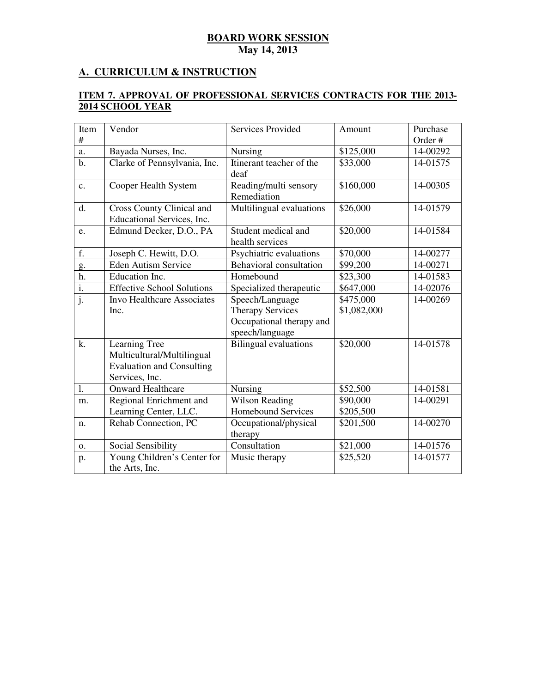## **A. CURRICULUM & INSTRUCTION**

#### **ITEM 7. APPROVAL OF PROFESSIONAL SERVICES CONTRACTS FOR THE 2013 2014 SCHOOL YEAR**

| Item                      | Vendor                                                                                            | <b>Services Provided</b>                    | Amount      | Purchase |
|---------------------------|---------------------------------------------------------------------------------------------------|---------------------------------------------|-------------|----------|
| #                         |                                                                                                   |                                             |             | Order#   |
| a.                        | Bayada Nurses, Inc.                                                                               | Nursing                                     | \$125,000   | 14-00292 |
| $b$ .                     | Clarke of Pennsylvania, Inc.                                                                      | Itinerant teacher of the<br>deaf            | \$33,000    | 14-01575 |
| $\mathbf{c}$ .            | Cooper Health System                                                                              | Reading/multi sensory<br>Remediation        | \$160,000   | 14-00305 |
| d.                        | Cross County Clinical and<br>Educational Services, Inc.                                           | Multilingual evaluations                    | \$26,000    | 14-01579 |
| e.                        | Edmund Decker, D.O., PA                                                                           | Student medical and<br>health services      | \$20,000    | 14-01584 |
| f.                        | Joseph C. Hewitt, D.O.                                                                            | Psychiatric evaluations                     | \$70,000    | 14-00277 |
| g.                        | <b>Eden Autism Service</b>                                                                        | Behavioral consultation                     | \$99,200    | 14-00271 |
| h.                        | Education Inc.                                                                                    | Homebound                                   | \$23,300    | 14-01583 |
| $\overline{i}$ .          | <b>Effective School Solutions</b>                                                                 | Specialized therapeutic                     | \$647,000   | 14-02076 |
| $\overline{\mathbf{j}}$ . | <b>Invo Healthcare Associates</b>                                                                 | Speech/Language                             | \$475,000   | 14-00269 |
|                           | Inc.                                                                                              | <b>Therapy Services</b>                     | \$1,082,000 |          |
|                           |                                                                                                   | Occupational therapy and<br>speech/language |             |          |
| k.                        | Learning Tree<br>Multicultural/Multilingual<br><b>Evaluation and Consulting</b><br>Services, Inc. | <b>Bilingual evaluations</b>                | \$20,000    | 14-01578 |
| 1.                        | <b>Onward Healthcare</b>                                                                          | Nursing                                     | \$52,500    | 14-01581 |
| m.                        | Regional Enrichment and                                                                           | <b>Wilson Reading</b>                       | \$90,000    | 14-00291 |
|                           | Learning Center, LLC.                                                                             | Homebound Services                          | \$205,500   |          |
| n.                        | Rehab Connection, PC                                                                              | Occupational/physical<br>therapy            | \$201,500   | 14-00270 |
| $\mathbf{O}$ .            | Social Sensibility                                                                                | Consultation                                | \$21,000    | 14-01576 |
| p.                        | Young Children's Center for<br>the Arts, Inc.                                                     | Music therapy                               | \$25,520    | 14-01577 |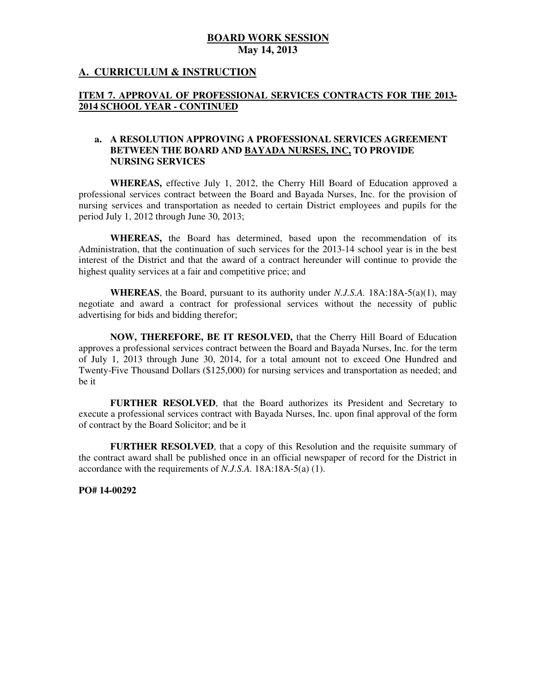## **A. CURRICULUM & INSTRUCTION**

#### **ITEM 7. APPROVAL OF PROFESSIONAL SERVICES CONTRACTS FOR THE 2013 2014 SCHOOL YEAR - CONTINUED**

#### **a. A RESOLUTION APPROVING A PROFESSIONAL SERVICES AGREEMENT BETWEEN THE BOARD AND BAYADA NURSES, INC, TO PROVIDE NURSING SERVICES**

 **WHEREAS,** effective July 1, 2012, the Cherry Hill Board of Education approved a professional services contract between the Board and Bayada Nurses, Inc. for the provision of nursing services and transportation as needed to certain District employees and pupils for the period July 1, 2012 through June 30, 2013;

 **WHEREAS,** the Board has determined, based upon the recommendation of its Administration, that the continuation of such services for the 2013-14 school year is in the best interest of the District and that the award of a contract hereunder will continue to provide the highest quality services at a fair and competitive price; and

 **WHEREAS**, the Board, pursuant to its authority under *N.J.S.A.* 18A:18A-5(a)(1), may negotiate and award a contract for professional services without the necessity of public advertising for bids and bidding therefor;

 **NOW, THEREFORE, BE IT RESOLVED,** that the Cherry Hill Board of Education approves a professional services contract between the Board and Bayada Nurses, Inc. for the term of July 1, 2013 through June 30, 2014, for a total amount not to exceed One Hundred and Twenty-Five Thousand Dollars (\$125,000) for nursing services and transportation as needed; and be it

 **FURTHER RESOLVED**, that the Board authorizes its President and Secretary to execute a professional services contract with Bayada Nurses, Inc. upon final approval of the form of contract by the Board Solicitor; and be it

 **FURTHER RESOLVED**, that a copy of this Resolution and the requisite summary of the contract award shall be published once in an official newspaper of record for the District in accordance with the requirements of *N.J.S.A.* 18A:18A-5(a) (1).

 **PO# 14-00292**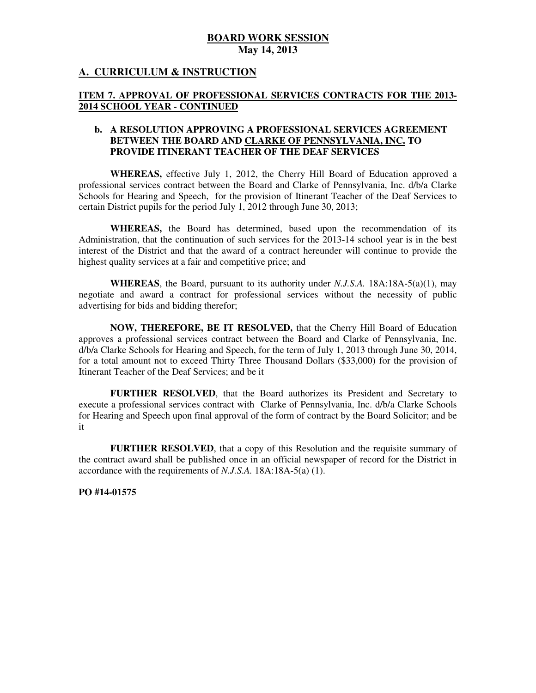## **A. CURRICULUM & INSTRUCTION**

#### **ITEM 7. APPROVAL OF PROFESSIONAL SERVICES CONTRACTS FOR THE 2013 2014 SCHOOL YEAR - CONTINUED**

#### **b. A RESOLUTION APPROVING A PROFESSIONAL SERVICES AGREEMENT BETWEEN THE BOARD AND CLARKE OF PENNSYLVANIA, INC. TO PROVIDE ITINERANT TEACHER OF THE DEAF SERVICES**

 **WHEREAS,** effective July 1, 2012, the Cherry Hill Board of Education approved a professional services contract between the Board and Clarke of Pennsylvania, Inc. d/b/a Clarke Schools for Hearing and Speech, for the provision of Itinerant Teacher of the Deaf Services to certain District pupils for the period July 1, 2012 through June 30, 2013;

 **WHEREAS,** the Board has determined, based upon the recommendation of its Administration, that the continuation of such services for the 2013-14 school year is in the best interest of the District and that the award of a contract hereunder will continue to provide the highest quality services at a fair and competitive price; and

 **WHEREAS**, the Board, pursuant to its authority under *N.J.S.A.* 18A:18A-5(a)(1), may negotiate and award a contract for professional services without the necessity of public advertising for bids and bidding therefor;

 **NOW, THEREFORE, BE IT RESOLVED,** that the Cherry Hill Board of Education approves a professional services contract between the Board and Clarke of Pennsylvania, Inc. d/b/a Clarke Schools for Hearing and Speech, for the term of July 1, 2013 through June 30, 2014, for a total amount not to exceed Thirty Three Thousand Dollars (\$33,000) for the provision of Itinerant Teacher of the Deaf Services; and be it

 **FURTHER RESOLVED**, that the Board authorizes its President and Secretary to execute a professional services contract with Clarke of Pennsylvania, Inc. d/b/a Clarke Schools for Hearing and Speech upon final approval of the form of contract by the Board Solicitor; and be it

 **FURTHER RESOLVED**, that a copy of this Resolution and the requisite summary of the contract award shall be published once in an official newspaper of record for the District in accordance with the requirements of *N.J.S.A.* 18A:18A-5(a) (1).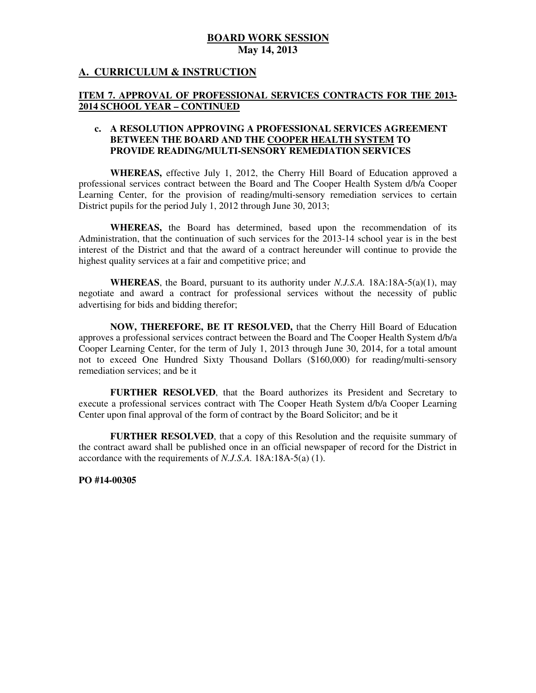## **A. CURRICULUM & INSTRUCTION**

#### **ITEM 7. APPROVAL OF PROFESSIONAL SERVICES CONTRACTS FOR THE 2013 2014 SCHOOL YEAR – CONTINUED**

#### **c. A RESOLUTION APPROVING A PROFESSIONAL SERVICES AGREEMENT BETWEEN THE BOARD AND THE COOPER HEALTH SYSTEM TO PROVIDE READING/MULTI-SENSORY REMEDIATION SERVICES**

 **WHEREAS,** effective July 1, 2012, the Cherry Hill Board of Education approved a professional services contract between the Board and The Cooper Health System d/b/a Cooper Learning Center, for the provision of reading/multi-sensory remediation services to certain District pupils for the period July 1, 2012 through June 30, 2013;

 **WHEREAS,** the Board has determined, based upon the recommendation of its Administration, that the continuation of such services for the 2013-14 school year is in the best interest of the District and that the award of a contract hereunder will continue to provide the highest quality services at a fair and competitive price; and

 **WHEREAS**, the Board, pursuant to its authority under *N.J.S.A.* 18A:18A-5(a)(1), may negotiate and award a contract for professional services without the necessity of public advertising for bids and bidding therefor;

 **NOW, THEREFORE, BE IT RESOLVED,** that the Cherry Hill Board of Education approves a professional services contract between the Board and The Cooper Health System d/b/a Cooper Learning Center, for the term of July 1, 2013 through June 30, 2014, for a total amount not to exceed One Hundred Sixty Thousand Dollars (\$160,000) for reading/multi-sensory remediation services; and be it

 **FURTHER RESOLVED**, that the Board authorizes its President and Secretary to execute a professional services contract with The Cooper Heath System d/b/a Cooper Learning Center upon final approval of the form of contract by the Board Solicitor; and be it

 **FURTHER RESOLVED**, that a copy of this Resolution and the requisite summary of the contract award shall be published once in an official newspaper of record for the District in accordance with the requirements of *N.J.S.A.* 18A:18A-5(a) (1).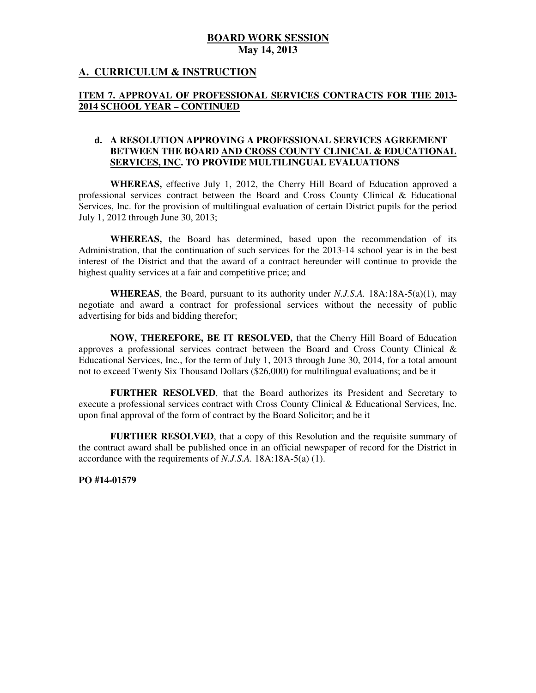## **A. CURRICULUM & INSTRUCTION**

### **ITEM 7. APPROVAL OF PROFESSIONAL SERVICES CONTRACTS FOR THE 2013 2014 SCHOOL YEAR – CONTINUED**

#### **d. A RESOLUTION APPROVING A PROFESSIONAL SERVICES AGREEMENT BETWEEN THE BOARD AND CROSS COUNTY CLINICAL & EDUCATIONAL SERVICES, INC. TO PROVIDE MULTILINGUAL EVALUATIONS**

 **WHEREAS,** effective July 1, 2012, the Cherry Hill Board of Education approved a professional services contract between the Board and Cross County Clinical & Educational Services, Inc. for the provision of multilingual evaluation of certain District pupils for the period July 1, 2012 through June 30, 2013;

 **WHEREAS,** the Board has determined, based upon the recommendation of its Administration, that the continuation of such services for the 2013-14 school year is in the best interest of the District and that the award of a contract hereunder will continue to provide the highest quality services at a fair and competitive price; and

 **WHEREAS**, the Board, pursuant to its authority under *N.J.S.A.* 18A:18A-5(a)(1), may negotiate and award a contract for professional services without the necessity of public advertising for bids and bidding therefor;

 **NOW, THEREFORE, BE IT RESOLVED,** that the Cherry Hill Board of Education approves a professional services contract between the Board and Cross County Clinical & Educational Services, Inc., for the term of July 1, 2013 through June 30, 2014, for a total amount not to exceed Twenty Six Thousand Dollars (\$26,000) for multilingual evaluations; and be it

 **FURTHER RESOLVED**, that the Board authorizes its President and Secretary to execute a professional services contract with Cross County Clinical & Educational Services, Inc. upon final approval of the form of contract by the Board Solicitor; and be it

 **FURTHER RESOLVED**, that a copy of this Resolution and the requisite summary of the contract award shall be published once in an official newspaper of record for the District in accordance with the requirements of *N.J.S.A.* 18A:18A-5(a) (1).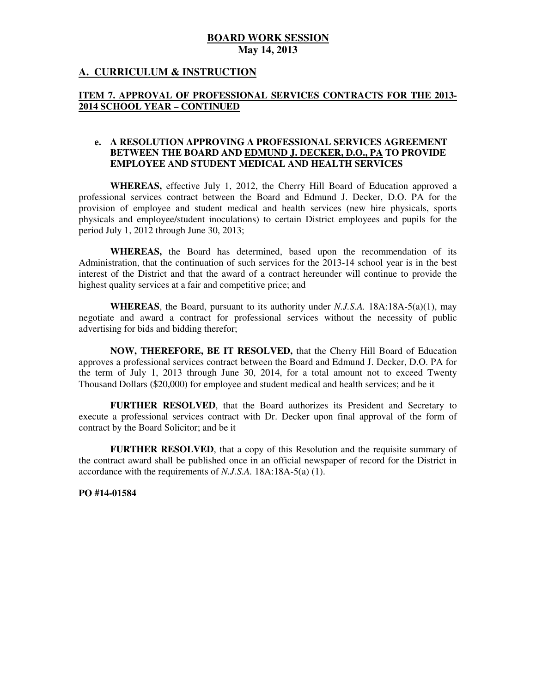## **A. CURRICULUM & INSTRUCTION**

### **ITEM 7. APPROVAL OF PROFESSIONAL SERVICES CONTRACTS FOR THE 2013 2014 SCHOOL YEAR – CONTINUED**

#### **e. A RESOLUTION APPROVING A PROFESSIONAL SERVICES AGREEMENT BETWEEN THE BOARD AND EDMUND J. DECKER, D.O., PA TO PROVIDE EMPLOYEE AND STUDENT MEDICAL AND HEALTH SERVICES**

 **WHEREAS,** effective July 1, 2012, the Cherry Hill Board of Education approved a professional services contract between the Board and Edmund J. Decker, D.O. PA for the provision of employee and student medical and health services (new hire physicals, sports physicals and employee/student inoculations) to certain District employees and pupils for the period July 1, 2012 through June 30, 2013;

 **WHEREAS,** the Board has determined, based upon the recommendation of its Administration, that the continuation of such services for the 2013-14 school year is in the best interest of the District and that the award of a contract hereunder will continue to provide the highest quality services at a fair and competitive price; and

 **WHEREAS**, the Board, pursuant to its authority under *N.J.S.A.* 18A:18A-5(a)(1), may negotiate and award a contract for professional services without the necessity of public advertising for bids and bidding therefor;

 **NOW, THEREFORE, BE IT RESOLVED,** that the Cherry Hill Board of Education approves a professional services contract between the Board and Edmund J. Decker, D.O. PA for the term of July 1, 2013 through June 30, 2014, for a total amount not to exceed Twenty Thousand Dollars (\$20,000) for employee and student medical and health services; and be it

 **FURTHER RESOLVED**, that the Board authorizes its President and Secretary to execute a professional services contract with Dr. Decker upon final approval of the form of contract by the Board Solicitor; and be it

 **FURTHER RESOLVED**, that a copy of this Resolution and the requisite summary of the contract award shall be published once in an official newspaper of record for the District in accordance with the requirements of *N.J.S.A.* 18A:18A-5(a) (1).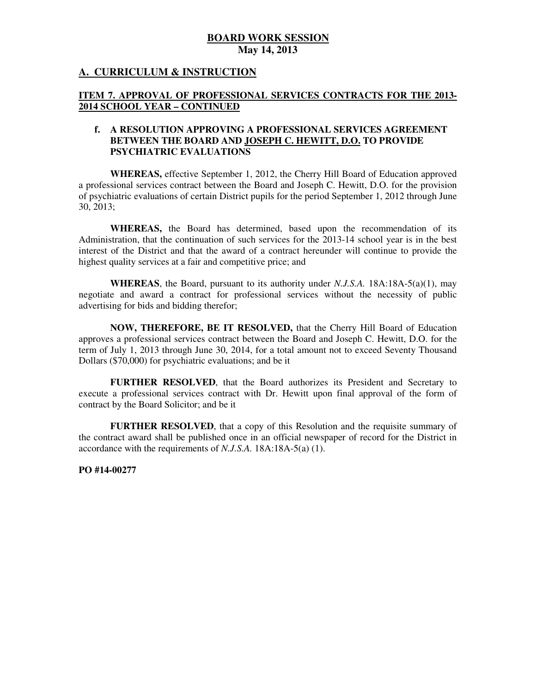## **A. CURRICULUM & INSTRUCTION**

#### **ITEM 7. APPROVAL OF PROFESSIONAL SERVICES CONTRACTS FOR THE 2013 2014 SCHOOL YEAR – CONTINUED**

#### **f. A RESOLUTION APPROVING A PROFESSIONAL SERVICES AGREEMENT BETWEEN THE BOARD AND JOSEPH C. HEWITT, D.O. TO PROVIDE PSYCHIATRIC EVALUATIONS**

 **PSYCHIATRIC EVALUATIONS WHEREAS,** effective September 1, 2012, the Cherry Hill Board of Education approved a professional services contract between the Board and Joseph C. Hewitt, D.O. for the provision of psychiatric evaluations of certain District pupils for the period September 1, 2012 through June 30, 2013;

 **WHEREAS,** the Board has determined, based upon the recommendation of its Administration, that the continuation of such services for the 2013-14 school year is in the best interest of the District and that the award of a contract hereunder will continue to provide the highest quality services at a fair and competitive price; and

 **WHEREAS**, the Board, pursuant to its authority under *N.J.S.A.* 18A:18A-5(a)(1), may negotiate and award a contract for professional services without the necessity of public advertising for bids and bidding therefor;

 **NOW, THEREFORE, BE IT RESOLVED,** that the Cherry Hill Board of Education approves a professional services contract between the Board and Joseph C. Hewitt, D.O. for the term of July 1, 2013 through June 30, 2014, for a total amount not to exceed Seventy Thousand Dollars (\$70,000) for psychiatric evaluations; and be it

 **FURTHER RESOLVED**, that the Board authorizes its President and Secretary to execute a professional services contract with Dr. Hewitt upon final approval of the form of contract by the Board Solicitor; and be it

 **FURTHER RESOLVED**, that a copy of this Resolution and the requisite summary of the contract award shall be published once in an official newspaper of record for the District in accordance with the requirements of *N.J.S.A.* 18A:18A-5(a) (1).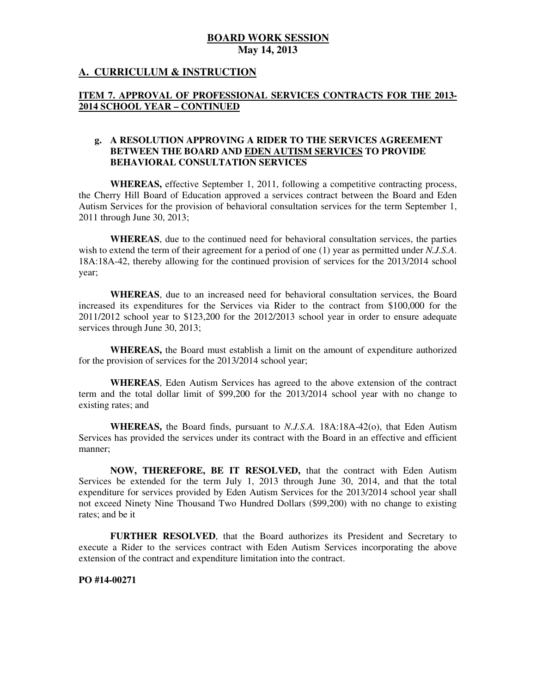## **A. CURRICULUM & INSTRUCTION**

### **ITEM 7. APPROVAL OF PROFESSIONAL SERVICES CONTRACTS FOR THE 2013 2014 SCHOOL YEAR – CONTINUED**

#### **g. A RESOLUTION APPROVING A RIDER TO THE SERVICES AGREEMENT BETWEEN THE BOARD AND EDEN AUTISM SERVICES TO PROVIDE BEHAVIORAL CONSULTATION SERVICES**

 **WHEREAS,** effective September 1, 2011, following a competitive contracting process, the Cherry Hill Board of Education approved a services contract between the Board and Eden Autism Services for the provision of behavioral consultation services for the term September 1, 2011 through June 30, 2013;

 **WHEREAS**, due to the continued need for behavioral consultation services, the parties wish to extend the term of their agreement for a period of one (1) year as permitted under *N.J.S.A*. 18A:18A-42, thereby allowing for the continued provision of services for the 2013/2014 school year;

 **WHEREAS**, due to an increased need for behavioral consultation services, the Board increased its expenditures for the Services via Rider to the contract from \$100,000 for the 2011/2012 school year to \$123,200 for the 2012/2013 school year in order to ensure adequate services through June 30, 2013;

 **WHEREAS,** the Board must establish a limit on the amount of expenditure authorized for the provision of services for the 2013/2014 school year;

 term and the total dollar limit of \$99,200 for the 2013/2014 school year with no change to existing rates; and **WHEREAS**, Eden Autism Services has agreed to the above extension of the contract

 **WHEREAS,** the Board finds, pursuant to *N.J.S.A.* 18A:18A-42(o), that Eden Autism Services has provided the services under its contract with the Board in an effective and efficient manner;

 **NOW, THEREFORE, BE IT RESOLVED,** that the contract with Eden Autism Services be extended for the term July 1, 2013 through June 30, 2014, and that the total expenditure for services provided by Eden Autism Services for the 2013/2014 school year shall not exceed Ninety Nine Thousand Two Hundred Dollars (\$99,200) with no change to existing rates; and be it

 **FURTHER RESOLVED**, that the Board authorizes its President and Secretary to execute a Rider to the services contract with Eden Autism Services incorporating the above extension of the contract and expenditure limitation into the contract.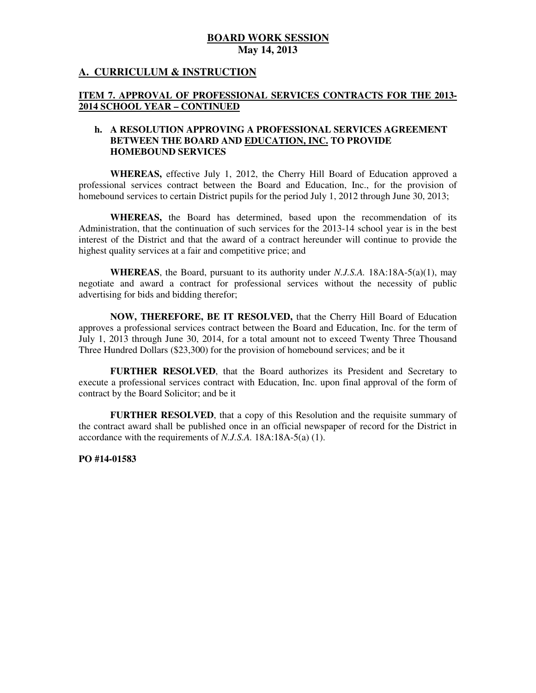## **A. CURRICULUM & INSTRUCTION**

#### **ITEM 7. APPROVAL OF PROFESSIONAL SERVICES CONTRACTS FOR THE 2013 2014 SCHOOL YEAR – CONTINUED**

#### **h. A RESOLUTION APPROVING A PROFESSIONAL SERVICES AGREEMENT BETWEEN THE BOARD AND EDUCATION, INC. TO PROVIDE HOMEBOUND SERVICES**

 **WHEREAS,** effective July 1, 2012, the Cherry Hill Board of Education approved a professional services contract between the Board and Education, Inc., for the provision of homebound services to certain District pupils for the period July 1, 2012 through June 30, 2013;

 **WHEREAS,** the Board has determined, based upon the recommendation of its Administration, that the continuation of such services for the 2013-14 school year is in the best interest of the District and that the award of a contract hereunder will continue to provide the highest quality services at a fair and competitive price; and

 **WHEREAS**, the Board, pursuant to its authority under *N.J.S.A.* 18A:18A-5(a)(1), may negotiate and award a contract for professional services without the necessity of public advertising for bids and bidding therefor;

 **NOW, THEREFORE, BE IT RESOLVED,** that the Cherry Hill Board of Education approves a professional services contract between the Board and Education, Inc. for the term of July 1, 2013 through June 30, 2014, for a total amount not to exceed Twenty Three Thousand Three Hundred Dollars (\$23,300) for the provision of homebound services; and be it

 **FURTHER RESOLVED**, that the Board authorizes its President and Secretary to execute a professional services contract with Education, Inc. upon final approval of the form of contract by the Board Solicitor; and be it

 **FURTHER RESOLVED**, that a copy of this Resolution and the requisite summary of the contract award shall be published once in an official newspaper of record for the District in accordance with the requirements of *N.J.S.A.* 18A:18A-5(a) (1).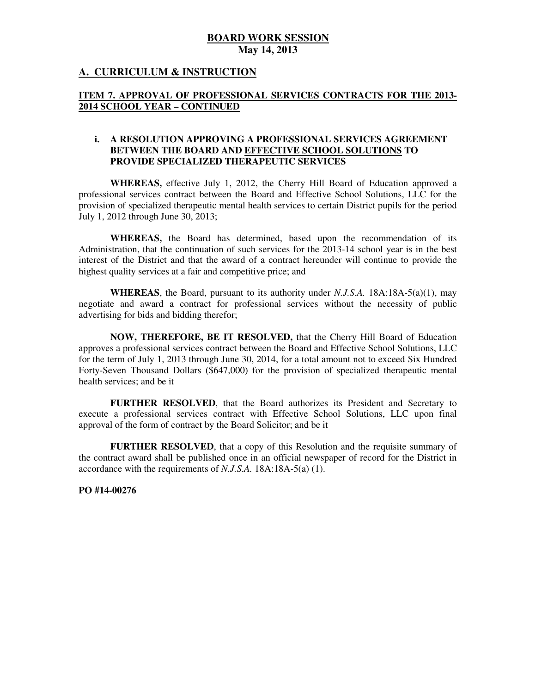## **A. CURRICULUM & INSTRUCTION**

## **ITEM 7. APPROVAL OF PROFESSIONAL SERVICES CONTRACTS FOR THE 2013 2014 SCHOOL YEAR – CONTINUED**

### **i. A RESOLUTION APPROVING A PROFESSIONAL SERVICES AGREEMENT BETWEEN THE BOARD AND EFFECTIVE SCHOOL SOLUTIONS TO PROVIDE SPECIALIZED THERAPEUTIC SERVICES**

 **WHEREAS,** effective July 1, 2012, the Cherry Hill Board of Education approved a professional services contract between the Board and Effective School Solutions, LLC for the provision of specialized therapeutic mental health services to certain District pupils for the period July 1, 2012 through June 30, 2013;

 **WHEREAS,** the Board has determined, based upon the recommendation of its Administration, that the continuation of such services for the 2013-14 school year is in the best interest of the District and that the award of a contract hereunder will continue to provide the highest quality services at a fair and competitive price; and

 **WHEREAS**, the Board, pursuant to its authority under *N.J.S.A.* 18A:18A-5(a)(1), may negotiate and award a contract for professional services without the necessity of public advertising for bids and bidding therefor;

 **NOW, THEREFORE, BE IT RESOLVED,** that the Cherry Hill Board of Education approves a professional services contract between the Board and Effective School Solutions, LLC for the term of July 1, 2013 through June 30, 2014, for a total amount not to exceed Six Hundred Forty-Seven Thousand Dollars (\$647,000) for the provision of specialized therapeutic mental health services; and be it

 **FURTHER RESOLVED**, that the Board authorizes its President and Secretary to execute a professional services contract with Effective School Solutions, LLC upon final approval of the form of contract by the Board Solicitor; and be it

 **FURTHER RESOLVED**, that a copy of this Resolution and the requisite summary of the contract award shall be published once in an official newspaper of record for the District in accordance with the requirements of *N.J.S.A.* 18A:18A-5(a) (1).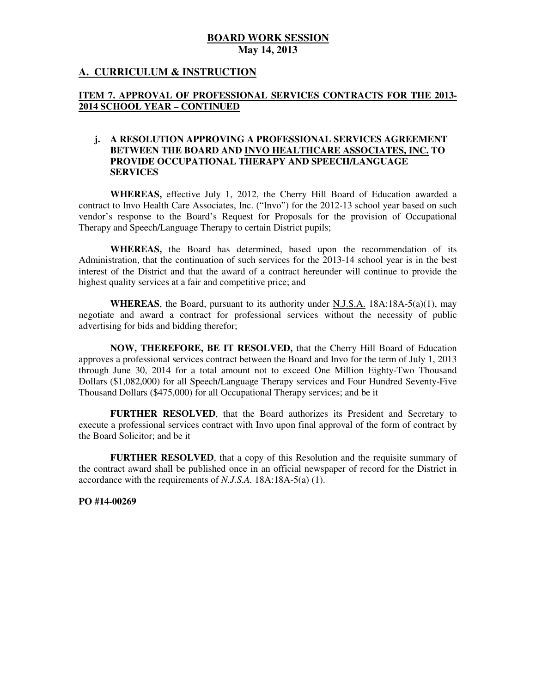## **A. CURRICULUM & INSTRUCTION**

### **ITEM 7. APPROVAL OF PROFESSIONAL SERVICES CONTRACTS FOR THE 2013 2014 SCHOOL YEAR – CONTINUED**

#### **j. A RESOLUTION APPROVING A PROFESSIONAL SERVICES AGREEMENT BETWEEN THE BOARD AND INVO HEALTHCARE ASSOCIATES, INC. TO PROVIDE OCCUPATIONAL THERAPY AND SPEECH/LANGUAGE SERVICES**

 **SERVICES WHEREAS,** effective July 1, 2012, the Cherry Hill Board of Education awarded a contract to Invo Health Care Associates, Inc. ("Invo") for the 2012-13 school year based on such vendor's response to the Board's Request for Proposals for the provision of Occupational Therapy and Speech/Language Therapy to certain District pupils;

 **WHEREAS,** the Board has determined, based upon the recommendation of its Administration, that the continuation of such services for the 2013-14 school year is in the best interest of the District and that the award of a contract hereunder will continue to provide the highest quality services at a fair and competitive price; and

 **WHEREAS**, the Board, pursuant to its authority under N.J.S.A. 18A:18A-5(a)(1), may negotiate and award a contract for professional services without the necessity of public advertising for bids and bidding therefor;

 **NOW, THEREFORE, BE IT RESOLVED,** that the Cherry Hill Board of Education approves a professional services contract between the Board and Invo for the term of July 1, 2013 through June 30, 2014 for a total amount not to exceed One Million Eighty-Two Thousand Dollars (\$1,082,000) for all Speech/Language Therapy services and Four Hundred Seventy-Five Thousand Dollars (\$475,000) for all Occupational Therapy services; and be it

 **FURTHER RESOLVED**, that the Board authorizes its President and Secretary to execute a professional services contract with Invo upon final approval of the form of contract by the Board Solicitor; and be it

 **FURTHER RESOLVED**, that a copy of this Resolution and the requisite summary of the contract award shall be published once in an official newspaper of record for the District in accordance with the requirements of *N.J.S.A.* 18A:18A-5(a) (1).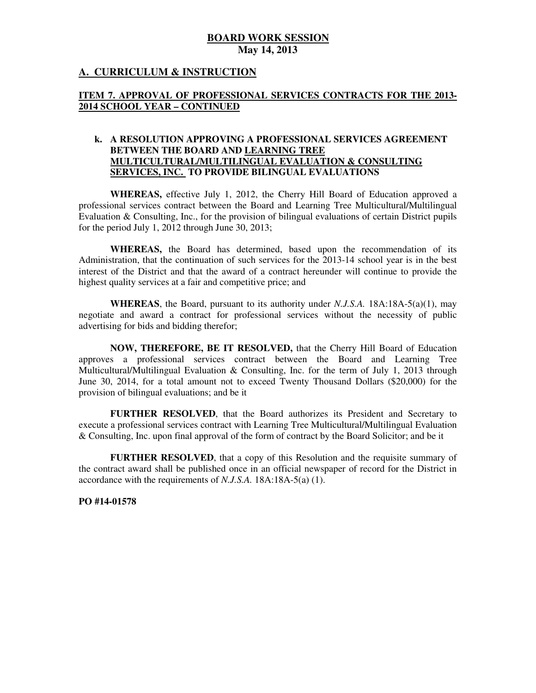## **A. CURRICULUM & INSTRUCTION**

## **ITEM 7. APPROVAL OF PROFESSIONAL SERVICES CONTRACTS FOR THE 2013 2014 SCHOOL YEAR – CONTINUED**

### **k. A RESOLUTION APPROVING A PROFESSIONAL SERVICES AGREEMENT BETWEEN THE BOARD AND LEARNING TREE MULTICULTURAL/MULTILINGUAL EVALUATION & CONSULTING SERVICES, INC. TO PROVIDE BILINGUAL EVALUATIONS**

 **WHEREAS,** effective July 1, 2012, the Cherry Hill Board of Education approved a professional services contract between the Board and Learning Tree Multicultural/Multilingual Evaluation & Consulting, Inc., for the provision of bilingual evaluations of certain District pupils for the period July 1, 2012 through June 30, 2013;

 **WHEREAS,** the Board has determined, based upon the recommendation of its Administration, that the continuation of such services for the 2013-14 school year is in the best interest of the District and that the award of a contract hereunder will continue to provide the highest quality services at a fair and competitive price; and

 **WHEREAS**, the Board, pursuant to its authority under *N.J.S.A.* 18A:18A-5(a)(1), may negotiate and award a contract for professional services without the necessity of public advertising for bids and bidding therefor;

 **NOW, THEREFORE, BE IT RESOLVED,** that the Cherry Hill Board of Education approves a professional services contract between the Board and Learning Tree Multicultural/Multilingual Evaluation & Consulting, Inc. for the term of July 1, 2013 through June 30, 2014, for a total amount not to exceed Twenty Thousand Dollars (\$20,000) for the provision of bilingual evaluations; and be it

 **FURTHER RESOLVED**, that the Board authorizes its President and Secretary to execute a professional services contract with Learning Tree Multicultural/Multilingual Evaluation & Consulting, Inc. upon final approval of the form of contract by the Board Solicitor; and be it

 **FURTHER RESOLVED**, that a copy of this Resolution and the requisite summary of the contract award shall be published once in an official newspaper of record for the District in accordance with the requirements of *N.J.S.A.* 18A:18A-5(a) (1).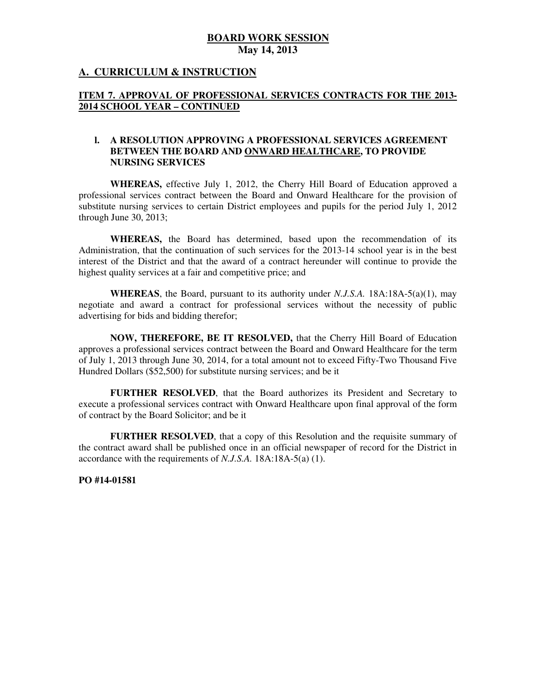## **A. CURRICULUM & INSTRUCTION**

### **ITEM 7. APPROVAL OF PROFESSIONAL SERVICES CONTRACTS FOR THE 2013 2014 SCHOOL YEAR – CONTINUED**

#### **l. A RESOLUTION APPROVING A PROFESSIONAL SERVICES AGREEMENT BETWEEN THE BOARD AND ONWARD HEALTHCARE, TO PROVIDE NURSING SERVICES**

 **WHEREAS,** effective July 1, 2012, the Cherry Hill Board of Education approved a professional services contract between the Board and Onward Healthcare for the provision of substitute nursing services to certain District employees and pupils for the period July 1, 2012 through June 30, 2013;

 **WHEREAS,** the Board has determined, based upon the recommendation of its Administration, that the continuation of such services for the 2013-14 school year is in the best interest of the District and that the award of a contract hereunder will continue to provide the highest quality services at a fair and competitive price; and

 **WHEREAS**, the Board, pursuant to its authority under *N.J.S.A.* 18A:18A-5(a)(1), may negotiate and award a contract for professional services without the necessity of public advertising for bids and bidding therefor;

 **NOW, THEREFORE, BE IT RESOLVED,** that the Cherry Hill Board of Education approves a professional services contract between the Board and Onward Healthcare for the term of July 1, 2013 through June 30, 2014, for a total amount not to exceed Fifty-Two Thousand Five Hundred Dollars (\$52,500) for substitute nursing services; and be it

 **FURTHER RESOLVED**, that the Board authorizes its President and Secretary to execute a professional services contract with Onward Healthcare upon final approval of the form of contract by the Board Solicitor; and be it

 **FURTHER RESOLVED**, that a copy of this Resolution and the requisite summary of the contract award shall be published once in an official newspaper of record for the District in accordance with the requirements of *N.J.S.A.* 18A:18A-5(a) (1).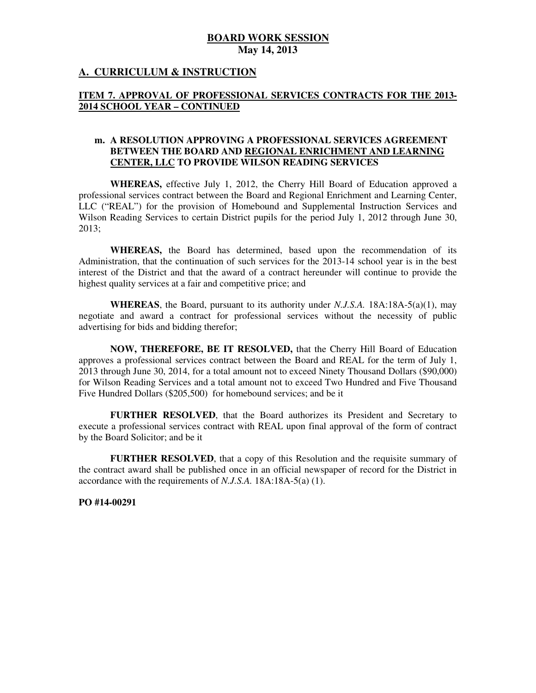### **A. CURRICULUM & INSTRUCTION**

#### **ITEM 7. APPROVAL OF PROFESSIONAL SERVICES CONTRACTS FOR THE 2013 2014 SCHOOL YEAR – CONTINUED**

#### **m. A RESOLUTION APPROVING A PROFESSIONAL SERVICES AGREEMENT BETWEEN THE BOARD AND REGIONAL ENRICHMENT AND LEARNING CENTER, LLC TO PROVIDE WILSON READING SERVICES**

 **WHEREAS,** effective July 1, 2012, the Cherry Hill Board of Education approved a professional services contract between the Board and Regional Enrichment and Learning Center, LLC ("REAL") for the provision of Homebound and Supplemental Instruction Services and Wilson Reading Services to certain District pupils for the period July 1, 2012 through June 30, 2013;

 **WHEREAS,** the Board has determined, based upon the recommendation of its Administration, that the continuation of such services for the 2013-14 school year is in the best interest of the District and that the award of a contract hereunder will continue to provide the highest quality services at a fair and competitive price; and

 **WHEREAS**, the Board, pursuant to its authority under *N.J.S.A.* 18A:18A-5(a)(1), may negotiate and award a contract for professional services without the necessity of public advertising for bids and bidding therefor;

 **NOW, THEREFORE, BE IT RESOLVED,** that the Cherry Hill Board of Education approves a professional services contract between the Board and REAL for the term of July 1, 2013 through June 30, 2014, for a total amount not to exceed Ninety Thousand Dollars (\$90,000) for Wilson Reading Services and a total amount not to exceed Two Hundred and Five Thousand Five Hundred Dollars (\$205,500) for homebound services; and be it

 **FURTHER RESOLVED**, that the Board authorizes its President and Secretary to execute a professional services contract with REAL upon final approval of the form of contract by the Board Solicitor; and be it

 **FURTHER RESOLVED**, that a copy of this Resolution and the requisite summary of the contract award shall be published once in an official newspaper of record for the District in accordance with the requirements of *N.J.S.A.* 18A:18A-5(a) (1).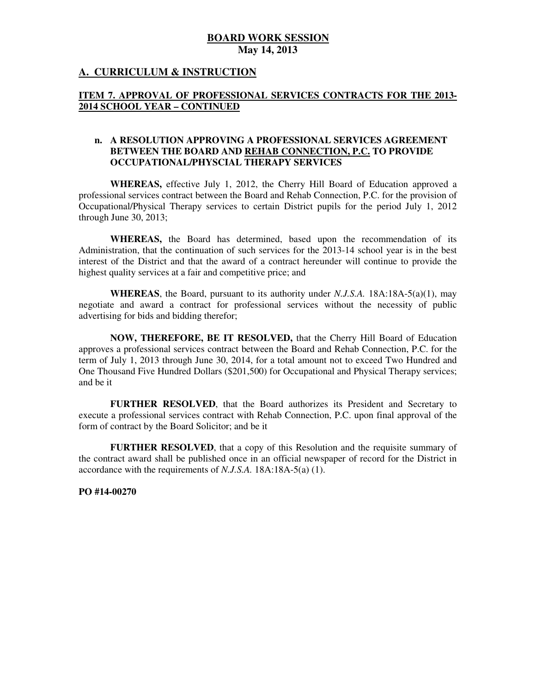## **A. CURRICULUM & INSTRUCTION**

### **ITEM 7. APPROVAL OF PROFESSIONAL SERVICES CONTRACTS FOR THE 2013 2014 SCHOOL YEAR – CONTINUED**

#### **n. A RESOLUTION APPROVING A PROFESSIONAL SERVICES AGREEMENT BETWEEN THE BOARD AND REHAB CONNECTION, P.C. TO PROVIDE OCCUPATIONAL/PHYSCIAL THERAPY SERVICES**

 **WHEREAS,** effective July 1, 2012, the Cherry Hill Board of Education approved a professional services contract between the Board and Rehab Connection, P.C. for the provision of Occupational/Physical Therapy services to certain District pupils for the period July 1, 2012 through June 30, 2013;

 **WHEREAS,** the Board has determined, based upon the recommendation of its Administration, that the continuation of such services for the 2013-14 school year is in the best interest of the District and that the award of a contract hereunder will continue to provide the highest quality services at a fair and competitive price; and

 **WHEREAS**, the Board, pursuant to its authority under *N.J.S.A.* 18A:18A-5(a)(1), may negotiate and award a contract for professional services without the necessity of public advertising for bids and bidding therefor;

 **NOW, THEREFORE, BE IT RESOLVED,** that the Cherry Hill Board of Education approves a professional services contract between the Board and Rehab Connection, P.C. for the term of July 1, 2013 through June 30, 2014, for a total amount not to exceed Two Hundred and One Thousand Five Hundred Dollars (\$201,500) for Occupational and Physical Therapy services; and be it

 **FURTHER RESOLVED**, that the Board authorizes its President and Secretary to execute a professional services contract with Rehab Connection, P.C. upon final approval of the form of contract by the Board Solicitor; and be it

 **FURTHER RESOLVED**, that a copy of this Resolution and the requisite summary of the contract award shall be published once in an official newspaper of record for the District in accordance with the requirements of *N.J.S.A.* 18A:18A-5(a) (1).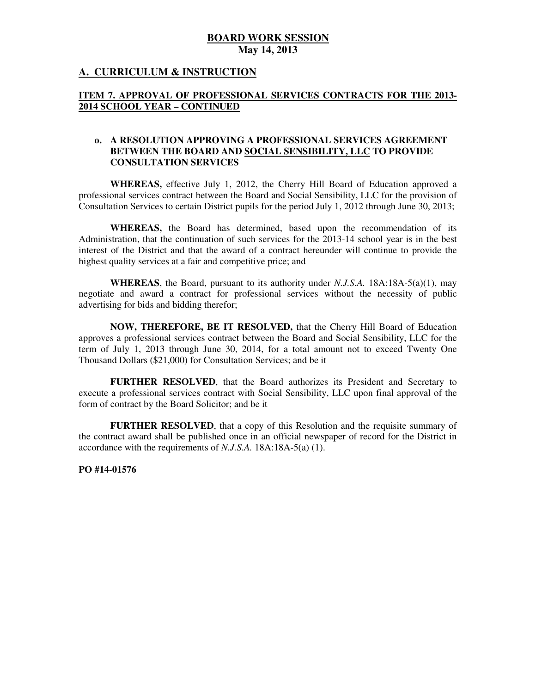## **A. CURRICULUM & INSTRUCTION**

### **ITEM 7. APPROVAL OF PROFESSIONAL SERVICES CONTRACTS FOR THE 2013 2014 SCHOOL YEAR – CONTINUED**

#### **o. A RESOLUTION APPROVING A PROFESSIONAL SERVICES AGREEMENT BETWEEN THE BOARD AND SOCIAL SENSIBILITY, LLC TO PROVIDE CONSULTATION SERVICES**

 **WHEREAS,** effective July 1, 2012, the Cherry Hill Board of Education approved a professional services contract between the Board and Social Sensibility, LLC for the provision of Consultation Services to certain District pupils for the period July 1, 2012 through June 30, 2013;

 **WHEREAS,** the Board has determined, based upon the recommendation of its Administration, that the continuation of such services for the 2013-14 school year is in the best interest of the District and that the award of a contract hereunder will continue to provide the highest quality services at a fair and competitive price; and

 **WHEREAS**, the Board, pursuant to its authority under *N.J.S.A.* 18A:18A-5(a)(1), may negotiate and award a contract for professional services without the necessity of public advertising for bids and bidding therefor;

 **NOW, THEREFORE, BE IT RESOLVED,** that the Cherry Hill Board of Education approves a professional services contract between the Board and Social Sensibility, LLC for the term of July 1, 2013 through June 30, 2014, for a total amount not to exceed Twenty One Thousand Dollars (\$21,000) for Consultation Services; and be it

 **FURTHER RESOLVED**, that the Board authorizes its President and Secretary to execute a professional services contract with Social Sensibility, LLC upon final approval of the form of contract by the Board Solicitor; and be it

 **FURTHER RESOLVED**, that a copy of this Resolution and the requisite summary of the contract award shall be published once in an official newspaper of record for the District in accordance with the requirements of *N.J.S.A.* 18A:18A-5(a) (1).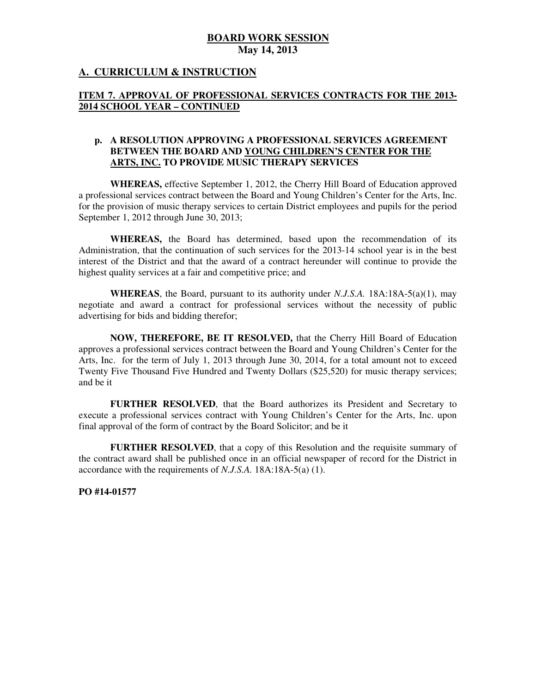## **A. CURRICULUM & INSTRUCTION**

## **ITEM 7. APPROVAL OF PROFESSIONAL SERVICES CONTRACTS FOR THE 2013 2014 SCHOOL YEAR – CONTINUED**

#### **p. A RESOLUTION APPROVING A PROFESSIONAL SERVICES AGREEMENT BETWEEN THE BOARD AND YOUNG CHILDREN'S CENTER FOR THE ARTS, INC. TO PROVIDE MUSIC THERAPY SERVICES**

 **WHEREAS,** effective September 1, 2012, the Cherry Hill Board of Education approved a professional services contract between the Board and Young Children's Center for the Arts, Inc. for the provision of music therapy services to certain District employees and pupils for the period September 1, 2012 through June 30, 2013;

 **WHEREAS,** the Board has determined, based upon the recommendation of its Administration, that the continuation of such services for the 2013-14 school year is in the best interest of the District and that the award of a contract hereunder will continue to provide the highest quality services at a fair and competitive price; and

 **WHEREAS**, the Board, pursuant to its authority under *N.J.S.A.* 18A:18A-5(a)(1), may negotiate and award a contract for professional services without the necessity of public advertising for bids and bidding therefor;

 **NOW, THEREFORE, BE IT RESOLVED,** that the Cherry Hill Board of Education approves a professional services contract between the Board and Young Children's Center for the Arts, Inc. for the term of July 1, 2013 through June 30, 2014, for a total amount not to exceed Twenty Five Thousand Five Hundred and Twenty Dollars (\$25,520) for music therapy services; and be it

 **FURTHER RESOLVED**, that the Board authorizes its President and Secretary to execute a professional services contract with Young Children's Center for the Arts, Inc. upon final approval of the form of contract by the Board Solicitor; and be it

 **FURTHER RESOLVED**, that a copy of this Resolution and the requisite summary of the contract award shall be published once in an official newspaper of record for the District in accordance with the requirements of *N.J.S.A.* 18A:18A-5(a) (1).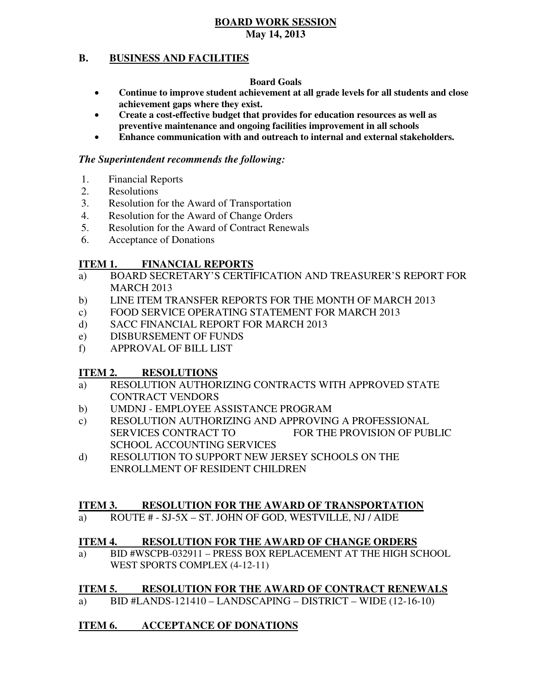#### **B. BUSINESS AND FACILITIES**

#### **Board Goals**

- • **Continue to improve student achievement at all grade levels for all students and close achievement gaps where they exist.**
- **•** Create a cost-effective budget that provides for education resources as well as  **preventive maintenance and ongoing facilities improvement in all schools**
- **• Enhance communication with and outreach to internal and external stakeholders.**

## *The Superintendent recommends the following:*

- 1. Financial Reports
- 2. Resolutions
- 3. Resolution for the Award of Transportation
- 4. Resolution for the Award of Change Orders
- 5. Resolution for the Award of Contract Renewals
- 6. Acceptance of Donations

#### **ITEM 1. FINANCIAL REPORTS**

- a) BOARD SECRETARY'S CERTIFICATION AND TREASURER'S REPORT FOR MARCH 2013
- b) LINE ITEM TRANSFER REPORTS FOR THE MONTH OF MARCH 2013
- $c)$ FOOD SERVICE OPERATING STATEMENT FOR MARCH 2013
- $\mathbf{d}$ SACC FINANCIAL REPORT FOR MARCH 2013
- e) DISBURSEMENT OF FUNDS
- f) APPROVAL OF BILL LIST

#### **ITEM 2. RESOLUTIONS**

- a) RESOLUTION AUTHORIZING CONTRACTS WITH APPROVED STATE CONTRACT VENDORS
- b) UMDNJ EMPLOYEE ASSISTANCE PROGRAM
- c) RESOLUTION AUTHORIZING AND APPROVING A PROFESSIONAL SERVICES CONTRACT TO SCHOOL ACCOUNTING SERVICES FOR THE PROVISION OF PUBLIC
- d) RESOLUTION TO SUPPORT NEW JERSEY SCHOOLS ON THE ENROLLMENT OF RESIDENT CHILDREN

#### **ITEM 3. RESOLUTION FOR THE AWARD OF TRANSPORTATION**

a) ROUTE # - SJ-5X – ST. JOHN OF GOD, WESTVILLE, NJ / AIDE

#### **ITEM 4. RESOLUTION FOR THE AWARD OF CHANGE ORDERS**

a) WEST SPORTS COMPLEX (4-12-11) BID #WSCPB-032911 – PRESS BOX REPLACEMENT AT THE HIGH SCHOOL

#### **ITEM 5. RESOLUTION FOR THE AWARD OF CONTRACT RENEWALS**

a)  $BID$  #LANDS-121410 – LANDSCAPING – DISTRICT – WIDE (12-16-10)

#### **ITEM 6. ACCEPTANCE OF DONATIONS**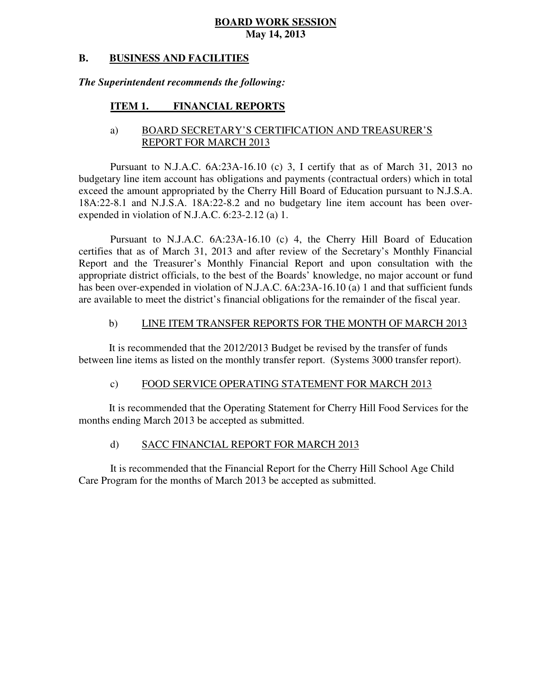#### **B. BUSINESS AND FACILITIES**

### *The Superintendent recommends the following:*

#### **ITEM 1. FINANCIAL REPORTS**

## a) BOARD SECRETARY'S CERTIFICATION AND TREASURER'S REPORT FOR MARCH 2013

 Pursuant to N.J.A.C. 6A:23A-16.10 (c) 3, I certify that as of March 31, 2013 no budgetary line item account has obligations and payments (contractual orders) which in total exceed the amount appropriated by the Cherry Hill Board of Education pursuant to N.J.S.A. 18A:22-8.1 and N.J.S.A. 18A:22-8.2 and no budgetary line item account has been over-expended in violation of N.J.A.C. 6:23-2.12 (a) 1.

 Pursuant to N.J.A.C. 6A:23A-16.10 (c) 4, the Cherry Hill Board of Education certifies that as of March 31, 2013 and after review of the Secretary's Monthly Financial Report and the Treasurer's Monthly Financial Report and upon consultation with the appropriate district officials, to the best of the Boards' knowledge, no major account or fund has been over-expended in violation of N.J.A.C. 6A:23A-16.10 (a) 1 and that sufficient funds are available to meet the district's financial obligations for the remainder of the fiscal year.

#### $b)$ LINE ITEM TRANSFER REPORTS FOR THE MONTH OF MARCH 2013

 It is recommended that the 2012/2013 Budget be revised by the transfer of funds between line items as listed on the monthly transfer report. (Systems 3000 transfer report).

#### $\mathbf{c}$ ) FOOD SERVICE OPERATING STATEMENT FOR MARCH 2013

 It is recommended that the Operating Statement for Cherry Hill Food Services for the months ending March 2013 be accepted as submitted.

#### $\mathbf{d}$ SACC FINANCIAL REPORT FOR MARCH 2013

 It is recommended that the Financial Report for the Cherry Hill School Age Child Care Program for the months of March 2013 be accepted as submitted.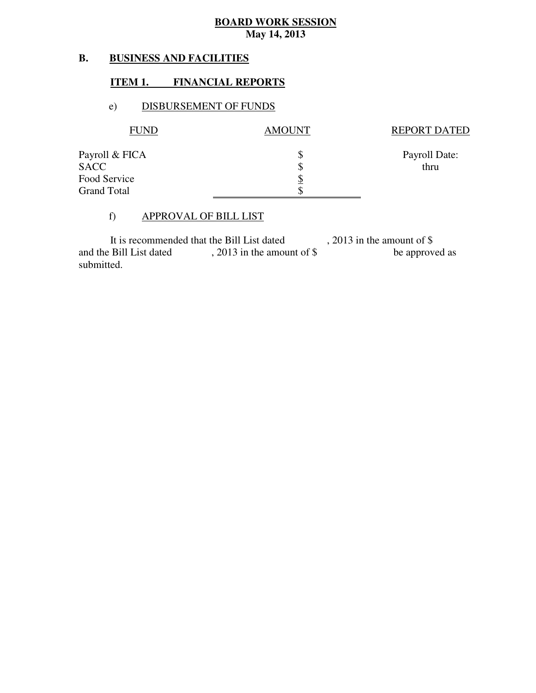#### **B. B. BUSINESS AND FACILITIES**

## **ITEM 1. FINANCIAL REPORTS**

### e) DISBURSEMENT OF FUNDS

| FUND               | <b>AMOUNT</b> | <b>REPORT DATED</b> |
|--------------------|---------------|---------------------|
| Payroll & FICA     | \$            | Payroll Date:       |
| <b>SACC</b>        | \$            | thru                |
| Food Service       | <u>\$</u>     |                     |
| <b>Grand Total</b> | \$            |                     |

#### f) APPROVAL OF BILL LIST

| It is recommended that the Bill List dated | , 2013 in the amount of $\frac{1}{2}$ |                |
|--------------------------------------------|---------------------------------------|----------------|
| and the Bill List dated                    | $, 2013$ in the amount of \$          | be approved as |
| submitted.                                 |                                       |                |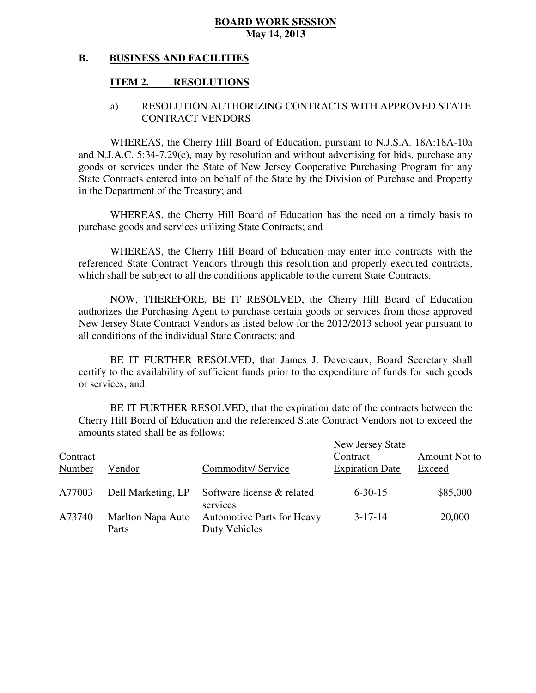#### **B. BUSINESS AND FACILITIES**

## **ITEM 2. RESOLUTIONS**

## a) RESOLUTION AUTHORIZING CONTRACTS WITH APPROVED STATE CONTRACT VENDORS

 WHEREAS, the Cherry Hill Board of Education, pursuant to N.J.S.A. 18A:18A-10a and N.J.A.C. 5:34-7.29(c), may by resolution and without advertising for bids, purchase any goods or services under the State of New Jersey Cooperative Purchasing Program for any State Contracts entered into on behalf of the State by the Division of Purchase and Property in the Department of the Treasury; and

 WHEREAS, the Cherry Hill Board of Education has the need on a timely basis to purchase goods and services utilizing State Contracts; and

 WHEREAS, the Cherry Hill Board of Education may enter into contracts with the referenced State Contract Vendors through this resolution and properly executed contracts, which shall be subject to all the conditions applicable to the current State Contracts.

 NOW, THEREFORE, BE IT RESOLVED, the Cherry Hill Board of Education authorizes the Purchasing Agent to purchase certain goods or services from those approved New Jersey State Contract Vendors as listed below for the 2012/2013 school year pursuant to all conditions of the individual State Contracts; and

 certify to the availability of sufficient funds prior to the expenditure of funds for such goods or services; and BE IT FURTHER RESOLVED, that James J. Devereaux, Board Secretary shall

 Cherry Hill Board of Education and the referenced State Contract Vendors not to exceed the amounts stated shall be as follows: BE IT FURTHER RESOLVED, that the expiration date of the contracts between the

| Contract<br>Number | Vendor                     | Commodity/Service                                  | New Jersey State<br>Contract<br><b>Expiration Date</b> | Amount Not to<br>Exceed |
|--------------------|----------------------------|----------------------------------------------------|--------------------------------------------------------|-------------------------|
| A77003             | Dell Marketing, LP         | Software license & related<br>services             | $6 - 30 - 15$                                          | \$85,000                |
| A73740             | Marlton Napa Auto<br>Parts | <b>Automotive Parts for Heavy</b><br>Duty Vehicles | $3 - 17 - 14$                                          | 20,000                  |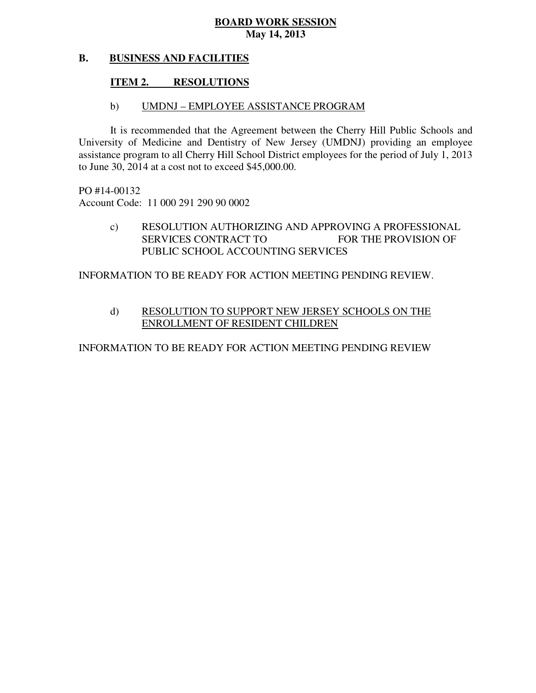#### **B. BUSINESS AND FACILITIES**

## **ITEM 2. RESOLUTIONS**

# b) UMDNJ – EMPLOYEE ASSISTANCE PROGRAM

 It is recommended that the Agreement between the Cherry Hill Public Schools and University of Medicine and Dentistry of New Jersey (UMDNJ) providing an employee assistance program to all Cherry Hill School District employees for the period of July 1, 2013 to June 30, 2014 at a cost not to exceed \$45,000.00.

 PO #14-00132 Account Code: 11 000 291 290 90 0002

> c) RESOLUTION AUTHORIZING AND APPROVING A PROFESSIONAL **SERVICES CONTRACT TO**  PUBLIC SCHOOL ACCOUNTING SERVICES FOR THE PROVISION OF

INFORMATION TO BE READY FOR ACTION MEETING PENDING REVIEW.

# d) RESOLUTION TO SUPPORT NEW JERSEY SCHOOLS ON THE ENROLLMENT OF RESIDENT CHILDREN

INFORMATION TO BE READY FOR ACTION MEETING PENDING REVIEW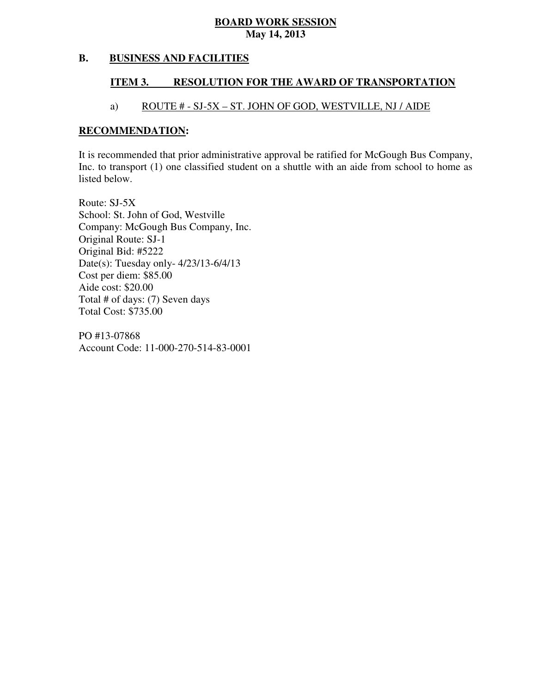#### **B. BUSINESS AND FACILITIES**

#### **ITEM 3. RESOLUTION FOR THE AWARD OF TRANSPORTATION**

## a) ROUTE # - SJ-5X – ST. JOHN OF GOD, WESTVILLE, NJ / AIDE

#### **RECOMMENDATION:**

 It is recommended that prior administrative approval be ratified for McGough Bus Company, Inc. to transport (1) one classified student on a shuttle with an aide from school to home as listed below.

 Route: SJ-5X School: St. John of God, Westville Company: McGough Bus Company, Inc. Original Route: SJ-1 Original Bid: #5222 Date(s): Tuesday only- 4/23/13-6/4/13 Cost per diem: \$85.00 Aide cost: \$20.00 Total # of days: (7) Seven days Total Cost: \$735.00

 PO #13-07868 Account Code: 11-000-270-514-83-0001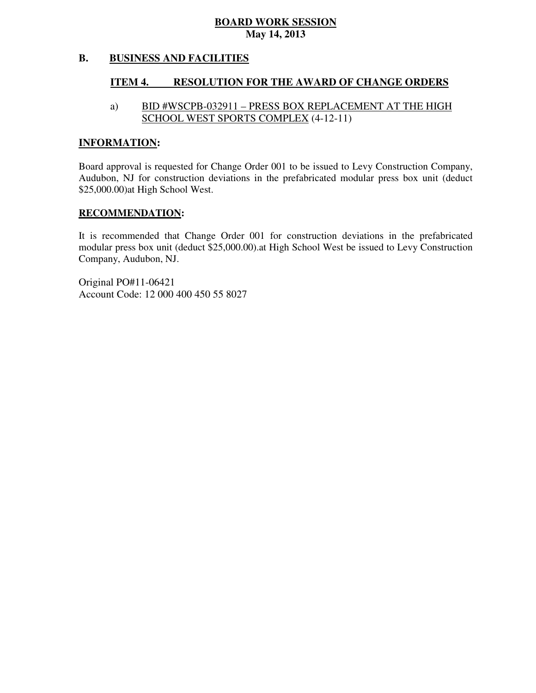#### **B. BUSINESS AND FACILITIES**

#### **ITEM 4. RESOLUTION FOR THE AWARD OF CHANGE ORDERS**

#### a) SCHOOL WEST SPORTS COMPLEX (4-12-11) BID #WSCPB-032911 – PRESS BOX REPLACEMENT AT THE HIGH

#### **INFORMATION:**

 Board approval is requested for Change Order 001 to be issued to Levy Construction Company, Audubon, NJ for construction deviations in the prefabricated modular press box unit (deduct \$25,000.00)at High School West.

#### **RECOMMENDATION:**

 It is recommended that Change Order 001 for construction deviations in the prefabricated modular press box unit (deduct \$25,000.00).at High School West be issued to Levy Construction Company, Audubon, NJ.

 Account Code: 12 000 400 450 55 8027 Original PO#11-06421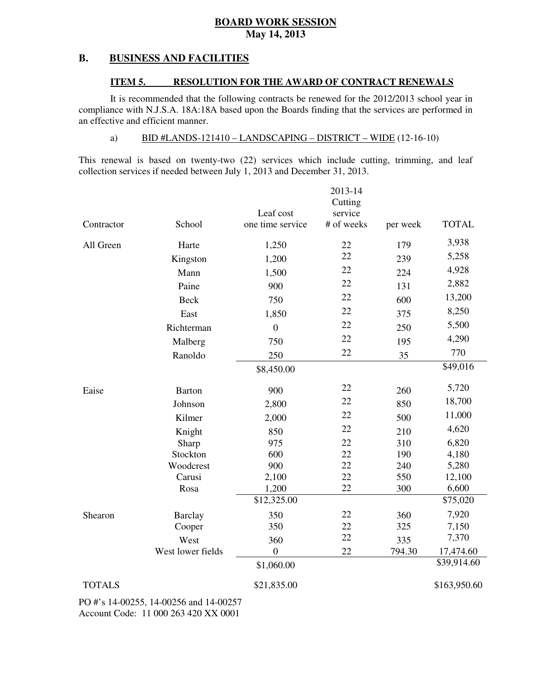#### **B. BUSINESS AND FACILITIES**

#### **ITEM 5. RESOLUTION FOR THE AWARD OF CONTRACT RENEWALS**

 It is recommended that the following contracts be renewed for the 2012/2013 school year in compliance with N.J.S.A. 18A:18A based upon the Boards finding that the services are performed in an effective and efficient manner.

### a) BID #LANDS-121410 – LANDSCAPING – DISTRICT – WIDE (12-16-10)

 This renewal is based on twenty-two (22) services which include cutting, trimming, and leaf collection services if needed between July 1, 2013 and December 31, 2013.

|               |                   |                  | 2013-14            |          |              |
|---------------|-------------------|------------------|--------------------|----------|--------------|
|               |                   | Leaf cost        | Cutting<br>service |          |              |
| Contractor    | School            | one time service | # of weeks         | per week | <b>TOTAL</b> |
| All Green     | Harte             | 1,250            | 22                 | 179      | 3,938        |
|               | Kingston          | 1,200            | 22                 | 239      | 5,258        |
|               | Mann              | 1,500            | 22                 | 224      | 4,928        |
|               | Paine             | 900              | 22                 | 131      | 2,882        |
|               | <b>Beck</b>       | 750              | 22                 | 600      | 13,200       |
|               | East              | 1,850            | 22                 | 375      | 8,250        |
|               | Richterman        | $\boldsymbol{0}$ | 22                 | 250      | 5,500        |
|               | Malberg           | 750              | 22                 | 195      | 4,290        |
|               | Ranoldo           | 250              | 22                 | 35       | 770          |
|               |                   | \$8,450.00       |                    |          | \$49,016     |
| Eaise         | <b>Barton</b>     | 900              | 22                 | 260      | 5,720        |
|               | Johnson           | 2,800            | 22                 | 850      | 18,700       |
|               | Kilmer            | 2,000            | 22                 | 500      | 11,000       |
|               | Knight            | 850              | 22                 | 210      | 4,620        |
|               | Sharp             | 975              | 22                 | 310      | 6,820        |
|               | Stockton          | 600              | 22                 | 190      | 4,180        |
|               | Woodcrest         | 900              | 22                 | 240      | 5,280        |
|               | Carusi            | 2,100            | 22                 | 550      | 12,100       |
|               | Rosa              | 1,200            | 22                 | 300      | 6,600        |
|               |                   | \$12,325.00      |                    |          | \$75,020     |
| Shearon       | <b>Barclay</b>    | 350              | 22                 | 360      | 7,920        |
|               | Cooper            | 350              | 22                 | 325      | 7,150        |
|               | West              | 360              | 22                 | 335      | 7,370        |
|               | West lower fields | $\boldsymbol{0}$ | 22                 | 794.30   | 17,474.60    |
|               |                   | \$1,060.00       |                    |          | \$39,914.60  |
| <b>TOTALS</b> |                   | \$21,835.00      |                    |          | \$163,950.60 |

 PO #'s 14-00255, 14-00256 and 14-00257 Account Code: 11 000 263 420 XX 0001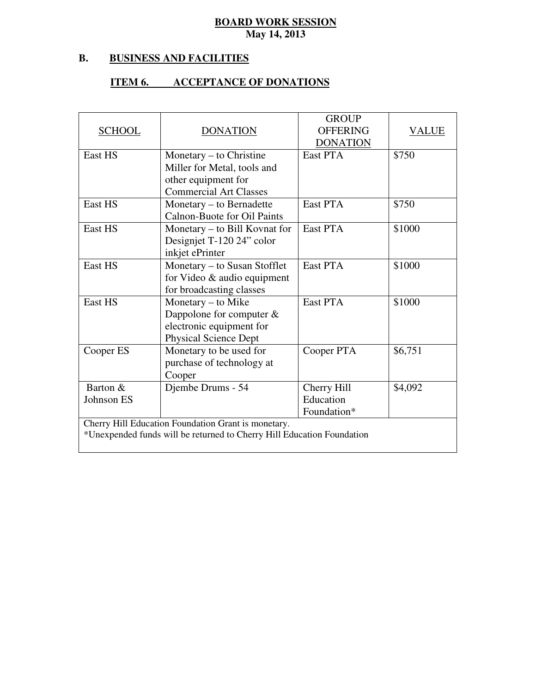#### **B. B. BUSINESS AND FACILITIES**

### **ITEM 6. ACCEPTANCE OF DONATIONS**

|                                                     |                                                                        | <b>GROUP</b>       |         |  |  |
|-----------------------------------------------------|------------------------------------------------------------------------|--------------------|---------|--|--|
| <b>SCHOOL</b>                                       | <b>DONATION</b>                                                        | <b>OFFERING</b>    | VALUE   |  |  |
|                                                     |                                                                        | <b>DONATION</b>    |         |  |  |
| East HS                                             | Monetary – to Christine                                                | East PTA           | \$750   |  |  |
|                                                     | Miller for Metal, tools and                                            |                    |         |  |  |
|                                                     | other equipment for                                                    |                    |         |  |  |
|                                                     | <b>Commercial Art Classes</b>                                          |                    |         |  |  |
| East HS                                             | Monetary – to Bernadette                                               | East PTA           | \$750   |  |  |
|                                                     | <b>Calnon-Buote for Oil Paints</b>                                     |                    |         |  |  |
| <b>East HS</b>                                      | Monetary – to Bill Kovnat for                                          | <b>East PTA</b>    | \$1000  |  |  |
|                                                     | Designiet T-120 24" color                                              |                    |         |  |  |
|                                                     | inkjet ePrinter                                                        |                    |         |  |  |
| East HS                                             | Monetary – to Susan Stofflet                                           | East PTA           | \$1000  |  |  |
|                                                     | for Video $&$ audio equipment                                          |                    |         |  |  |
|                                                     | for broadcasting classes                                               |                    |         |  |  |
| East HS                                             | Monetary – to Mike                                                     | <b>East PTA</b>    | \$1000  |  |  |
|                                                     | Dappolone for computer $\&$                                            |                    |         |  |  |
|                                                     | electronic equipment for                                               |                    |         |  |  |
|                                                     | <b>Physical Science Dept</b>                                           |                    |         |  |  |
| Cooper ES                                           | Monetary to be used for                                                | Cooper PTA         | \$6,751 |  |  |
|                                                     | purchase of technology at                                              |                    |         |  |  |
|                                                     | Cooper                                                                 |                    |         |  |  |
| Barton &                                            | Djembe Drums - 54                                                      | <b>Cherry Hill</b> | \$4,092 |  |  |
| Johnson ES                                          |                                                                        | Education          |         |  |  |
|                                                     |                                                                        | Foundation*        |         |  |  |
| Cherry Hill Education Foundation Grant is monetary. |                                                                        |                    |         |  |  |
|                                                     | *Unexpended funds will be returned to Cherry Hill Education Foundation |                    |         |  |  |
|                                                     |                                                                        |                    |         |  |  |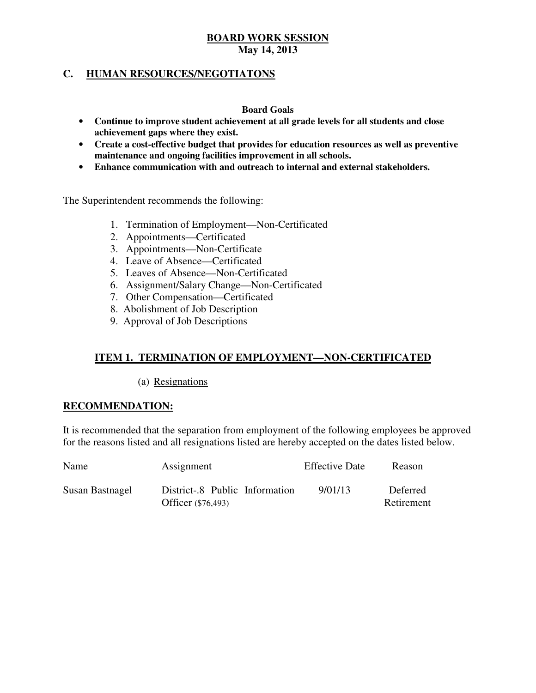## **C. HUMAN RESOURCES/NEGOTIATONS**

#### **Board Goals**

- • **Continue to improve student achievement at all grade levels for all students and close achievement gaps where they exist.**
- • **Create a cost-effective budget that provides for education resources as well as preventive maintenance and ongoing facilities improvement in all schools.**
- • **Enhance communication with and outreach to internal and external stakeholders.**

The Superintendent recommends the following:

- 1. Termination of Employment—Non-Certificated
- 2. Appointments—Certificated
- 3. Appointments—Non-Certificate
- 4. Leave of Absence—Certificated
- 5. Leaves of Absence—Non-Certificated
- 6. Assignment/Salary Change—Non-Certificated
- 7. Other Compensation—Certificated
- 8. Abolishment of Job Description
- 9. Approval of Job Descriptions

## **ITEM 1. TERMINATION OF EMPLOYMENT—NON-CERTIFICATED**

(a) Resignations

### **RECOMMENDATION:**

 It is recommended that the separation from employment of the following employees be approved for the reasons listed and all resignations listed are hereby accepted on the dates listed below.

| <b>Name</b>     | Assignment                                           | <b>Effective Date</b> | Reason                 |
|-----------------|------------------------------------------------------|-----------------------|------------------------|
| Susan Bastnagel | District-.8 Public Information<br>Officer (\$76,493) | 9/01/13               | Deferred<br>Retirement |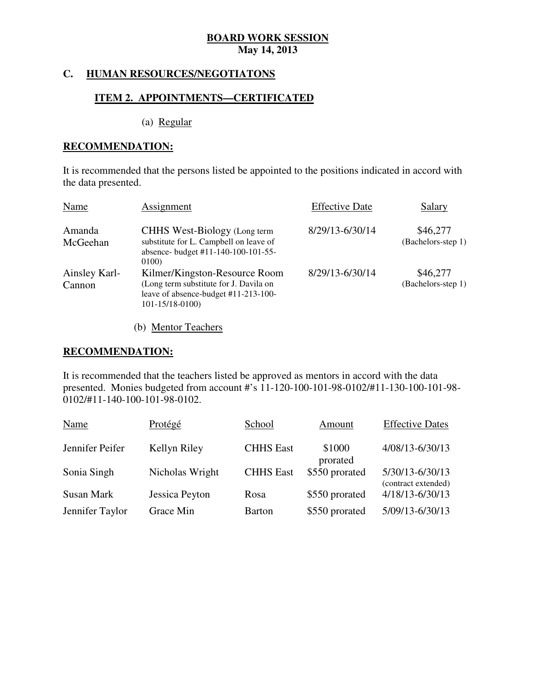#### **HUMAN RESOURCES/NEGOTIATONS**

### **ITEM 2. APPOINTMENTS—CERTIFICATED**

(a) Regular

#### **RECOMMENDATION:**

 It is recommended that the persons listed be appointed to the positions indicated in accord with the data presented.

| Name                    | Assignment                                                                                                                              | <b>Effective Date</b> | Salary                         |
|-------------------------|-----------------------------------------------------------------------------------------------------------------------------------------|-----------------------|--------------------------------|
| Amanda<br>McGeehan      | CHHS West-Biology (Long term<br>substitute for L. Campbell on leave of<br>absence- budget #11-140-100-101-55-<br>0100)                  | 8/29/13-6/30/14       | \$46,277<br>(Bachelors-step 1) |
| Ainsley Karl-<br>Cannon | Kilmer/Kingston-Resource Room<br>(Long term substitute for J. Davila on<br>leave of absence-budget #11-213-100-<br>$101 - 15/18 - 0100$ | 8/29/13-6/30/14       | \$46,277<br>(Bachelors-step 1) |

(b) Mentor Teachers

#### **RECOMMENDATION:**

 It is recommended that the teachers listed be approved as mentors in accord with the data presented. Monies budgeted from account #'s 11-120-100-101-98-0102/#11-130-100-101-98 0102/#11-140-100-101-98-0102.

| Name            | Protégé         | School           | Amount             | <b>Effective Dates</b>                 |
|-----------------|-----------------|------------------|--------------------|----------------------------------------|
| Jennifer Peifer | Kellyn Riley    | <b>CHHS</b> East | \$1000<br>prorated | 4/08/13-6/30/13                        |
| Sonia Singh     | Nicholas Wright | <b>CHHS</b> East | \$550 prorated     | 5/30/13-6/30/13<br>(contract extended) |
| Susan Mark      | Jessica Peyton  | Rosa             | \$550 prorated     | 4/18/13-6/30/13                        |
| Jennifer Taylor | Grace Min       | <b>Barton</b>    | \$550 prorated     | 5/09/13-6/30/13                        |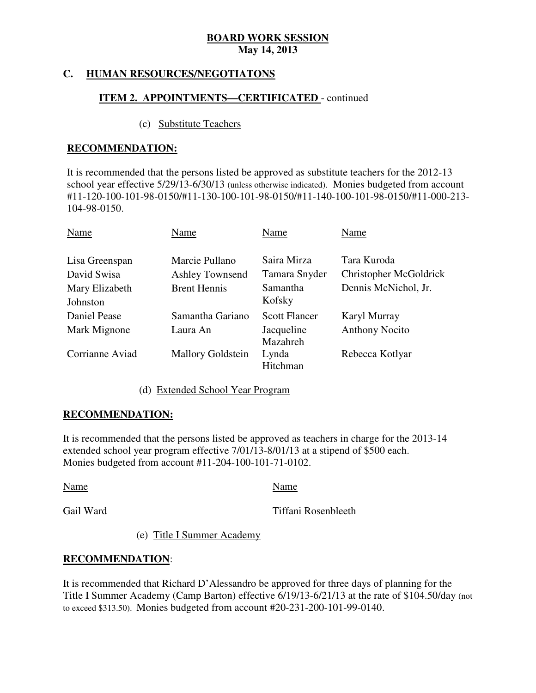#### **HUMAN RESOURCES/NEGOTIATONS**

## **ITEM 2. APPOINTMENTS—CERTIFICATED** - continued

#### (c) Substitute Teachers

#### **RECOMMENDATION:**

 It is recommended that the persons listed be approved as substitute teachers for the 2012-13 school year effective 5/29/13-6/30/13 (unless otherwise indicated). Monies budgeted from account #11-120-100-101-98-0150/#11-130-100-101-98-0150/#11-140-100-101-98-0150/#11-000-213 104-98-0150.

| Name                          | Name                                     | Name                         | Name                                  |
|-------------------------------|------------------------------------------|------------------------------|---------------------------------------|
| Lisa Greenspan<br>David Swisa | Marcie Pullano<br><b>Ashley Townsend</b> | Saira Mirza<br>Tamara Snyder | Tara Kuroda<br>Christopher McGoldrick |
| Mary Elizabeth<br>Johnston    | <b>Brent Hennis</b>                      | Samantha<br>Kofsky           | Dennis McNichol, Jr.                  |
| Daniel Pease                  | Samantha Gariano                         | <b>Scott Flancer</b>         | Karyl Murray                          |
| Mark Mignone                  | Laura An                                 | Jacqueline<br>Mazahreh       | <b>Anthony Nocito</b>                 |
| Corrianne Aviad               | <b>Mallory Goldstein</b>                 | Lynda<br>Hitchman            | Rebecca Kotlyar                       |

(d) Extended School Year Program

### **RECOMMENDATION:**

 It is recommended that the persons listed be approved as teachers in charge for the 2013-14 extended school year program effective 7/01/13-8/01/13 at a stipend of \$500 each. Monies budgeted from account #11-204-100-101-71-0102.

Name Name Name

Gail Ward

Tiffani Rosenbleeth

(e) Title I Summer Academy

### **RECOMMENDATION**:

 It is recommended that Richard D'Alessandro be approved for three days of planning for the Title I Summer Academy (Camp Barton) effective 6/19/13-6/21/13 at the rate of \$104.50/day (not to exceed \$313.50). Monies budgeted from account #20-231-200-101-99-0140.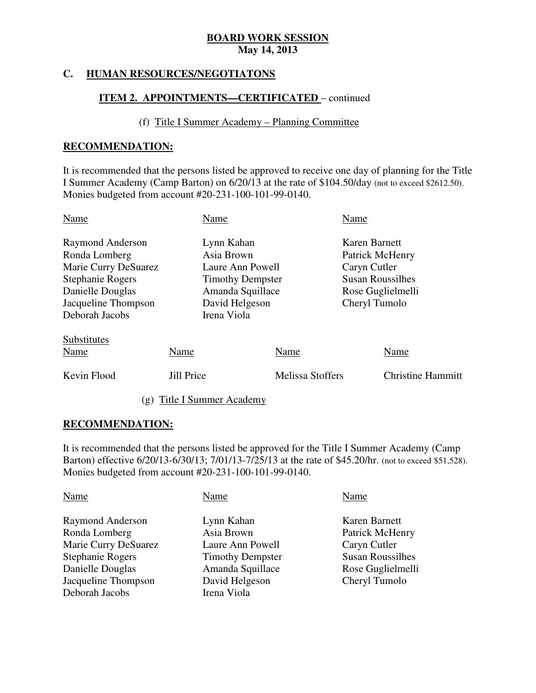#### **HUMAN RESOURCES/NEGOTIATONS**

## **ITEM 2. APPOINTMENTS—CERTIFICATED** – continued

#### (f) Title I Summer Academy – Planning Committee

#### **RECOMMENDATION:**

 It is recommended that the persons listed be approved to receive one day of planning for the Title I Summer Academy (Camp Barton) on 6/20/13 at the rate of \$104.50/day (not to exceed \$2612.50). Monies budgeted from account #20-231-100-101-99-0140.

| Name                                                                                                                                       | Name                                                                                                                         |                                 | Name                                                                                         |                                  |
|--------------------------------------------------------------------------------------------------------------------------------------------|------------------------------------------------------------------------------------------------------------------------------|---------------------------------|----------------------------------------------------------------------------------------------|----------------------------------|
| Raymond Anderson<br>Ronda Lomberg<br>Marie Curry DeSuarez<br>Stephanie Rogers<br>Danielle Douglas<br>Jacqueline Thompson<br>Deborah Jacobs | Lynn Kahan<br>Asia Brown<br>Laure Ann Powell<br><b>Timothy Dempster</b><br>Amanda Squillace<br>David Helgeson<br>Irena Viola |                                 | Karen Barnett<br>Patrick McHenry<br>Caryn Cutler<br><b>Susan Roussilhes</b><br>Cheryl Tumolo | Rose Guglielmelli                |
| Substitutes<br>Name<br>Kevin Flood                                                                                                         | Name<br><b>Jill Price</b>                                                                                                    | Name<br><b>Melissa Stoffers</b> |                                                                                              | Name<br><b>Christine Hammitt</b> |

(g) Title I Summer Academy

## **RECOMMENDATION:**

 It is recommended that the persons listed be approved for the Title I Summer Academy (Camp Barton) effective 6/20/13-6/30/13; 7/01/13-7/25/13 at the rate of \$45.20/hr. (not to exceed \$51,528). Monies budgeted from account #20-231-100-101-99-0140.

| Name                    | Name                    |
|-------------------------|-------------------------|
| Lynn Kahan              | Karen Barnett           |
| Asia Brown              | Patrick McHenry         |
| Laure Ann Powell        | Caryn Cutler            |
| <b>Timothy Dempster</b> | <b>Susan Roussilhes</b> |
| Amanda Squillace        | Rose Guglielmelli       |
| David Helgeson          | Cheryl Tumolo           |
| Irena Viola             |                         |
|                         |                         |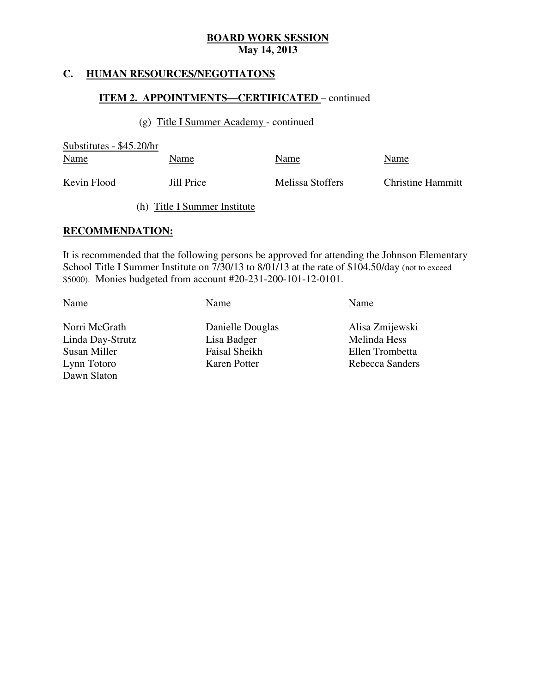#### **HUMAN RESOURCES/NEGOTIATONS**

### **ITEM 2. APPOINTMENTS—CERTIFICATED** – continued

(g) Title I Summer Academy - continued

 Substitutes - \$45.20/hr Kevin Flood Name Name Name Name Name Name Jill Price Melissa Stoffers Christine Hammitt (h) Title I Summer Institute

### **RECOMMENDATION:**

 It is recommended that the following persons be approved for attending the Johnson Elementary School Title I Summer Institute on 7/30/13 to 8/01/13 at the rate of \$104.50/day (not to exceed \$5000). Monies budgeted from account #20-231-200-101-12-0101.

Name Name Name Name Name

Norri McGrath Linda Day-Strutz Lisa Badger Melinda Hess Susan Miller Lynn Totoro Dawn Slaton

Danielle Douglas Alisa Zmijewski Faisal Sheikh Ellen Trombetta **Karen Potter Rebecca Sanders**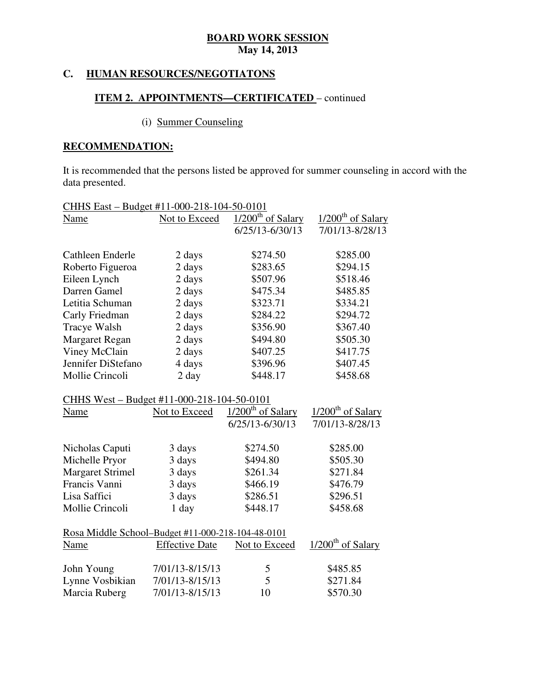### **C. HUMAN RESOURCES/NEGOTIATONS**

## **ITEM 2. APPOINTMENTS—CERTIFICATED** – continued

# (i) Summer Counseling

## **RECOMMENDATION:**

 It is recommended that the persons listed be approved for summer counseling in accord with the data presented.

| CHHS East - Budget #11-000-218-104-50-0101        |                       |                                         |                                 |
|---------------------------------------------------|-----------------------|-----------------------------------------|---------------------------------|
| Name                                              | Not to Exceed         | $1/200$ <sup>th</sup> of Salary         | $1/200$ <sup>th</sup> of Salary |
|                                                   |                       | $6/25/13 - 6/30/13$                     | 7/01/13-8/28/13                 |
|                                                   |                       |                                         |                                 |
| Cathleen Enderle                                  | 2 days                | \$274.50                                | \$285.00                        |
| Roberto Figueroa                                  | 2 days                | \$283.65                                | \$294.15                        |
| Eileen Lynch                                      | 2 days                | \$507.96                                | \$518.46                        |
| Darren Gamel                                      | 2 days                | \$475.34                                | \$485.85                        |
| Letitia Schuman                                   | 2 days                | \$323.71                                | \$334.21                        |
| Carly Friedman                                    | 2 days                | \$284.22                                | \$294.72                        |
| Tracye Walsh                                      | 2 days                | \$356.90                                | \$367.40                        |
| <b>Margaret Regan</b>                             | 2 days                | \$494.80                                | \$505.30                        |
| Viney McClain                                     | 2 days                | \$407.25                                | \$417.75                        |
| Jennifer DiStefano                                | 4 days                | \$396.96                                | \$407.45                        |
| Mollie Crincoli                                   | 2 day                 | \$448.17                                | \$458.68                        |
| CHHS West - Budget #11-000-218-104-50-0101        |                       |                                         |                                 |
| Name                                              | Not to Exceed         | $\frac{1}{200}$ <sup>th</sup> of Salary | $1/200^{\text{th}}$ of Salary   |
|                                                   |                       | $6/25/13 - 6/30/13$                     | 7/01/13-8/28/13                 |
|                                                   |                       |                                         |                                 |
| Nicholas Caputi                                   | 3 days                | \$274.50                                | \$285.00                        |
| Michelle Pryor                                    | 3 days                | \$494.80                                | \$505.30                        |
| <b>Margaret Strimel</b>                           | 3 days                | \$261.34                                | \$271.84                        |
| Francis Vanni                                     | 3 days                | \$466.19                                | \$476.79                        |
| Lisa Saffici                                      | 3 days                | \$286.51                                | \$296.51                        |
| Mollie Crincoli                                   | 1 day                 | \$448.17                                | \$458.68                        |
| Rosa Middle School-Budget #11-000-218-104-48-0101 |                       |                                         |                                 |
| Name                                              | <b>Effective Date</b> | Not to Exceed                           | 1/200 <sup>th</sup> of Salary   |
|                                                   |                       |                                         |                                 |
| John Young                                        | 7/01/13-8/15/13       | 5                                       | \$485.85                        |
| Lynne Vosbikian                                   | 7/01/13-8/15/13       | 5                                       | \$271.84                        |
| Marcia Ruberg                                     | 7/01/13-8/15/13       | 10                                      | \$570.30                        |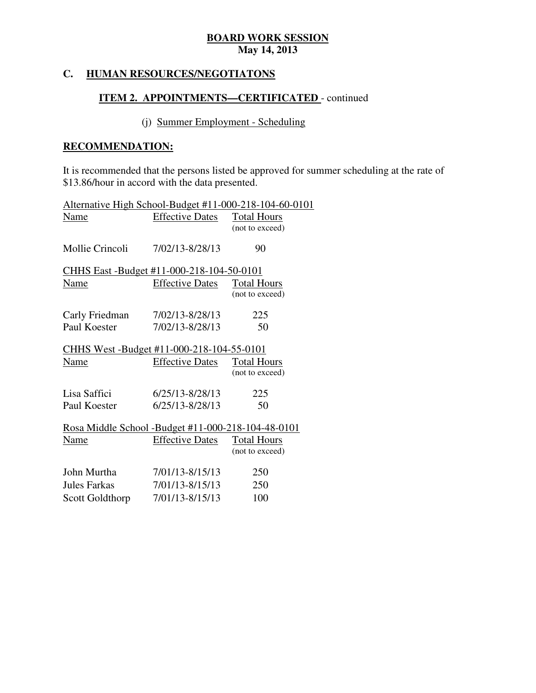#### **HUMAN RESOURCES/NEGOTIATONS**

## **ITEM 2. APPOINTMENTS-CERTIFICATED** - continued

## (j) Summer Employment - Scheduling

## **RECOMMENDATION:**

 It is recommended that the persons listed be approved for summer scheduling at the rate of \$13.86/hour in accord with the data presented.

| Alternative High School-Budget #11-000-218-104-60-0101 |                        |                    |
|--------------------------------------------------------|------------------------|--------------------|
| Name                                                   | <b>Effective Dates</b> | <b>Total Hours</b> |
|                                                        |                        | (not to exceed)    |
|                                                        |                        |                    |
| Mollie Crincoli                                        | 7/02/13-8/28/13        | 90                 |
| <u>CHHS East -Budget #11-000-218-104-50-0101</u>       |                        |                    |
| Name                                                   | <b>Effective Dates</b> | <b>Total Hours</b> |
|                                                        |                        | (not to exceed)    |
| Carly Friedman                                         | 7/02/13-8/28/13        | 225                |
| Paul Koester                                           | 7/02/13-8/28/13        | 50                 |
| CHHS West -Budget #11-000-218-104-55-0101              |                        |                    |
| Name                                                   | <b>Effective Dates</b> | Total Hours        |
|                                                        |                        | (not to exceed)    |
| Lisa Saffici                                           | $6/25/13 - 8/28/13$    | 225                |
| Paul Koester                                           | 6/25/13-8/28/13        | 50                 |
| Rosa Middle School - Budget #11-000-218-104-48-0101    |                        |                    |
| Name                                                   | <b>Effective Dates</b> | <b>Total Hours</b> |
|                                                        |                        | (not to exceed)    |
| John Murtha                                            | 7/01/13-8/15/13        | 250                |
| <b>Jules Farkas</b>                                    | 7/01/13-8/15/13        | 250                |
| Scott Goldthorp 7/01/13-8/15/13                        |                        | 100                |
|                                                        |                        |                    |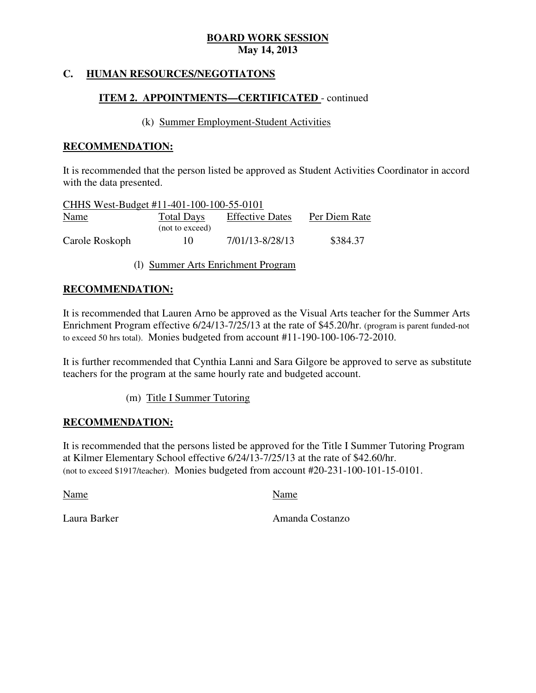#### **HUMAN RESOURCES/NEGOTIATONS**

## **ITEM 2. APPOINTMENTS—CERTIFICATED** - continued

#### (k) Summer Employment-Student Activities

#### **RECOMMENDATION:**

 It is recommended that the person listed be approved as Student Activities Coordinator in accord with the data presented.

| CHHS West-Budget #11-401-100-100-55-0101 |                   |                        |               |
|------------------------------------------|-------------------|------------------------|---------------|
| <b>Name</b>                              | <b>Total Days</b> | <b>Effective Dates</b> | Per Diem Rate |
|                                          | (not to exceed)   |                        |               |
| Carole Roskoph                           | 10                | 7/01/13-8/28/13        | \$384.37      |

(l) Summer Arts Enrichment Program

### **RECOMMENDATION:**

 It is recommended that Lauren Arno be approved as the Visual Arts teacher for the Summer Arts Enrichment Program effective 6/24/13-7/25/13 at the rate of \$45.20/hr. (program is parent funded-not to exceed 50 hrs total). Monies budgeted from account #11-190-100-106-72-2010.

 It is further recommended that Cynthia Lanni and Sara Gilgore be approved to serve as substitute teachers for the program at the same hourly rate and budgeted account.

(m) Title I Summer Tutoring

### **RECOMMENDATION:**

 It is recommended that the persons listed be approved for the Title I Summer Tutoring Program at Kilmer Elementary School effective 6/24/13-7/25/13 at the rate of \$42.60/hr. (not to exceed \$1917/teacher). Monies budgeted from account #20-231-100-101-15-0101.

Name Name Name

Laura Barker

Amanda Costanzo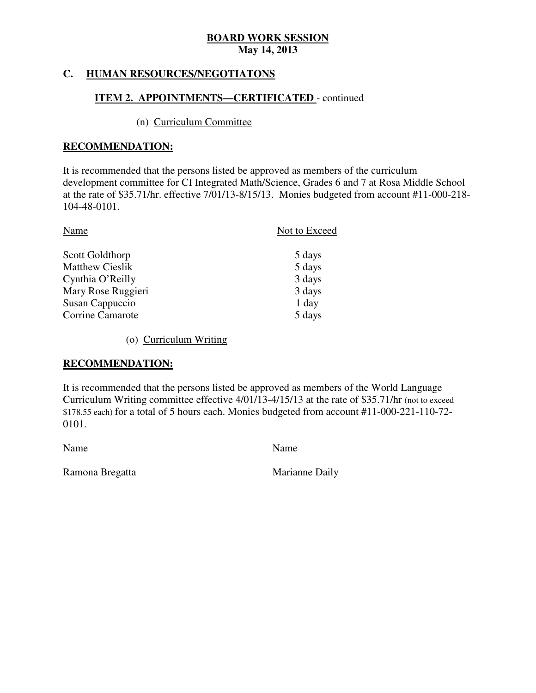#### **HUMAN RESOURCES/NEGOTIATONS**

## **ITEM 2. APPOINTMENTS—CERTIFICATED** - continued

## (n) Curriculum Committee

### **RECOMMENDATION:**

 It is recommended that the persons listed be approved as members of the curriculum development committee for CI Integrated Math/Science, Grades 6 and 7 at Rosa Middle School at the rate of \$35.71/hr. effective 7/01/13-8/15/13. Monies budgeted from account #11-000-218 104-48-0101.

| Name                   | Not to Exceed |
|------------------------|---------------|
| Scott Goldthorp        | 5 days        |
| <b>Matthew Cieslik</b> | 5 days        |
| Cynthia O'Reilly       | 3 days        |
| Mary Rose Ruggieri     | 3 days        |
| Susan Cappuccio        | 1 day         |
| Corrine Camarote       | 5 days        |

(o) Curriculum Writing

## **RECOMMENDATION:**

 It is recommended that the persons listed be approved as members of the World Language Curriculum Writing committee effective 4/01/13-4/15/13 at the rate of \$35.71/hr (not to exceed \$178.55 each) for a total of 5 hours each. Monies budgeted from account #11-000-221-110-72 0101. 0101. Name Name

Ramona Bregatta **Marianne Daily**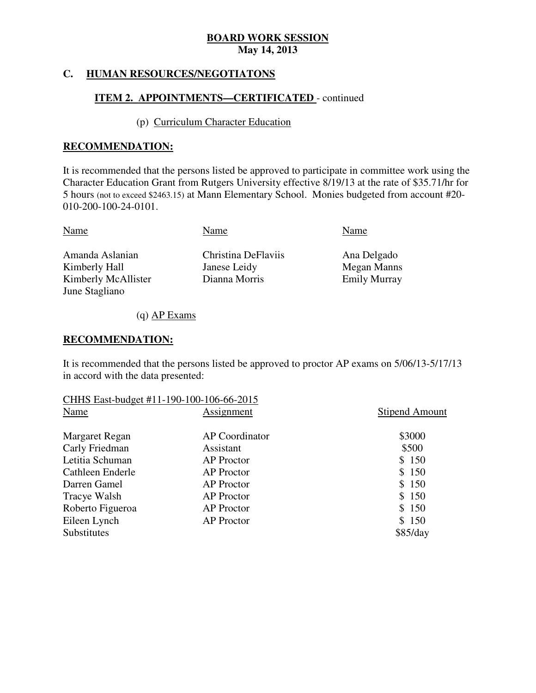#### **HUMAN RESOURCES/NEGOTIATONS**

## **ITEM 2. APPOINTMENTS—CERTIFICATED** - continued

### (p) Curriculum Character Education

#### **RECOMMENDATION:**

 It is recommended that the persons listed be approved to participate in committee work using the Character Education Grant from Rutgers University effective 8/19/13 at the rate of \$35.71/hr for 5 hours (not to exceed \$2463.15) at Mann Elementary School. Monies budgeted from account #20 010-200-100-24-0101.

| Name                             | Name                                | Name                       |
|----------------------------------|-------------------------------------|----------------------------|
| Amanda Aslanian<br>Kimberly Hall | Christina DeFlaviis<br>Janese Leidy | Ana Delgado<br>Megan Manns |
| Kimberly McAllister              | Dianna Morris                       | <b>Emily Murray</b>        |
| June Stagliano                   |                                     |                            |

(q) AP Exams

#### **RECOMMENDATION:**

 It is recommended that the persons listed be approved to proctor AP exams on 5/06/13-5/17/13 in accord with the data presented:

| CHHS East-budget #11-190-100-106-66-2015 |                   |                       |
|------------------------------------------|-------------------|-----------------------|
| Name                                     | Assignment        | <b>Stipend Amount</b> |
| Margaret Regan                           | AP Coordinator    | \$3000                |
| Carly Friedman                           | Assistant         | \$500                 |
| Letitia Schuman                          | <b>AP</b> Proctor | \$150                 |
| Cathleen Enderle                         | <b>AP</b> Proctor | \$150                 |
| Darren Gamel                             | <b>AP</b> Proctor | \$150                 |
| Tracye Walsh                             | <b>AP</b> Proctor | \$150                 |
| Roberto Figueroa                         | <b>AP</b> Proctor | \$150                 |
| Eileen Lynch                             | <b>AP</b> Proctor | \$150                 |
| <b>Substitutes</b>                       |                   | \$85/day              |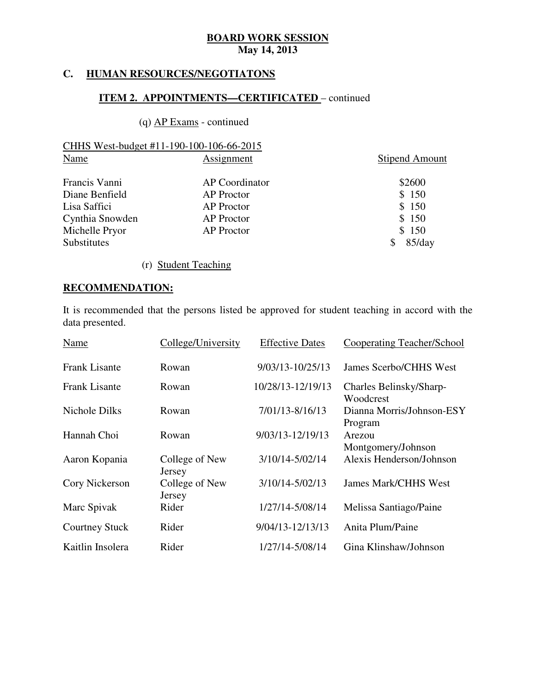#### **HUMAN RESOURCES/NEGOTIATONS**

### **ITEM 2. APPOINTMENTS—CERTIFICATED** – continued

## (q) AP Exams - continued

| CHHS West-budget #11-190-100-106-66-2015 |                   |                       |
|------------------------------------------|-------------------|-----------------------|
| Name                                     | Assignment        | <b>Stipend Amount</b> |
| Francis Vanni                            | AP Coordinator    | \$2600                |
| Diane Benfield                           | <b>AP</b> Proctor | \$150                 |
| Lisa Saffici                             | <b>AP</b> Proctor | \$150                 |
| Cynthia Snowden                          | <b>AP</b> Proctor | \$150                 |

Michelle Pryor **AP Proctor AP Proctor** \$ 150 Substitutes \$ 85/day

(r) Student Teaching

## **RECOMMENDATION:**

 It is recommended that the persons listed be approved for student teaching in accord with the data presented.

| Name                  | College/University       | <b>Effective Dates</b> | <b>Cooperating Teacher/School</b>    |
|-----------------------|--------------------------|------------------------|--------------------------------------|
| <b>Frank Lisante</b>  | Rowan                    | 9/03/13-10/25/13       | James Scerbo/CHHS West               |
| <b>Frank Lisante</b>  | Rowan                    | 10/28/13-12/19/13      | Charles Belinsky/Sharp-<br>Woodcrest |
| <b>Nichole Dilks</b>  | Rowan                    | 7/01/13-8/16/13        | Dianna Morris/Johnson-ESY<br>Program |
| Hannah Choi           | Rowan                    | 9/03/13-12/19/13       | Arezou<br>Montgomery/Johnson         |
| Aaron Kopania         | College of New<br>Jersey | 3/10/14-5/02/14        | Alexis Henderson/Johnson             |
| Cory Nickerson        | College of New<br>Jersey | $3/10/14 - 5/02/13$    | <b>James Mark/CHHS West</b>          |
| Marc Spivak           | Rider                    | 1/27/14-5/08/14        | Melissa Santiago/Paine               |
| <b>Courtney Stuck</b> | Rider                    | 9/04/13-12/13/13       | Anita Plum/Paine                     |
| Kaitlin Insolera      | Rider                    | 1/27/14-5/08/14        | Gina Klinshaw/Johnson                |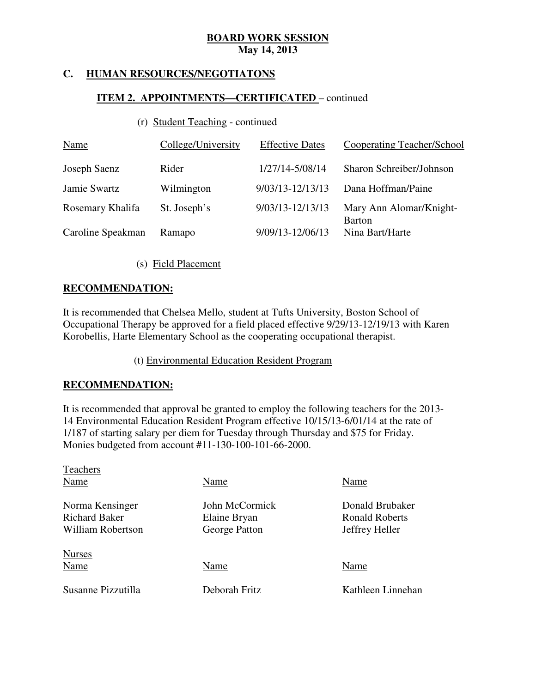#### **HUMAN RESOURCES/NEGOTIATONS**

## **ITEM 2. APPOINTMENTS—CERTIFICATED** – continued

## (r) Student Teaching - continued

| <b>Name</b>       | College/University | <b>Effective Dates</b> | Cooperating Teacher/School               |
|-------------------|--------------------|------------------------|------------------------------------------|
| Joseph Saenz      | Rider              | 1/27/14-5/08/14        | Sharon Schreiber/Johnson                 |
| Jamie Swartz      | Wilmington         | 9/03/13-12/13/13       | Dana Hoffman/Paine                       |
| Rosemary Khalifa  | St. Joseph's       | 9/03/13-12/13/13       | Mary Ann Alomar/Knight-<br><b>Barton</b> |
| Caroline Speakman | Ramapo             | 9/09/13-12/06/13       | Nina Bart/Harte                          |

(s) Field Placement

## **RECOMMENDATION:**

 It is recommended that Chelsea Mello, student at Tufts University, Boston School of Occupational Therapy be approved for a field placed effective 9/29/13-12/19/13 with Karen Korobellis, Harte Elementary School as the cooperating occupational therapist.

(t) Environmental Education Resident Program

### **RECOMMENDATION:**

 It is recommended that approval be granted to employ the following teachers for the 2013 14 Environmental Education Resident Program effective 10/15/13-6/01/14 at the rate of 1/187 of starting salary per diem for Tuesday through Thursday and \$75 for Friday. Monies budgeted from account #11-130-100-101-66-2000.

| Teachers             |                |                       |
|----------------------|----------------|-----------------------|
| Name                 | Name           | Name                  |
| Norma Kensinger      | John McCormick | Donald Brubaker       |
| <b>Richard Baker</b> | Elaine Bryan   | <b>Ronald Roberts</b> |
| William Robertson    | George Patton  | Jeffrey Heller        |
| <b>Nurses</b>        |                |                       |
| Name                 | Name           | Name                  |
| Susanne Pizzutilla   | Deborah Fritz  | Kathleen Linnehan     |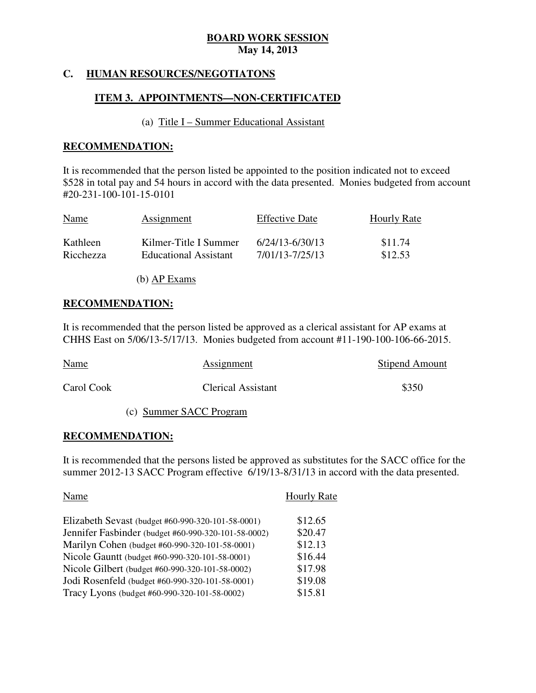## **C. HUMAN RESOURCES/NEGOTIATONS**

## **ITEM 3. APPOINTMENTS—NON-CERTIFICATED**

#### (a) Title I – Summer Educational Assistant

#### **RECOMMENDATION:**

 It is recommended that the person listed be appointed to the position indicated not to exceed \$528 in total pay and 54 hours in accord with the data presented. Monies budgeted from account #20-231-100-101-15-0101

| <b>Name</b> | Assignment                   | <b>Effective Date</b> | <b>Hourly Rate</b> |
|-------------|------------------------------|-----------------------|--------------------|
| Kathleen    | Kilmer-Title I Summer        | 6/24/13-6/30/13       | \$11.74            |
| Ricchezza   | <b>Educational Assistant</b> | 7/01/13-7/25/13       | \$12.53            |

(b) AP Exams

### **RECOMMENDATION:**

 It is recommended that the person listed be approved as a clerical assistant for AP exams at CHHS East on 5/06/13-5/17/13. Monies budgeted from account #11-190-100-106-66-2015.

| <b>Name</b> | Assignment                | <b>Stipend Amount</b> |
|-------------|---------------------------|-----------------------|
| Carol Cook  | <b>Clerical Assistant</b> | \$350                 |

(c) Summer SACC Program

### **RECOMMENDATION:**

 It is recommended that the persons listed be approved as substitutes for the SACC office for the summer 2012-13 SACC Program effective 6/19/13-8/31/13 in accord with the data presented.

| Name                                                | <b>Hourly Rate</b> |
|-----------------------------------------------------|--------------------|
| Elizabeth Sevast (budget #60-990-320-101-58-0001)   | \$12.65            |
| Jennifer Fasbinder (budget #60-990-320-101-58-0002) | \$20.47            |
| Marilyn Cohen (budget #60-990-320-101-58-0001)      | \$12.13            |
| Nicole Gauntt (budget #60-990-320-101-58-0001)      | \$16.44            |
| Nicole Gilbert (budget #60-990-320-101-58-0002)     | \$17.98            |
| Jodi Rosenfeld (budget #60-990-320-101-58-0001)     | \$19.08            |
| Tracy Lyons (budget #60-990-320-101-58-0002)        | \$15.81            |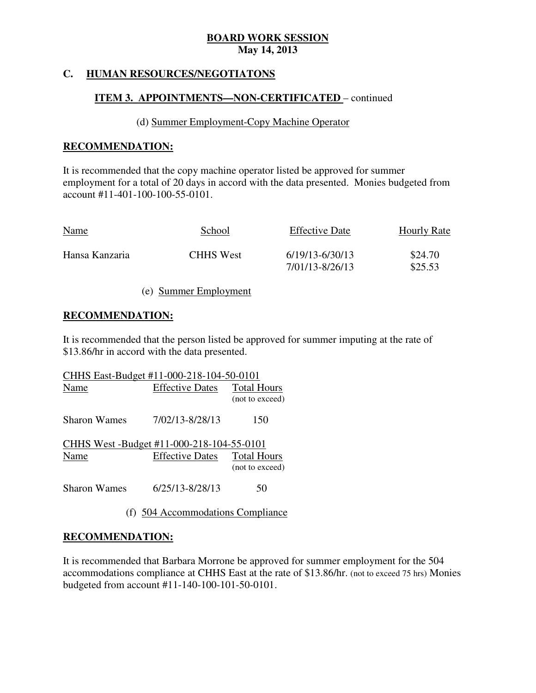#### **HUMAN RESOURCES/NEGOTIATONS**

## **ITEM 3. APPOINTMENTS—NON-CERTIFICATED** – continued

#### (d) Summer Employment-Copy Machine Operator

### **RECOMMENDATION:**

 It is recommended that the copy machine operator listed be approved for summer employment for a total of 20 days in accord with the data presented. Monies budgeted from account #11-401-100-100-55-0101.

| School           | <b>Effective Date</b> | <b>Hourly Rate</b> |
|------------------|-----------------------|--------------------|
| <b>CHHS</b> West | $6/19/13 - 6/30/13$   | \$24.70<br>\$25.53 |
|                  |                       |                    |
|                  |                       | 7/01/13-8/26/13    |

#### (e) Summer Employment

### **RECOMMENDATION:**

 It is recommended that the person listed be approved for summer imputing at the rate of \$13.86/hr in accord with the data presented.

| CHHS East-Budget #11-000-218-104-50-0101  |                        |                                       |  |
|-------------------------------------------|------------------------|---------------------------------------|--|
| Name                                      | <b>Effective Dates</b> | <b>Total Hours</b><br>(not to exceed) |  |
| Sharon Wames                              | 7/02/13-8/28/13        | 150                                   |  |
| CHHS West -Budget #11-000-218-104-55-0101 |                        |                                       |  |
| Name                                      | <b>Effective Dates</b> | <b>Total Hours</b><br>(not to exceed) |  |
| <b>Sharon Wames</b>                       | 6/25/13-8/28/13        | 50                                    |  |

(f) 504 Accommodations Compliance

### **RECOMMENDATION:**

 It is recommended that Barbara Morrone be approved for summer employment for the 504 accommodations compliance at CHHS East at the rate of \$13.86/hr. (not to exceed 75 hrs) Monies budgeted from account #11-140-100-101-50-0101.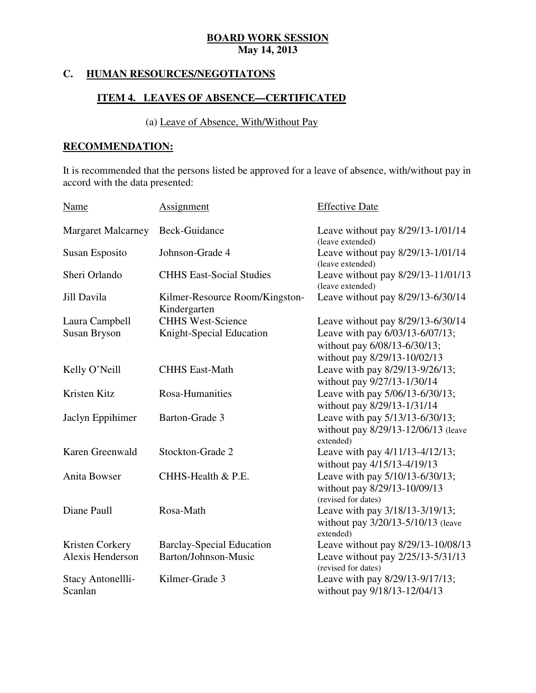#### **C. HUMAN RESOURCES/NEGOTIATONS**

## **ITEM 4. LEAVES OF ABSENCE—CERTIFICATED**

## (a) Leave of Absence, With/Without Pay

## **RECOMMENDATION:**

 It is recommended that the persons listed be approved for a leave of absence, with/without pay in accord with the data presented:

| <b>Name</b>               | <b>Assignment</b>                              | <b>Effective Date</b>                                    |
|---------------------------|------------------------------------------------|----------------------------------------------------------|
| <b>Margaret Malcarney</b> | Beck-Guidance                                  | Leave without pay 8/29/13-1/01/14<br>(leave extended)    |
| <b>Susan Esposito</b>     | Johnson-Grade 4                                | Leave without pay 8/29/13-1/01/14<br>(leave extended)    |
| Sheri Orlando             | <b>CHHS East-Social Studies</b>                | Leave without pay 8/29/13-11/01/13<br>(leave extended)   |
| Jill Davila               | Kilmer-Resource Room/Kingston-<br>Kindergarten | Leave without pay 8/29/13-6/30/14                        |
| Laura Campbell            | <b>CHHS West-Science</b>                       | Leave without pay 8/29/13-6/30/14                        |
| <b>Susan Bryson</b>       | Knight-Special Education                       | Leave with pay 6/03/13-6/07/13;                          |
|                           |                                                | without pay 6/08/13-6/30/13;                             |
|                           |                                                | without pay 8/29/13-10/02/13                             |
| Kelly O'Neill             | <b>CHHS East-Math</b>                          | Leave with pay 8/29/13-9/26/13;                          |
|                           |                                                | without pay 9/27/13-1/30/14                              |
| Kristen Kitz              | Rosa-Humanities                                | Leave with pay 5/06/13-6/30/13;                          |
|                           |                                                | without pay 8/29/13-1/31/14                              |
| Jaclyn Eppihimer          | Barton-Grade 3                                 | Leave with pay 5/13/13-6/30/13;                          |
|                           |                                                | without pay 8/29/13-12/06/13 (leave<br>extended)         |
| Karen Greenwald           | Stockton-Grade 2                               | Leave with pay 4/11/13-4/12/13;                          |
|                           |                                                | without pay 4/15/13-4/19/13                              |
| Anita Bowser              | CHHS-Health & P.E.                             | Leave with pay 5/10/13-6/30/13;                          |
|                           |                                                | without pay 8/29/13-10/09/13                             |
|                           |                                                | (revised for dates)                                      |
| Diane Paull               | Rosa-Math                                      | Leave with pay 3/18/13-3/19/13;                          |
|                           |                                                | without pay 3/20/13-5/10/13 (leave<br>extended)          |
| Kristen Corkery           | <b>Barclay-Special Education</b>               | Leave without pay 8/29/13-10/08/13                       |
| Alexis Henderson          | Barton/Johnson-Music                           | Leave without pay 2/25/13-5/31/13<br>(revised for dates) |
| Stacy Antonellli-         | Kilmer-Grade 3                                 | Leave with pay 8/29/13-9/17/13;                          |
| Scanlan                   |                                                | without pay 9/18/13-12/04/13                             |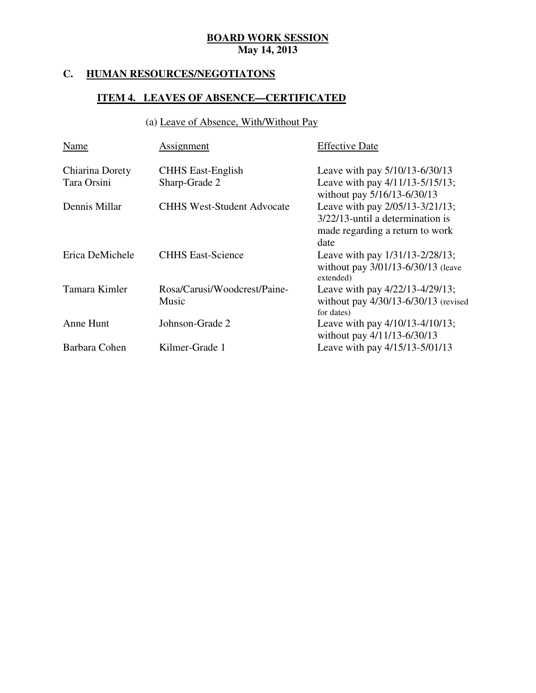## **C. HUMAN RESOURCES/NEGOTIATONS**

## **ITEM 4. LEAVES OF ABSENCE—CERTIFICATED**

## (a) Leave of Absence, With/Without Pay

| Name            | Assignment                            | <b>Effective Date</b>                                                                     |
|-----------------|---------------------------------------|-------------------------------------------------------------------------------------------|
| Chiarina Dorety | <b>CHHS East-English</b>              | Leave with pay 5/10/13-6/30/13                                                            |
| Tara Orsini     | Sharp-Grade 2                         | Leave with pay 4/11/13-5/15/13;<br>without pay 5/16/13-6/30/13                            |
| Dennis Millar   | <b>CHHS West-Student Advocate</b>     | Leave with pay 2/05/13-3/21/13;                                                           |
|                 |                                       | 3/22/13-until a determination is<br>made regarding a return to work                       |
|                 |                                       | date                                                                                      |
| Erica DeMichele | <b>CHHS East-Science</b>              | Leave with pay 1/31/13-2/28/13;<br>without pay 3/01/13-6/30/13 (leave<br>extended)        |
| Tamara Kimler   | Rosa/Carusi/Woodcrest/Paine-<br>Music | Leave with pay 4/22/13-4/29/13;<br>without pay $4/30/13 - 6/30/13$ (revised<br>for dates) |
| Anne Hunt       | Johnson-Grade 2                       | Leave with pay 4/10/13-4/10/13;<br>without pay 4/11/13-6/30/13                            |
| Barbara Cohen   | Kilmer-Grade 1                        | Leave with pay 4/15/13-5/01/13                                                            |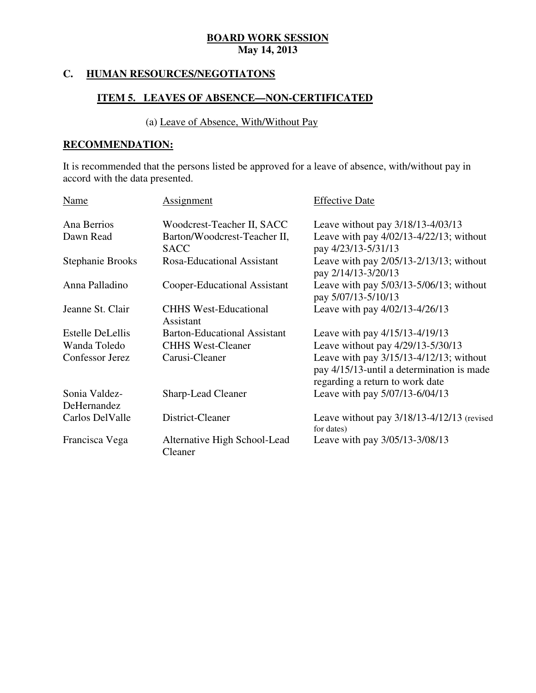#### **HUMAN RESOURCES/NEGOTIATONS**

## **ITEM 5. LEAVES OF ABSENCE—NON-CERTIFICATED**

## (a) Leave of Absence, With/Without Pay

## **RECOMMENDATION:**

 It is recommended that the persons listed be approved for a leave of absence, with/without pay in accord with the data presented.

| Name                    | Assignment                                  | <b>Effective Date</b>                                                                                                      |
|-------------------------|---------------------------------------------|----------------------------------------------------------------------------------------------------------------------------|
| Ana Berrios             | Woodcrest-Teacher II, SACC                  | Leave without pay 3/18/13-4/03/13                                                                                          |
| Dawn Read               | Barton/Woodcrest-Teacher II,<br><b>SACC</b> | Leave with pay $4/02/13-4/22/13$ ; without<br>pay 4/23/13-5/31/13                                                          |
| Stephanie Brooks        | Rosa-Educational Assistant                  | Leave with pay $2/05/13-2/13/13$ ; without<br>pay 2/14/13-3/20/13                                                          |
| Anna Palladino          | Cooper-Educational Assistant                | Leave with pay $5/03/13 - 5/06/13$ ; without<br>pay 5/07/13-5/10/13                                                        |
| Jeanne St. Clair        | <b>CHHS West-Educational</b><br>Assistant   | Leave with pay 4/02/13-4/26/13                                                                                             |
| <b>Estelle DeLellis</b> | <b>Barton-Educational Assistant</b>         | Leave with pay 4/15/13-4/19/13                                                                                             |
| Wanda Toledo            | <b>CHHS West-Cleaner</b>                    | Leave without pay 4/29/13-5/30/13                                                                                          |
| Confessor Jerez         | Carusi-Cleaner                              | Leave with pay $3/15/13-4/12/13$ ; without<br>pay 4/15/13-until a determination is made<br>regarding a return to work date |
| Sonia Valdez-           | <b>Sharp-Lead Cleaner</b>                   | Leave with pay 5/07/13-6/04/13                                                                                             |
| DeHernandez             |                                             |                                                                                                                            |
| Carlos DelValle         | District-Cleaner                            | Leave without pay 3/18/13-4/12/13 (revised<br>for dates)                                                                   |
| Francisca Vega          | Alternative High School-Lead<br>Cleaner     | Leave with pay 3/05/13-3/08/13                                                                                             |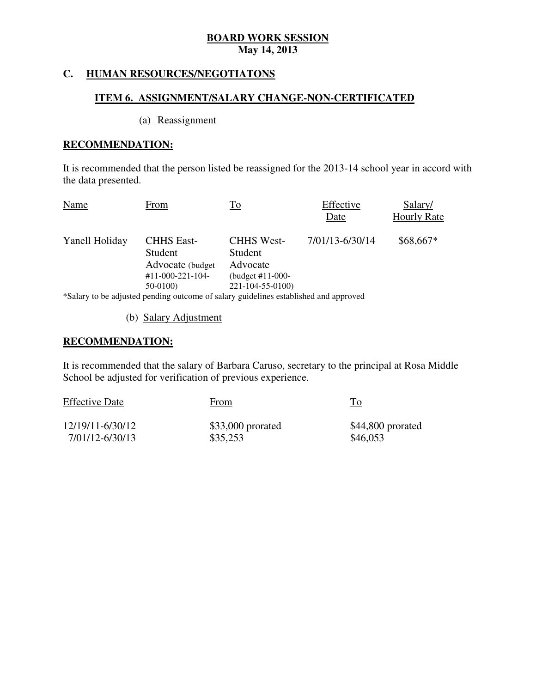#### **HUMAN RESOURCES/NEGOTIATONS**

### **ITEM 6. ASSIGNMENT/SALARY CHANGE-NON-CERTIFICATED**

#### (a) Reassignment

### **RECOMMENDATION:**

 It is recommended that the person listed be reassigned for the 2013-14 school year in accord with the data presented.

| <b>Name</b>    | From                                              | To                                       | Effective<br>Date | Salary/<br><b>Hourly Rate</b> |
|----------------|---------------------------------------------------|------------------------------------------|-------------------|-------------------------------|
| Yanell Holiday | <b>CHHS East-</b><br>Student<br>Advocate (budget) | <b>CHHS West-</b><br>Student<br>Advocate | 7/01/13-6/30/14   | $$68,667*$                    |
|                | $#11-000-221-104-$<br>$50-0100$                   | (budget #11-000-<br>221-104-55-0100)     |                   |                               |
|                |                                                   |                                          |                   |                               |

\*Salary to be adjusted pending outcome of salary guidelines established and approved

(b) Salary Adjustment

## **RECOMMENDATION:**

 It is recommended that the salary of Barbara Caruso, secretary to the principal at Rosa Middle School be adjusted for verification of previous experience.

| <b>Effective Date</b> | From               | Tо                |
|-----------------------|--------------------|-------------------|
| 12/19/11-6/30/12      | $$33,000$ prorated | \$44,800 prorated |
| 7/01/12-6/30/13       | \$35,253           | \$46,053          |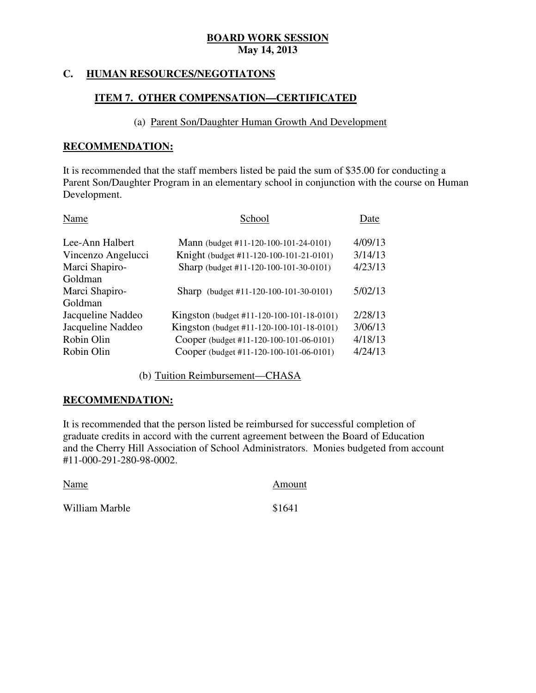#### **HUMAN RESOURCES/NEGOTIATONS**

## **ITEM 7. OTHER COMPENSATION—CERTIFICATED**

### (a) Parent Son/Daughter Human Growth And Development

#### **RECOMMENDATION:**

 It is recommended that the staff members listed be paid the sum of \$35.00 for conducting a Parent Son/Daughter Program in an elementary school in conjunction with the course on Human Development.

| Name               | School                                    | Date    |
|--------------------|-------------------------------------------|---------|
| Lee-Ann Halbert    | Mann (budget #11-120-100-101-24-0101)     | 4/09/13 |
| Vincenzo Angelucci | Knight (budget #11-120-100-101-21-0101)   | 3/14/13 |
| Marci Shapiro-     | Sharp (budget #11-120-100-101-30-0101)    | 4/23/13 |
| Goldman            |                                           |         |
| Marci Shapiro-     | Sharp (budget #11-120-100-101-30-0101)    | 5/02/13 |
| Goldman            |                                           |         |
| Jacqueline Naddeo  | Kingston (budget #11-120-100-101-18-0101) | 2/28/13 |
| Jacqueline Naddeo  | Kingston (budget #11-120-100-101-18-0101) | 3/06/13 |
| Robin Olin         | Cooper (budget #11-120-100-101-06-0101)   | 4/18/13 |
| Robin Olin         | Cooper (budget #11-120-100-101-06-0101)   | 4/24/13 |
|                    |                                           |         |

(b) Tuition Reimbursement—CHASA

### **RECOMMENDATION:**

 It is recommended that the person listed be reimbursed for successful completion of graduate credits in accord with the current agreement between the Board of Education and the Cherry Hill Association of School Administrators. Monies budgeted from account #11-000-291-280-98-0002.

| Name           | Amount |
|----------------|--------|
| William Marble | \$1641 |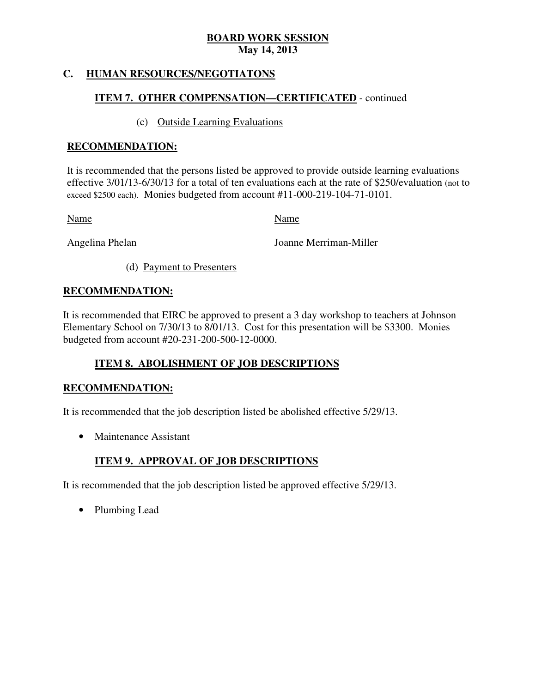#### **HUMAN RESOURCES/NEGOTIATONS**

## **ITEM 7. OTHER COMPENSATION—CERTIFICATED** - continued

### (c) Outside Learning Evaluations

## **RECOMMENDATION:**

 It is recommended that the persons listed be approved to provide outside learning evaluations effective 3/01/13-6/30/13 for a total of ten evaluations each at the rate of \$250/evaluation (not to exceed \$2500 each). Monies budgeted from account #11-000-219-104-71-0101.

Name Name

Angelina Phelan

Joanne Merriman-Miller

(d) Payment to Presenters

## **RECOMMENDATION:**

 It is recommended that EIRC be approved to present a 3 day workshop to teachers at Johnson Elementary School on 7/30/13 to 8/01/13. Cost for this presentation will be \$3300. Monies budgeted from account #20-231-200-500-12-0000.

# **ITEM 8. ABOLISHMENT OF JOB DESCRIPTIONS**

## **RECOMMENDATION:**

It is recommended that the job description listed be abolished effective 5/29/13.

• Maintenance Assistant

## **ITEM 9. APPROVAL OF JOB DESCRIPTIONS**

It is recommended that the job description listed be approved effective 5/29/13.

• Plumbing Lead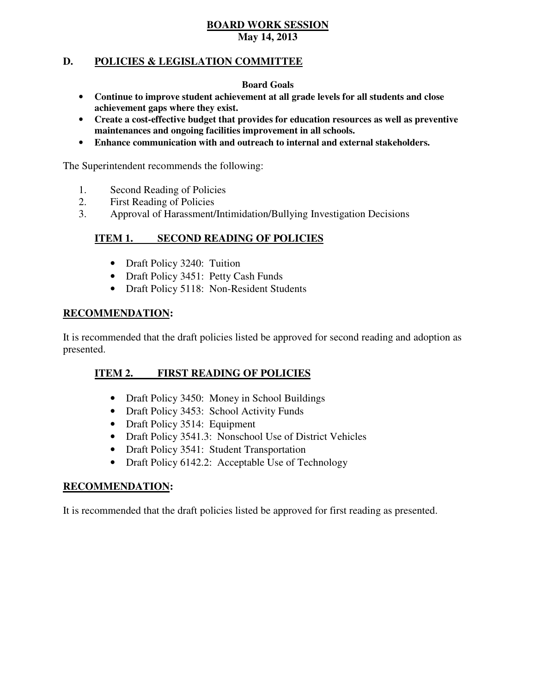#### **D. POLICIES & LEGISLATION COMMITTEE**

#### **Board Goals**

- • **Continue to improve student achievement at all grade levels for all students and close achievement gaps where they exist.**
- • **Create a cost-effective budget that provides for education resources as well as preventive maintenances and ongoing facilities improvement in all schools.**
- • **Enhance communication with and outreach to internal and external stakeholders.**

The Superintendent recommends the following:

- 1. Second Reading of Policies
- 2. First Reading of Policies
- 3. Approval of Harassment/Intimidation/Bullying Investigation Decisions

#### **ITEM 1. ISECOND READING OF POLICIES**

- Draft Policy 3240: Tuition
- Draft Policy 3451: Petty Cash Funds
- Draft Policy 5118: Non-Resident Students

### **RECOMMENDATION:**

 It is recommended that the draft policies listed be approved for second reading and adoption as presented.

#### **ITEM 2. FIRST READING OF POLICIES**

- Draft Policy 3450: Money in School Buildings
- Draft Policy 3453: School Activity Funds
- Draft Policy 3514: Equipment
- Draft Policy 3541.3: Nonschool Use of District Vehicles
- Draft Policy 3541: Student Transportation
- Draft Policy 6142.2: Acceptable Use of Technology

### **RECOMMENDATION:**

It is recommended that the draft policies listed be approved for first reading as presented.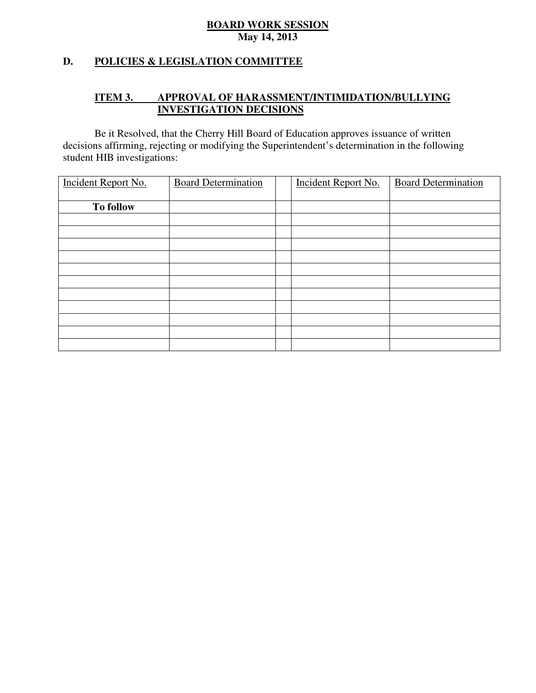## **D. POLICIES & LEGISLATION COMMITTEE**

#### **ITEM 3. IMPROVAL OF HARASSMENT/INTIMIDATION/BULLYING INVESTIGATION DECISIONS**

 decisions affirming, rejecting or modifying the Superintendent's determination in the following student HIB investigations: Be it Resolved, that the Cherry Hill Board of Education approves issuance of written

| Incident Report No. | <b>Board Determination</b> | Incident Report No. | <b>Board Determination</b> |
|---------------------|----------------------------|---------------------|----------------------------|
| <b>To follow</b>    |                            |                     |                            |
|                     |                            |                     |                            |
|                     |                            |                     |                            |
|                     |                            |                     |                            |
|                     |                            |                     |                            |
|                     |                            |                     |                            |
|                     |                            |                     |                            |
|                     |                            |                     |                            |
|                     |                            |                     |                            |
|                     |                            |                     |                            |
|                     |                            |                     |                            |
|                     |                            |                     |                            |